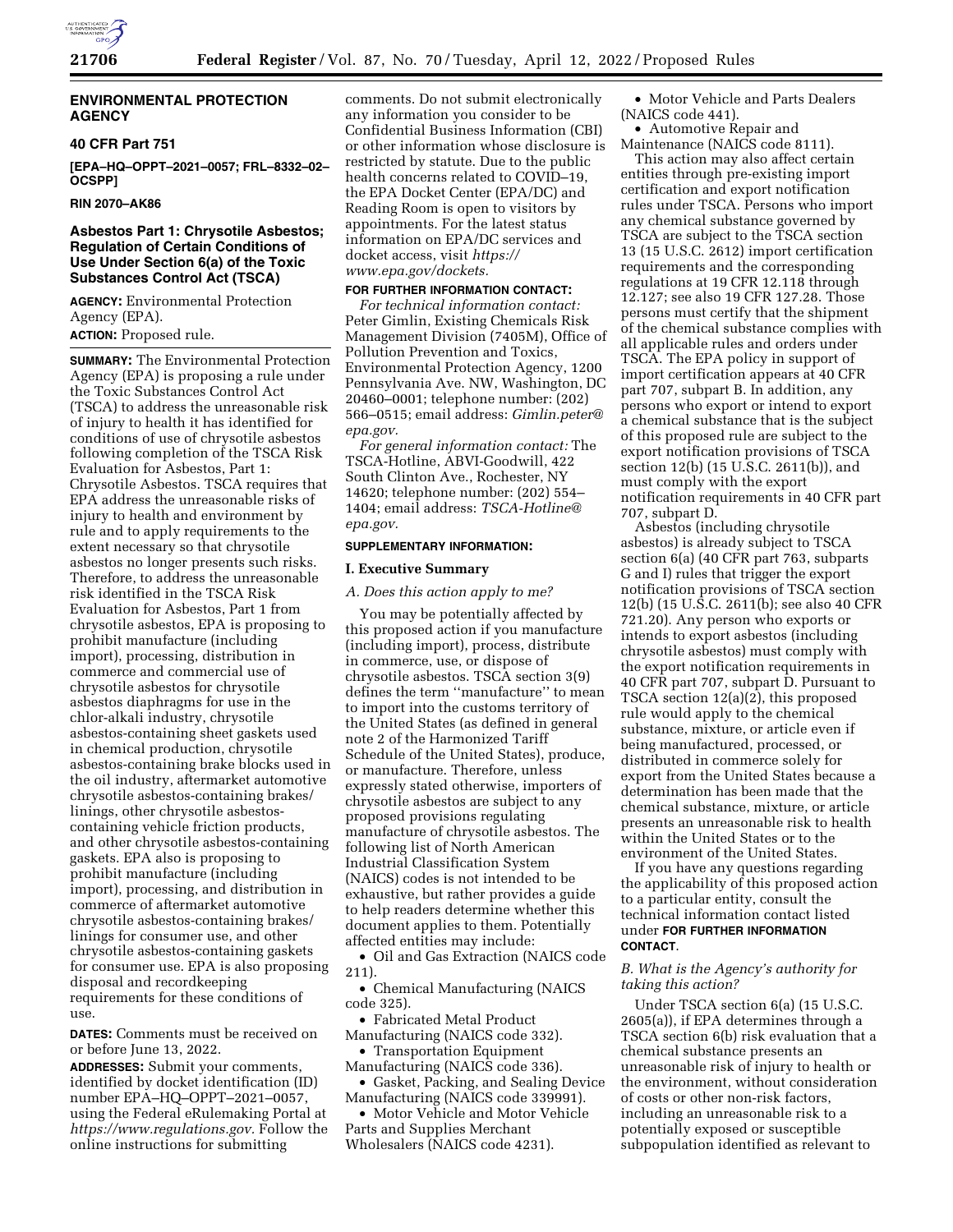

### **ENVIRONMENTAL PROTECTION AGENCY**

#### **40 CFR Part 751**

**[EPA–HQ–OPPT–2021–0057; FRL–8332–02– OCSPP]** 

# **RIN 2070–AK86**

# **Asbestos Part 1: Chrysotile Asbestos; Regulation of Certain Conditions of Use Under Section 6(a) of the Toxic Substances Control Act (TSCA)**

**AGENCY:** Environmental Protection Agency (EPA). **ACTION:** Proposed rule.

**SUMMARY:** The Environmental Protection Agency (EPA) is proposing a rule under the Toxic Substances Control Act (TSCA) to address the unreasonable risk of injury to health it has identified for conditions of use of chrysotile asbestos following completion of the TSCA Risk Evaluation for Asbestos, Part 1: Chrysotile Asbestos. TSCA requires that EPA address the unreasonable risks of injury to health and environment by rule and to apply requirements to the extent necessary so that chrysotile asbestos no longer presents such risks. Therefore, to address the unreasonable risk identified in the TSCA Risk Evaluation for Asbestos, Part 1 from chrysotile asbestos, EPA is proposing to prohibit manufacture (including import), processing, distribution in commerce and commercial use of chrysotile asbestos for chrysotile asbestos diaphragms for use in the chlor-alkali industry, chrysotile asbestos-containing sheet gaskets used in chemical production, chrysotile asbestos-containing brake blocks used in the oil industry, aftermarket automotive chrysotile asbestos-containing brakes/ linings, other chrysotile asbestoscontaining vehicle friction products, and other chrysotile asbestos-containing gaskets. EPA also is proposing to prohibit manufacture (including import), processing, and distribution in commerce of aftermarket automotive chrysotile asbestos-containing brakes/ linings for consumer use, and other chrysotile asbestos-containing gaskets for consumer use. EPA is also proposing disposal and recordkeeping requirements for these conditions of use.

**DATES:** Comments must be received on or before June 13, 2022.

**ADDRESSES:** Submit your comments, identified by docket identification (ID) number EPA–HQ–OPPT–2021–0057, using the Federal eRulemaking Portal at *[https://www.regulations.gov.](https://www.regulations.gov)* Follow the online instructions for submitting

comments. Do not submit electronically any information you consider to be Confidential Business Information (CBI) or other information whose disclosure is restricted by statute. Due to the public health concerns related to COVID–19, the EPA Docket Center (EPA/DC) and Reading Room is open to visitors by appointments. For the latest status information on EPA/DC services and docket access, visit *[https://](https://www.epa.gov/dockets) [www.epa.gov/dockets.](https://www.epa.gov/dockets)* 

### **FOR FURTHER INFORMATION CONTACT:**

*For technical information contact:*  Peter Gimlin, Existing Chemicals Risk Management Division (7405M), Office of Pollution Prevention and Toxics, Environmental Protection Agency, 1200 Pennsylvania Ave. NW, Washington, DC 20460–0001; telephone number: (202) 566–0515; email address: *[Gimlin.peter@](mailto:Gimlin.peter@epa.gov) [epa.gov.](mailto:Gimlin.peter@epa.gov)* 

*For general information contact:* The TSCA-Hotline, ABVI-Goodwill, 422 South Clinton Ave., Rochester, NY 14620; telephone number: (202) 554– 1404; email address: *[TSCA-Hotline@](mailto:TSCA-Hotline@epa.gov) [epa.gov.](mailto:TSCA-Hotline@epa.gov)* 

#### **SUPPLEMENTARY INFORMATION:**

#### **I. Executive Summary**

*A. Does this action apply to me?* 

You may be potentially affected by this proposed action if you manufacture (including import), process, distribute in commerce, use, or dispose of chrysotile asbestos. TSCA section 3(9) defines the term ''manufacture'' to mean to import into the customs territory of the United States (as defined in general note 2 of the Harmonized Tariff Schedule of the United States), produce, or manufacture. Therefore, unless expressly stated otherwise, importers of chrysotile asbestos are subject to any proposed provisions regulating manufacture of chrysotile asbestos. The following list of North American Industrial Classification System (NAICS) codes is not intended to be exhaustive, but rather provides a guide to help readers determine whether this document applies to them. Potentially affected entities may include:

• Oil and Gas Extraction (NAICS code 211).

• Chemical Manufacturing (NAICS code 325).

• Fabricated Metal Product Manufacturing (NAICS code 332).

• Transportation Equipment Manufacturing (NAICS code 336).

• Gasket, Packing, and Sealing Device Manufacturing (NAICS code 339991).

• Motor Vehicle and Motor Vehicle

Parts and Supplies Merchant Wholesalers (NAICS code 4231).

• Motor Vehicle and Parts Dealers (NAICS code 441).

• Automotive Repair and Maintenance (NAICS code 8111).

This action may also affect certain entities through pre-existing import certification and export notification rules under TSCA. Persons who import any chemical substance governed by TSCA are subject to the TSCA section 13 (15 U.S.C. 2612) import certification requirements and the corresponding regulations at 19 CFR 12.118 through 12.127; see also 19 CFR 127.28. Those persons must certify that the shipment of the chemical substance complies with all applicable rules and orders under TSCA. The EPA policy in support of import certification appears at 40 CFR part 707, subpart B. In addition, any persons who export or intend to export a chemical substance that is the subject of this proposed rule are subject to the export notification provisions of TSCA section 12(b) (15 U.S.C. 2611(b)), and must comply with the export notification requirements in 40 CFR part 707, subpart D.

Asbestos (including chrysotile asbestos) is already subject to TSCA section 6(a) (40 CFR part 763, subparts G and I) rules that trigger the export notification provisions of TSCA section 12(b) (15 U.S.C. 2611(b); see also 40 CFR 721.20). Any person who exports or intends to export asbestos (including chrysotile asbestos) must comply with the export notification requirements in 40 CFR part 707, subpart D. Pursuant to TSCA section 12(a)(2), this proposed rule would apply to the chemical substance, mixture, or article even if being manufactured, processed, or distributed in commerce solely for export from the United States because a determination has been made that the chemical substance, mixture, or article presents an unreasonable risk to health within the United States or to the environment of the United States.

If you have any questions regarding the applicability of this proposed action to a particular entity, consult the technical information contact listed under **FOR FURTHER INFORMATION CONTACT**.

### *B. What is the Agency's authority for taking this action?*

Under TSCA section 6(a) (15 U.S.C. 2605(a)), if EPA determines through a TSCA section 6(b) risk evaluation that a chemical substance presents an unreasonable risk of injury to health or the environment, without consideration of costs or other non-risk factors, including an unreasonable risk to a potentially exposed or susceptible subpopulation identified as relevant to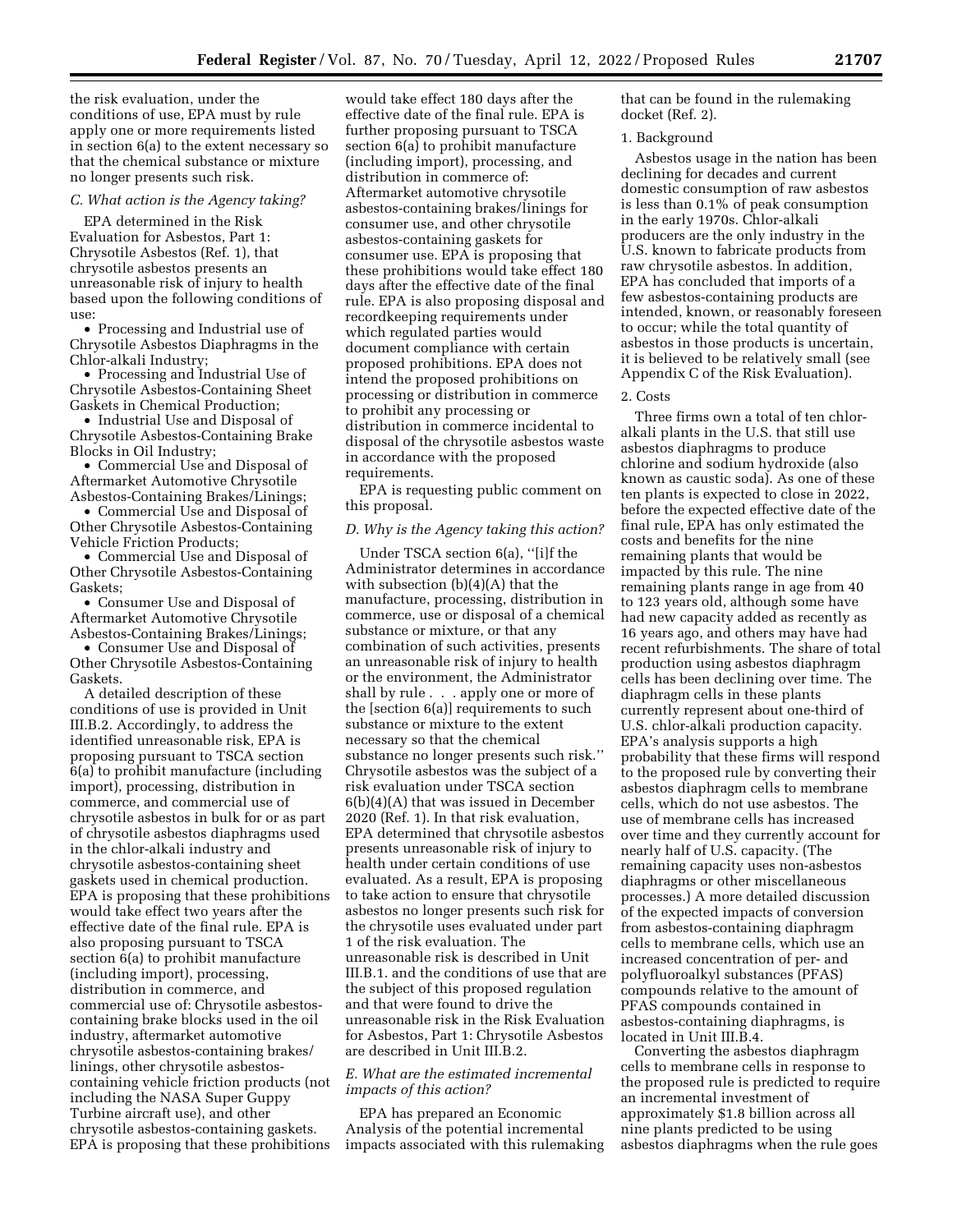the risk evaluation, under the conditions of use, EPA must by rule apply one or more requirements listed in section 6(a) to the extent necessary so that the chemical substance or mixture no longer presents such risk.

#### *C. What action is the Agency taking?*

EPA determined in the Risk Evaluation for Asbestos, Part 1: Chrysotile Asbestos (Ref. 1), that chrysotile asbestos presents an unreasonable risk of injury to health based upon the following conditions of use:

• Processing and Industrial use of Chrysotile Asbestos Diaphragms in the Chlor-alkali Industry;

• Processing and Industrial Use of Chrysotile Asbestos-Containing Sheet Gaskets in Chemical Production;

• Industrial Use and Disposal of Chrysotile Asbestos-Containing Brake Blocks in Oil Industry;

• Commercial Use and Disposal of Aftermarket Automotive Chrysotile Asbestos-Containing Brakes/Linings;

• Commercial Use and Disposal of Other Chrysotile Asbestos-Containing Vehicle Friction Products;

• Commercial Use and Disposal of Other Chrysotile Asbestos-Containing Gaskets;

• Consumer Use and Disposal of Aftermarket Automotive Chrysotile Asbestos-Containing Brakes/Linings;

• Consumer Use and Disposal of Other Chrysotile Asbestos-Containing Gaskets.

A detailed description of these conditions of use is provided in Unit III.B.2. Accordingly, to address the identified unreasonable risk, EPA is proposing pursuant to TSCA section 6(a) to prohibit manufacture (including import), processing, distribution in commerce, and commercial use of chrysotile asbestos in bulk for or as part of chrysotile asbestos diaphragms used in the chlor-alkali industry and chrysotile asbestos-containing sheet gaskets used in chemical production. EPA is proposing that these prohibitions would take effect two years after the effective date of the final rule. EPA is also proposing pursuant to TSCA section 6(a) to prohibit manufacture (including import), processing, distribution in commerce, and commercial use of: Chrysotile asbestoscontaining brake blocks used in the oil industry, aftermarket automotive chrysotile asbestos-containing brakes/ linings, other chrysotile asbestoscontaining vehicle friction products (not including the NASA Super Guppy Turbine aircraft use), and other chrysotile asbestos-containing gaskets. EPA is proposing that these prohibitions

would take effect 180 days after the effective date of the final rule. EPA is further proposing pursuant to TSCA section 6(a) to prohibit manufacture (including import), processing, and distribution in commerce of: Aftermarket automotive chrysotile asbestos-containing brakes/linings for consumer use, and other chrysotile asbestos-containing gaskets for consumer use. EPA is proposing that these prohibitions would take effect 180 days after the effective date of the final rule. EPA is also proposing disposal and recordkeeping requirements under which regulated parties would document compliance with certain proposed prohibitions. EPA does not intend the proposed prohibitions on processing or distribution in commerce to prohibit any processing or distribution in commerce incidental to disposal of the chrysotile asbestos waste in accordance with the proposed requirements.

EPA is requesting public comment on this proposal.

#### *D. Why is the Agency taking this action?*

Under TSCA section 6(a), ''[i]f the Administrator determines in accordance with subsection (b)(4)(A) that the manufacture, processing, distribution in commerce, use or disposal of a chemical substance or mixture, or that any combination of such activities, presents an unreasonable risk of injury to health or the environment, the Administrator shall by rule . . . apply one or more of the [section 6(a)] requirements to such substance or mixture to the extent necessary so that the chemical substance no longer presents such risk.'' Chrysotile asbestos was the subject of a risk evaluation under TSCA section 6(b)(4)(A) that was issued in December 2020 (Ref. 1). In that risk evaluation, EPA determined that chrysotile asbestos presents unreasonable risk of injury to health under certain conditions of use evaluated. As a result, EPA is proposing to take action to ensure that chrysotile asbestos no longer presents such risk for the chrysotile uses evaluated under part 1 of the risk evaluation. The unreasonable risk is described in Unit III.B.1. and the conditions of use that are the subject of this proposed regulation and that were found to drive the unreasonable risk in the Risk Evaluation for Asbestos, Part 1: Chrysotile Asbestos are described in Unit III.B.2.

### *E. What are the estimated incremental impacts of this action?*

EPA has prepared an Economic Analysis of the potential incremental impacts associated with this rulemaking that can be found in the rulemaking docket (Ref. 2).

#### 1. Background

Asbestos usage in the nation has been declining for decades and current domestic consumption of raw asbestos is less than 0.1% of peak consumption in the early 1970s. Chlor-alkali producers are the only industry in the U.S. known to fabricate products from raw chrysotile asbestos. In addition, EPA has concluded that imports of a few asbestos-containing products are intended, known, or reasonably foreseen to occur; while the total quantity of asbestos in those products is uncertain, it is believed to be relatively small (see Appendix C of the Risk Evaluation).

#### 2. Costs

Three firms own a total of ten chloralkali plants in the U.S. that still use asbestos diaphragms to produce chlorine and sodium hydroxide (also known as caustic soda). As one of these ten plants is expected to close in 2022, before the expected effective date of the final rule, EPA has only estimated the costs and benefits for the nine remaining plants that would be impacted by this rule. The nine remaining plants range in age from 40 to 123 years old, although some have had new capacity added as recently as 16 years ago, and others may have had recent refurbishments. The share of total production using asbestos diaphragm cells has been declining over time. The diaphragm cells in these plants currently represent about one-third of U.S. chlor-alkali production capacity. EPA's analysis supports a high probability that these firms will respond to the proposed rule by converting their asbestos diaphragm cells to membrane cells, which do not use asbestos. The use of membrane cells has increased over time and they currently account for nearly half of U.S. capacity. (The remaining capacity uses non-asbestos diaphragms or other miscellaneous processes.) A more detailed discussion of the expected impacts of conversion from asbestos-containing diaphragm cells to membrane cells, which use an increased concentration of per- and polyfluoroalkyl substances (PFAS) compounds relative to the amount of PFAS compounds contained in asbestos-containing diaphragms, is located in Unit III.B.4.

Converting the asbestos diaphragm cells to membrane cells in response to the proposed rule is predicted to require an incremental investment of approximately \$1.8 billion across all nine plants predicted to be using asbestos diaphragms when the rule goes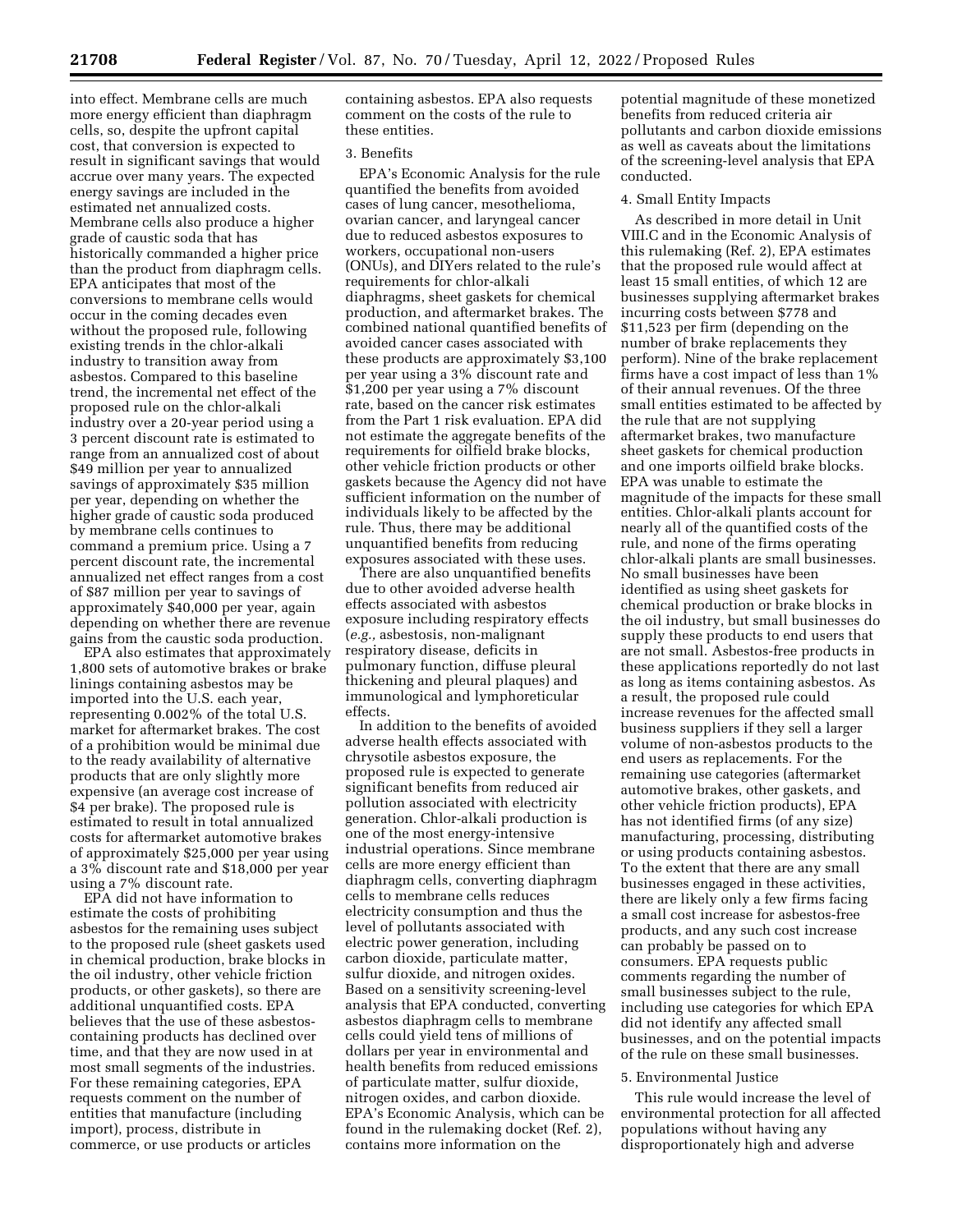into effect. Membrane cells are much more energy efficient than diaphragm cells, so, despite the upfront capital cost, that conversion is expected to result in significant savings that would accrue over many years. The expected energy savings are included in the estimated net annualized costs. Membrane cells also produce a higher grade of caustic soda that has historically commanded a higher price than the product from diaphragm cells. EPA anticipates that most of the conversions to membrane cells would occur in the coming decades even without the proposed rule, following existing trends in the chlor-alkali industry to transition away from asbestos. Compared to this baseline trend, the incremental net effect of the proposed rule on the chlor-alkali industry over a 20-year period using a 3 percent discount rate is estimated to range from an annualized cost of about \$49 million per year to annualized savings of approximately \$35 million per year, depending on whether the higher grade of caustic soda produced by membrane cells continues to command a premium price. Using a 7 percent discount rate, the incremental annualized net effect ranges from a cost of \$87 million per year to savings of approximately \$40,000 per year, again depending on whether there are revenue gains from the caustic soda production.

EPA also estimates that approximately 1,800 sets of automotive brakes or brake linings containing asbestos may be imported into the U.S. each year, representing 0.002% of the total U.S. market for aftermarket brakes. The cost of a prohibition would be minimal due to the ready availability of alternative products that are only slightly more expensive (an average cost increase of \$4 per brake). The proposed rule is estimated to result in total annualized costs for aftermarket automotive brakes of approximately \$25,000 per year using a 3% discount rate and \$18,000 per year using a 7% discount rate.

EPA did not have information to estimate the costs of prohibiting asbestos for the remaining uses subject to the proposed rule (sheet gaskets used in chemical production, brake blocks in the oil industry, other vehicle friction products, or other gaskets), so there are additional unquantified costs. EPA believes that the use of these asbestoscontaining products has declined over time, and that they are now used in at most small segments of the industries. For these remaining categories, EPA requests comment on the number of entities that manufacture (including import), process, distribute in commerce, or use products or articles

containing asbestos. EPA also requests comment on the costs of the rule to these entities.

# 3. Benefits

EPA's Economic Analysis for the rule quantified the benefits from avoided cases of lung cancer, mesothelioma, ovarian cancer, and laryngeal cancer due to reduced asbestos exposures to workers, occupational non-users (ONUs), and DIYers related to the rule's requirements for chlor-alkali diaphragms, sheet gaskets for chemical production, and aftermarket brakes. The combined national quantified benefits of avoided cancer cases associated with these products are approximately \$3,100 per year using a 3% discount rate and \$1,200 per year using a 7% discount rate, based on the cancer risk estimates from the Part 1 risk evaluation. EPA did not estimate the aggregate benefits of the requirements for oilfield brake blocks, other vehicle friction products or other gaskets because the Agency did not have sufficient information on the number of individuals likely to be affected by the rule. Thus, there may be additional unquantified benefits from reducing exposures associated with these uses.

There are also unquantified benefits due to other avoided adverse health effects associated with asbestos exposure including respiratory effects (*e.g.,* asbestosis, non-malignant respiratory disease, deficits in pulmonary function, diffuse pleural thickening and pleural plaques) and immunological and lymphoreticular effects.

In addition to the benefits of avoided adverse health effects associated with chrysotile asbestos exposure, the proposed rule is expected to generate significant benefits from reduced air pollution associated with electricity generation. Chlor-alkali production is one of the most energy-intensive industrial operations. Since membrane cells are more energy efficient than diaphragm cells, converting diaphragm cells to membrane cells reduces electricity consumption and thus the level of pollutants associated with electric power generation, including carbon dioxide, particulate matter, sulfur dioxide, and nitrogen oxides. Based on a sensitivity screening-level analysis that EPA conducted, converting asbestos diaphragm cells to membrane cells could yield tens of millions of dollars per year in environmental and health benefits from reduced emissions of particulate matter, sulfur dioxide, nitrogen oxides, and carbon dioxide. EPA's Economic Analysis, which can be found in the rulemaking docket (Ref. 2), contains more information on the

potential magnitude of these monetized benefits from reduced criteria air pollutants and carbon dioxide emissions as well as caveats about the limitations of the screening-level analysis that EPA conducted.

#### 4. Small Entity Impacts

As described in more detail in Unit VIII.C and in the Economic Analysis of this rulemaking (Ref. 2), EPA estimates that the proposed rule would affect at least 15 small entities, of which 12 are businesses supplying aftermarket brakes incurring costs between \$778 and \$11,523 per firm (depending on the number of brake replacements they perform). Nine of the brake replacement firms have a cost impact of less than 1% of their annual revenues. Of the three small entities estimated to be affected by the rule that are not supplying aftermarket brakes, two manufacture sheet gaskets for chemical production and one imports oilfield brake blocks. EPA was unable to estimate the magnitude of the impacts for these small entities. Chlor-alkali plants account for nearly all of the quantified costs of the rule, and none of the firms operating chlor-alkali plants are small businesses. No small businesses have been identified as using sheet gaskets for chemical production or brake blocks in the oil industry, but small businesses do supply these products to end users that are not small. Asbestos-free products in these applications reportedly do not last as long as items containing asbestos. As a result, the proposed rule could increase revenues for the affected small business suppliers if they sell a larger volume of non-asbestos products to the end users as replacements. For the remaining use categories (aftermarket automotive brakes, other gaskets, and other vehicle friction products), EPA has not identified firms (of any size) manufacturing, processing, distributing or using products containing asbestos. To the extent that there are any small businesses engaged in these activities, there are likely only a few firms facing a small cost increase for asbestos-free products, and any such cost increase can probably be passed on to consumers. EPA requests public comments regarding the number of small businesses subject to the rule, including use categories for which EPA did not identify any affected small businesses, and on the potential impacts of the rule on these small businesses.

#### 5. Environmental Justice

This rule would increase the level of environmental protection for all affected populations without having any disproportionately high and adverse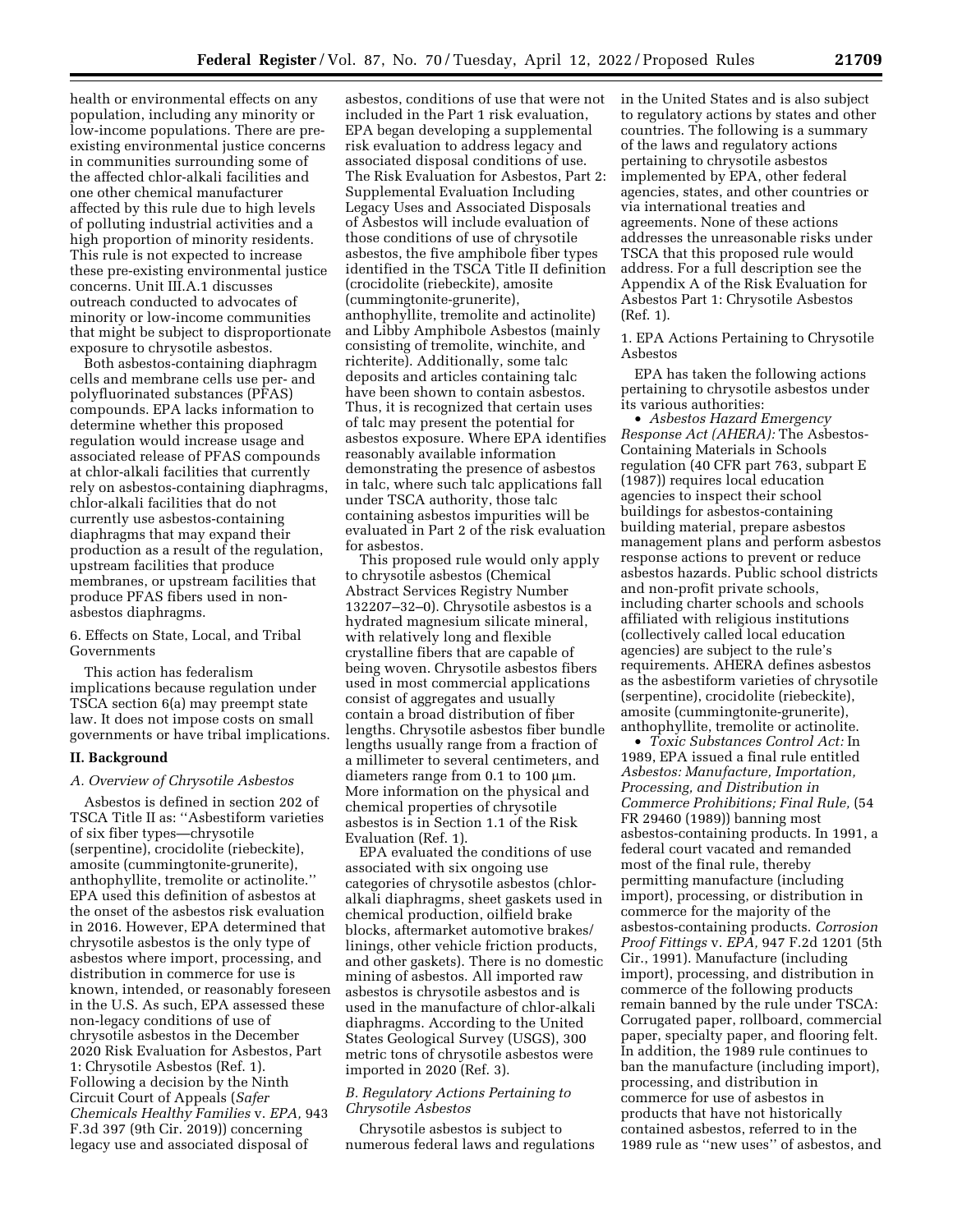health or environmental effects on any population, including any minority or low-income populations. There are preexisting environmental justice concerns in communities surrounding some of the affected chlor-alkali facilities and one other chemical manufacturer affected by this rule due to high levels of polluting industrial activities and a high proportion of minority residents. This rule is not expected to increase these pre-existing environmental justice concerns. Unit III.A.1 discusses outreach conducted to advocates of minority or low-income communities that might be subject to disproportionate exposure to chrysotile asbestos.

Both asbestos-containing diaphragm cells and membrane cells use per- and polyfluorinated substances (PFAS) compounds. EPA lacks information to determine whether this proposed regulation would increase usage and associated release of PFAS compounds at chlor-alkali facilities that currently rely on asbestos-containing diaphragms, chlor-alkali facilities that do not currently use asbestos-containing diaphragms that may expand their production as a result of the regulation, upstream facilities that produce membranes, or upstream facilities that produce PFAS fibers used in nonasbestos diaphragms.

6. Effects on State, Local, and Tribal Governments

This action has federalism implications because regulation under TSCA section 6(a) may preempt state law. It does not impose costs on small governments or have tribal implications.

#### **II. Background**

#### *A. Overview of Chrysotile Asbestos*

Asbestos is defined in section 202 of TSCA Title II as: ''Asbestiform varieties of six fiber types—chrysotile (serpentine), crocidolite (riebeckite), amosite (cummingtonite-grunerite), anthophyllite, tremolite or actinolite.'' EPA used this definition of asbestos at the onset of the asbestos risk evaluation in 2016. However, EPA determined that chrysotile asbestos is the only type of asbestos where import, processing, and distribution in commerce for use is known, intended, or reasonably foreseen in the U.S. As such, EPA assessed these non-legacy conditions of use of chrysotile asbestos in the December 2020 Risk Evaluation for Asbestos, Part 1: Chrysotile Asbestos (Ref. 1). Following a decision by the Ninth Circuit Court of Appeals (*Safer Chemicals Healthy Families* v. *EPA,* 943 F.3d 397 (9th Cir. 2019)) concerning legacy use and associated disposal of

asbestos, conditions of use that were not included in the Part 1 risk evaluation, EPA began developing a supplemental risk evaluation to address legacy and associated disposal conditions of use. The Risk Evaluation for Asbestos, Part 2: Supplemental Evaluation Including Legacy Uses and Associated Disposals of Asbestos will include evaluation of those conditions of use of chrysotile asbestos, the five amphibole fiber types identified in the TSCA Title II definition (crocidolite (riebeckite), amosite (cummingtonite-grunerite), anthophyllite, tremolite and actinolite) and Libby Amphibole Asbestos (mainly consisting of tremolite, winchite, and richterite). Additionally, some talc deposits and articles containing talc have been shown to contain asbestos. Thus, it is recognized that certain uses of talc may present the potential for asbestos exposure. Where EPA identifies reasonably available information demonstrating the presence of asbestos in talc, where such talc applications fall under TSCA authority, those talc containing asbestos impurities will be evaluated in Part 2 of the risk evaluation for asbestos.

This proposed rule would only apply to chrysotile asbestos (Chemical Abstract Services Registry Number 132207–32–0). Chrysotile asbestos is a hydrated magnesium silicate mineral, with relatively long and flexible crystalline fibers that are capable of being woven. Chrysotile asbestos fibers used in most commercial applications consist of aggregates and usually contain a broad distribution of fiber lengths. Chrysotile asbestos fiber bundle lengths usually range from a fraction of a millimeter to several centimeters, and diameters range from  $0.1$  to  $100 \mu m$ . More information on the physical and chemical properties of chrysotile asbestos is in Section 1.1 of the Risk Evaluation (Ref. 1).

EPA evaluated the conditions of use associated with six ongoing use categories of chrysotile asbestos (chloralkali diaphragms, sheet gaskets used in chemical production, oilfield brake blocks, aftermarket automotive brakes/ linings, other vehicle friction products, and other gaskets). There is no domestic mining of asbestos. All imported raw asbestos is chrysotile asbestos and is used in the manufacture of chlor-alkali diaphragms. According to the United States Geological Survey (USGS), 300 metric tons of chrysotile asbestos were imported in 2020 (Ref. 3).

# *B. Regulatory Actions Pertaining to Chrysotile Asbestos*

Chrysotile asbestos is subject to numerous federal laws and regulations in the United States and is also subject to regulatory actions by states and other countries. The following is a summary of the laws and regulatory actions pertaining to chrysotile asbestos implemented by EPA, other federal agencies, states, and other countries or via international treaties and agreements. None of these actions addresses the unreasonable risks under TSCA that this proposed rule would address. For a full description see the Appendix A of the Risk Evaluation for Asbestos Part 1: Chrysotile Asbestos (Ref. 1).

1. EPA Actions Pertaining to Chrysotile Asbestos

EPA has taken the following actions pertaining to chrysotile asbestos under its various authorities:

• *Asbestos Hazard Emergency Response Act (AHERA):* The Asbestos-Containing Materials in Schools regulation (40 CFR part 763, subpart E (1987)) requires local education agencies to inspect their school buildings for asbestos-containing building material, prepare asbestos management plans and perform asbestos response actions to prevent or reduce asbestos hazards. Public school districts and non-profit private schools, including charter schools and schools affiliated with religious institutions (collectively called local education agencies) are subject to the rule's requirements. AHERA defines asbestos as the asbestiform varieties of chrysotile (serpentine), crocidolite (riebeckite), amosite (cummingtonite-grunerite), anthophyllite, tremolite or actinolite.

• *Toxic Substances Control Act:* In 1989, EPA issued a final rule entitled *Asbestos: Manufacture, Importation, Processing, and Distribution in Commerce Prohibitions; Final Rule,* (54 FR 29460 (1989)) banning most asbestos-containing products. In 1991, a federal court vacated and remanded most of the final rule, thereby permitting manufacture (including import), processing, or distribution in commerce for the majority of the asbestos-containing products. *Corrosion Proof Fittings* v. *EPA,* 947 F.2d 1201 (5th Cir., 1991). Manufacture (including import), processing, and distribution in commerce of the following products remain banned by the rule under TSCA: Corrugated paper, rollboard, commercial paper, specialty paper, and flooring felt. In addition, the 1989 rule continues to ban the manufacture (including import), processing, and distribution in commerce for use of asbestos in products that have not historically contained asbestos, referred to in the 1989 rule as ''new uses'' of asbestos, and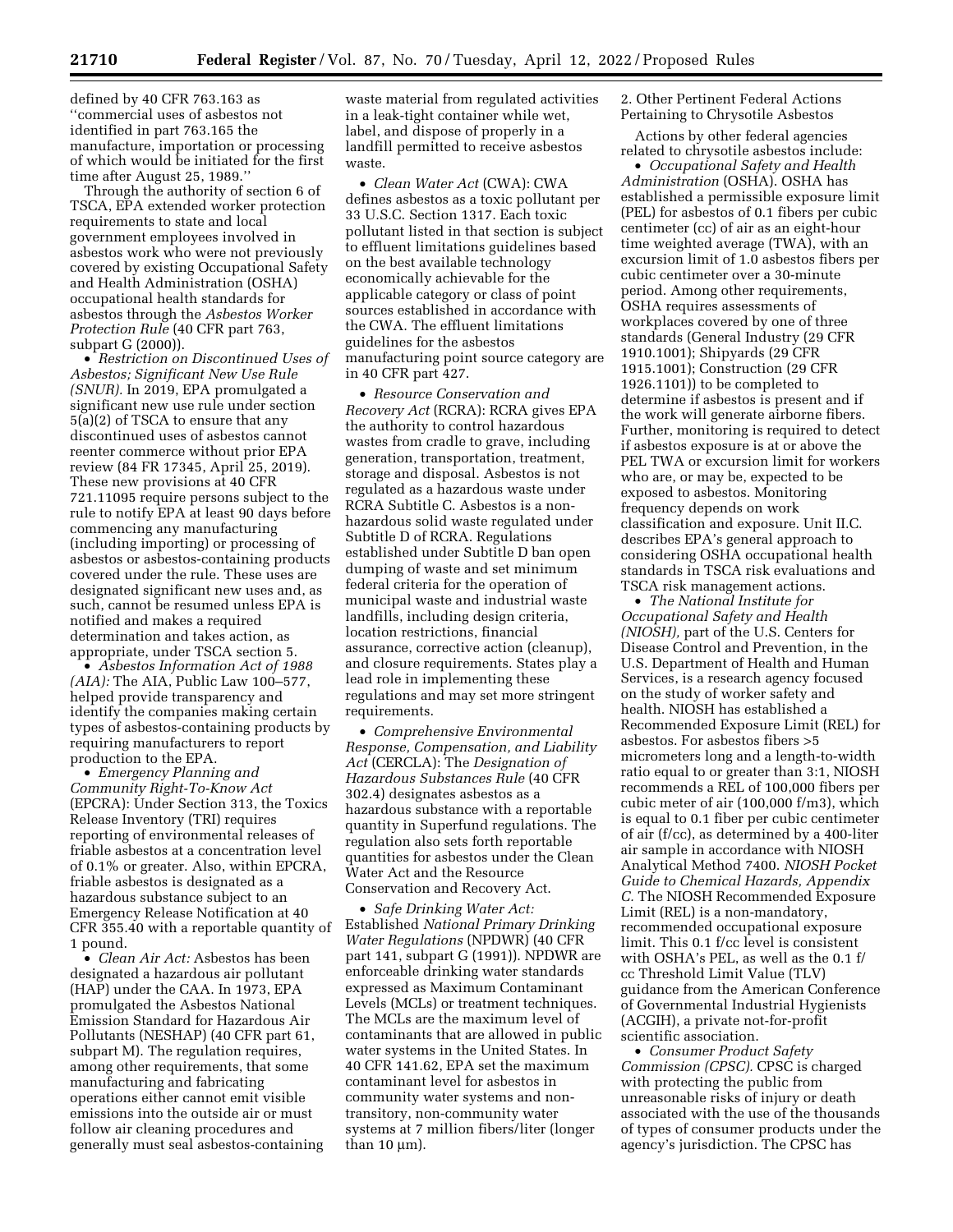defined by 40 CFR 763.163 as ''commercial uses of asbestos not identified in part 763.165 the manufacture, importation or processing of which would be initiated for the first time after August 25, 1989.''

Through the authority of section 6 of TSCA, EPA extended worker protection requirements to state and local government employees involved in asbestos work who were not previously covered by existing Occupational Safety and Health Administration (OSHA) occupational health standards for asbestos through the *Asbestos Worker Protection Rule* (40 CFR part 763, subpart G (2000)).

• *Restriction on Discontinued Uses of Asbestos; Significant New Use Rule (SNUR).* In 2019, EPA promulgated a significant new use rule under section 5(a)(2) of TSCA to ensure that any discontinued uses of asbestos cannot reenter commerce without prior EPA review (84 FR 17345, April 25, 2019). These new provisions at 40 CFR 721.11095 require persons subject to the rule to notify EPA at least 90 days before commencing any manufacturing (including importing) or processing of asbestos or asbestos-containing products covered under the rule. These uses are designated significant new uses and, as such, cannot be resumed unless EPA is notified and makes a required determination and takes action, as appropriate, under TSCA section 5.

• *Asbestos Information Act of 1988 (AIA):* The AIA, Public Law 100–577, helped provide transparency and identify the companies making certain types of asbestos-containing products by requiring manufacturers to report production to the EPA.

• *Emergency Planning and Community Right-To-Know Act*  (EPCRA): Under Section 313, the Toxics Release Inventory (TRI) requires reporting of environmental releases of friable asbestos at a concentration level of 0.1% or greater. Also, within EPCRA, friable asbestos is designated as a hazardous substance subject to an Emergency Release Notification at 40 CFR 355.40 with a reportable quantity of 1 pound.

• *Clean Air Act:* Asbestos has been designated a hazardous air pollutant (HAP) under the CAA. In 1973, EPA promulgated the Asbestos National Emission Standard for Hazardous Air Pollutants (NESHAP) (40 CFR part 61, subpart M). The regulation requires, among other requirements, that some manufacturing and fabricating operations either cannot emit visible emissions into the outside air or must follow air cleaning procedures and generally must seal asbestos-containing

waste material from regulated activities in a leak-tight container while wet, label, and dispose of properly in a landfill permitted to receive asbestos waste.

• *Clean Water Act* (CWA): CWA defines asbestos as a toxic pollutant per 33 U.S.C. Section 1317. Each toxic pollutant listed in that section is subject to effluent limitations guidelines based on the best available technology economically achievable for the applicable category or class of point sources established in accordance with the CWA. The effluent limitations guidelines for the asbestos manufacturing point source category are in 40 CFR part 427.

• *Resource Conservation and Recovery Act* (RCRA): RCRA gives EPA the authority to control hazardous wastes from cradle to grave, including generation, transportation, treatment, storage and disposal. Asbestos is not regulated as a hazardous waste under RCRA Subtitle C. Asbestos is a nonhazardous solid waste regulated under Subtitle D of RCRA. Regulations established under Subtitle D ban open dumping of waste and set minimum federal criteria for the operation of municipal waste and industrial waste landfills, including design criteria, location restrictions, financial assurance, corrective action (cleanup), and closure requirements. States play a lead role in implementing these regulations and may set more stringent requirements.

• *Comprehensive Environmental Response, Compensation, and Liability Act* (CERCLA): The *Designation of Hazardous Substances Rule* (40 CFR 302.4) designates asbestos as a hazardous substance with a reportable quantity in Superfund regulations. The regulation also sets forth reportable quantities for asbestos under the Clean Water Act and the Resource Conservation and Recovery Act.

• *Safe Drinking Water Act:*  Established *National Primary Drinking Water Regulations* (NPDWR) (40 CFR part 141, subpart G (1991)). NPDWR are enforceable drinking water standards expressed as Maximum Contaminant Levels (MCLs) or treatment techniques. The MCLs are the maximum level of contaminants that are allowed in public water systems in the United States. In 40 CFR 141.62, EPA set the maximum contaminant level for asbestos in community water systems and nontransitory, non-community water systems at 7 million fibers/liter (longer than  $10 \mu m$ ).

2. Other Pertinent Federal Actions Pertaining to Chrysotile Asbestos

Actions by other federal agencies related to chrysotile asbestos include:

• *Occupational Safety and Health Administration* (OSHA). OSHA has established a permissible exposure limit (PEL) for asbestos of 0.1 fibers per cubic centimeter (cc) of air as an eight-hour time weighted average (TWA), with an excursion limit of 1.0 asbestos fibers per cubic centimeter over a 30-minute period. Among other requirements, OSHA requires assessments of workplaces covered by one of three standards (General Industry (29 CFR 1910.1001); Shipyards (29 CFR 1915.1001); Construction (29 CFR 1926.1101)) to be completed to determine if asbestos is present and if the work will generate airborne fibers. Further, monitoring is required to detect if asbestos exposure is at or above the PEL TWA or excursion limit for workers who are, or may be, expected to be exposed to asbestos. Monitoring frequency depends on work classification and exposure. Unit II.C. describes EPA's general approach to considering OSHA occupational health standards in TSCA risk evaluations and TSCA risk management actions.

• *The National Institute for Occupational Safety and Health (NIOSH),* part of the U.S. Centers for Disease Control and Prevention, in the U.S. Department of Health and Human Services, is a research agency focused on the study of worker safety and health. NIOSH has established a Recommended Exposure Limit (REL) for asbestos. For asbestos fibers >5 micrometers long and a length-to-width ratio equal to or greater than 3:1, NIOSH recommends a REL of 100,000 fibers per cubic meter of air (100,000 f/m3), which is equal to 0.1 fiber per cubic centimeter of air (f/cc), as determined by a 400-liter air sample in accordance with NIOSH Analytical Method 7400. *NIOSH Pocket Guide to Chemical Hazards, Appendix C.* The NIOSH Recommended Exposure Limit (REL) is a non-mandatory, recommended occupational exposure limit. This 0.1 f/cc level is consistent with OSHA's PEL, as well as the 0.1 f/ cc Threshold Limit Value (TLV) guidance from the American Conference of Governmental Industrial Hygienists (ACGIH), a private not-for-profit scientific association.

• *Consumer Product Safety Commission (CPSC).* CPSC is charged with protecting the public from unreasonable risks of injury or death associated with the use of the thousands of types of consumer products under the agency's jurisdiction. The CPSC has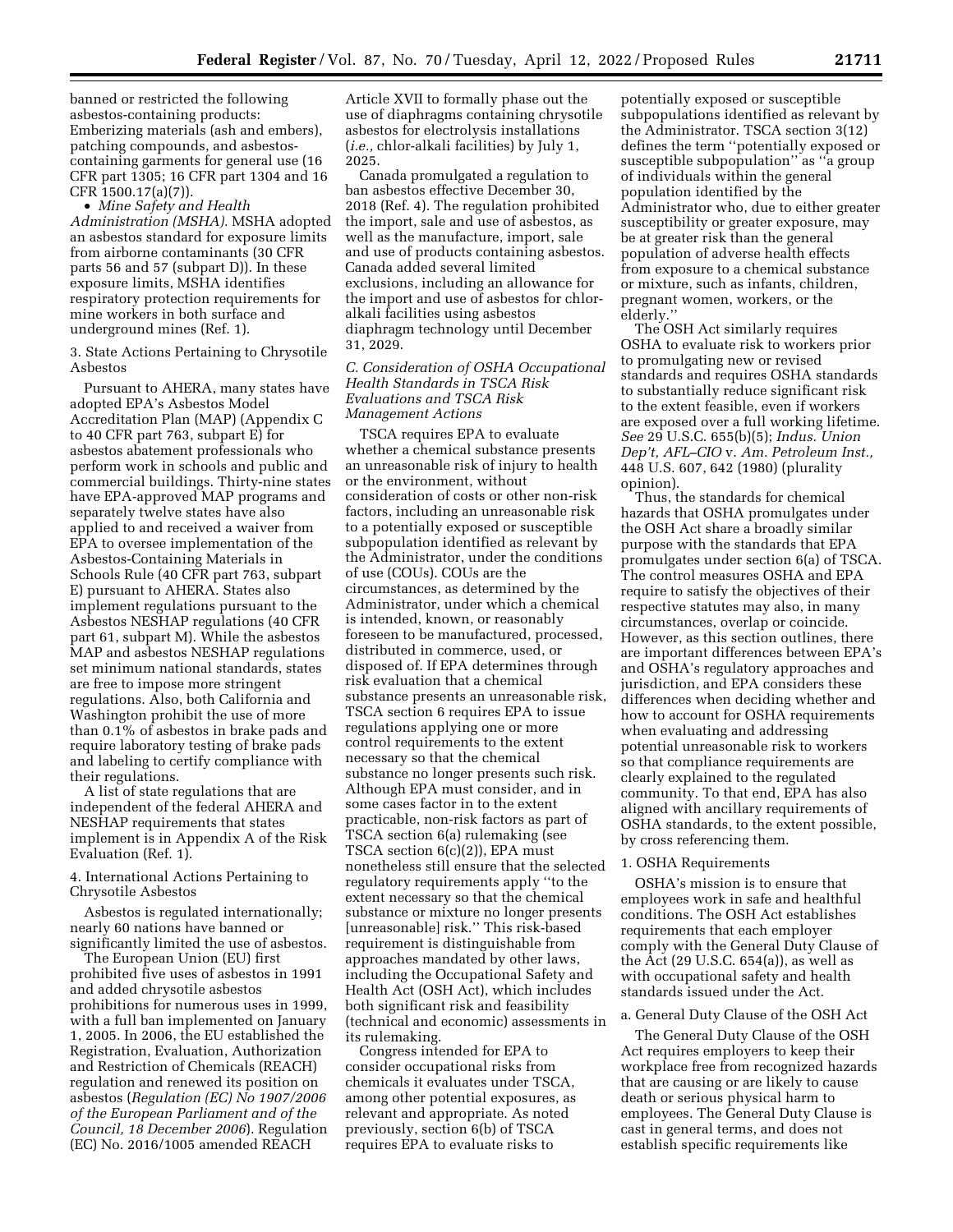banned or restricted the following asbestos-containing products: Emberizing materials (ash and embers), patching compounds, and asbestoscontaining garments for general use (16 CFR part 1305; 16 CFR part 1304 and 16 CFR 1500.17(a)(7)).

• *Mine Safety and Health Administration (MSHA).* MSHA adopted an asbestos standard for exposure limits from airborne contaminants (30 CFR parts 56 and 57 (subpart D)). In these exposure limits, MSHA identifies respiratory protection requirements for mine workers in both surface and underground mines (Ref. 1).

3. State Actions Pertaining to Chrysotile Asbestos

Pursuant to AHERA, many states have adopted EPA's Asbestos Model Accreditation Plan (MAP) (Appendix C to 40 CFR part 763, subpart E) for asbestos abatement professionals who perform work in schools and public and commercial buildings. Thirty-nine states have EPA-approved MAP programs and separately twelve states have also applied to and received a waiver from EPA to oversee implementation of the Asbestos-Containing Materials in Schools Rule (40 CFR part 763, subpart E) pursuant to AHERA. States also implement regulations pursuant to the Asbestos NESHAP regulations (40 CFR part 61, subpart M). While the asbestos MAP and asbestos NESHAP regulations set minimum national standards, states are free to impose more stringent regulations. Also, both California and Washington prohibit the use of more than 0.1% of asbestos in brake pads and require laboratory testing of brake pads and labeling to certify compliance with their regulations.

A list of state regulations that are independent of the federal AHERA and NESHAP requirements that states implement is in Appendix A of the Risk Evaluation (Ref. 1).

4. International Actions Pertaining to Chrysotile Asbestos

Asbestos is regulated internationally; nearly 60 nations have banned or significantly limited the use of asbestos.

The European Union (EU) first prohibited five uses of asbestos in 1991 and added chrysotile asbestos prohibitions for numerous uses in 1999, with a full ban implemented on January 1, 2005. In 2006, the EU established the Registration, Evaluation, Authorization and Restriction of Chemicals (REACH) regulation and renewed its position on asbestos (*Regulation (EC) No 1907/2006 of the European Parliament and of the Council, 18 December 2006*). Regulation (EC) No. 2016/1005 amended REACH

Article XVII to formally phase out the use of diaphragms containing chrysotile asbestos for electrolysis installations (*i.e.,* chlor-alkali facilities) by July 1, 2025.

Canada promulgated a regulation to ban asbestos effective December 30, 2018 (Ref. 4). The regulation prohibited the import, sale and use of asbestos, as well as the manufacture, import, sale and use of products containing asbestos. Canada added several limited exclusions, including an allowance for the import and use of asbestos for chloralkali facilities using asbestos diaphragm technology until December 31, 2029.

*C. Consideration of OSHA Occupational Health Standards in TSCA Risk Evaluations and TSCA Risk Management Actions* 

TSCA requires EPA to evaluate whether a chemical substance presents an unreasonable risk of injury to health or the environment, without consideration of costs or other non-risk factors, including an unreasonable risk to a potentially exposed or susceptible subpopulation identified as relevant by the Administrator, under the conditions of use (COUs). COUs are the circumstances, as determined by the Administrator, under which a chemical is intended, known, or reasonably foreseen to be manufactured, processed, distributed in commerce, used, or disposed of. If EPA determines through risk evaluation that a chemical substance presents an unreasonable risk, TSCA section 6 requires EPA to issue regulations applying one or more control requirements to the extent necessary so that the chemical substance no longer presents such risk. Although EPA must consider, and in some cases factor in to the extent practicable, non-risk factors as part of TSCA section 6(a) rulemaking (see TSCA section 6(c)(2)), EPA must nonetheless still ensure that the selected regulatory requirements apply ''to the extent necessary so that the chemical substance or mixture no longer presents [unreasonable] risk.'' This risk-based requirement is distinguishable from approaches mandated by other laws, including the Occupational Safety and Health Act (OSH Act), which includes both significant risk and feasibility (technical and economic) assessments in its rulemaking.

Congress intended for EPA to consider occupational risks from chemicals it evaluates under TSCA, among other potential exposures, as relevant and appropriate. As noted previously, section 6(b) of TSCA requires EPA to evaluate risks to

potentially exposed or susceptible subpopulations identified as relevant by the Administrator. TSCA section 3(12) defines the term ''potentially exposed or susceptible subpopulation'' as ''a group of individuals within the general population identified by the Administrator who, due to either greater susceptibility or greater exposure, may be at greater risk than the general population of adverse health effects from exposure to a chemical substance or mixture, such as infants, children, pregnant women, workers, or the elderly.''

The OSH Act similarly requires OSHA to evaluate risk to workers prior to promulgating new or revised standards and requires OSHA standards to substantially reduce significant risk to the extent feasible, even if workers are exposed over a full working lifetime. *See* 29 U.S.C. 655(b)(5); *Indus. Union Dep't, AFL–CIO* v. *Am. Petroleum Inst.,*  448 U.S. 607, 642 (1980) (plurality opinion).

Thus, the standards for chemical hazards that OSHA promulgates under the OSH Act share a broadly similar purpose with the standards that EPA promulgates under section 6(a) of TSCA. The control measures OSHA and EPA require to satisfy the objectives of their respective statutes may also, in many circumstances, overlap or coincide. However, as this section outlines, there are important differences between EPA's and OSHA's regulatory approaches and jurisdiction, and EPA considers these differences when deciding whether and how to account for OSHA requirements when evaluating and addressing potential unreasonable risk to workers so that compliance requirements are clearly explained to the regulated community. To that end, EPA has also aligned with ancillary requirements of OSHA standards, to the extent possible, by cross referencing them.

#### 1. OSHA Requirements

OSHA's mission is to ensure that employees work in safe and healthful conditions. The OSH Act establishes requirements that each employer comply with the General Duty Clause of the Act (29 U.S.C. 654(a)), as well as with occupational safety and health standards issued under the Act.

#### a. General Duty Clause of the OSH Act

The General Duty Clause of the OSH Act requires employers to keep their workplace free from recognized hazards that are causing or are likely to cause death or serious physical harm to employees. The General Duty Clause is cast in general terms, and does not establish specific requirements like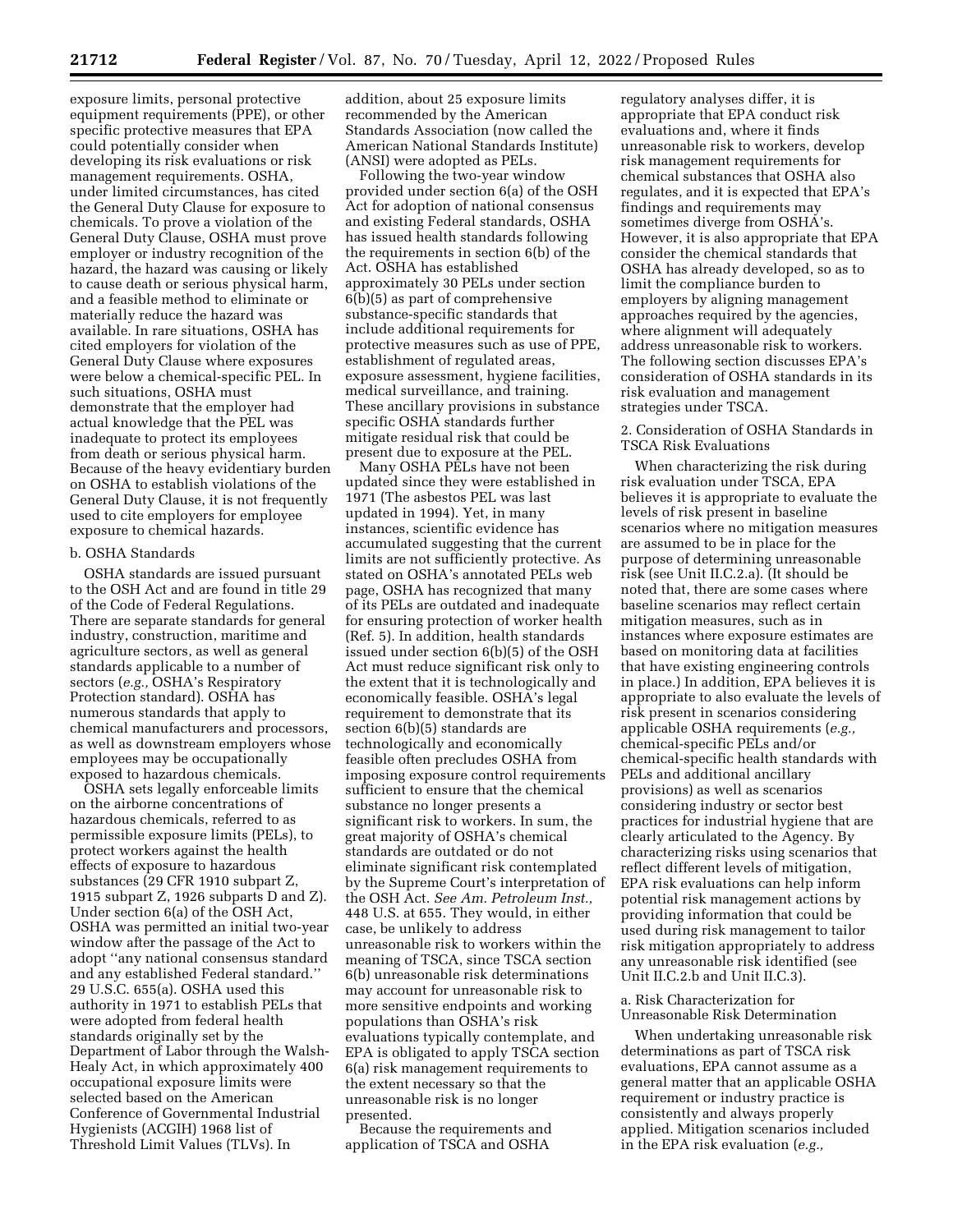exposure limits, personal protective equipment requirements (PPE), or other specific protective measures that EPA could potentially consider when developing its risk evaluations or risk management requirements. OSHA, under limited circumstances, has cited the General Duty Clause for exposure to chemicals. To prove a violation of the General Duty Clause, OSHA must prove employer or industry recognition of the hazard, the hazard was causing or likely to cause death or serious physical harm, and a feasible method to eliminate or materially reduce the hazard was available. In rare situations, OSHA has cited employers for violation of the General Duty Clause where exposures were below a chemical-specific PEL. In such situations, OSHA must demonstrate that the employer had actual knowledge that the PEL was inadequate to protect its employees from death or serious physical harm. Because of the heavy evidentiary burden on OSHA to establish violations of the General Duty Clause, it is not frequently used to cite employers for employee exposure to chemical hazards.

#### b. OSHA Standards

OSHA standards are issued pursuant to the OSH Act and are found in title 29 of the Code of Federal Regulations. There are separate standards for general industry, construction, maritime and agriculture sectors, as well as general standards applicable to a number of sectors (*e.g.,* OSHA's Respiratory Protection standard). OSHA has numerous standards that apply to chemical manufacturers and processors, as well as downstream employers whose employees may be occupationally exposed to hazardous chemicals.

OSHA sets legally enforceable limits on the airborne concentrations of hazardous chemicals, referred to as permissible exposure limits (PELs), to protect workers against the health effects of exposure to hazardous substances (29 CFR 1910 subpart Z, 1915 subpart Z, 1926 subparts D and Z). Under section 6(a) of the OSH Act, OSHA was permitted an initial two-year window after the passage of the Act to adopt ''any national consensus standard and any established Federal standard.'' 29 U.S.C. 655(a). OSHA used this authority in 1971 to establish PELs that were adopted from federal health standards originally set by the Department of Labor through the Walsh-Healy Act, in which approximately 400 occupational exposure limits were selected based on the American Conference of Governmental Industrial Hygienists (ACGIH) 1968 list of Threshold Limit Values (TLVs). In

addition, about 25 exposure limits recommended by the American Standards Association (now called the American National Standards Institute) (ANSI) were adopted as PELs.

Following the two-year window provided under section 6(a) of the OSH Act for adoption of national consensus and existing Federal standards, OSHA has issued health standards following the requirements in section 6(b) of the Act. OSHA has established approximately 30 PELs under section 6(b)(5) as part of comprehensive substance-specific standards that include additional requirements for protective measures such as use of PPE, establishment of regulated areas, exposure assessment, hygiene facilities, medical surveillance, and training. These ancillary provisions in substance specific OSHA standards further mitigate residual risk that could be present due to exposure at the PEL.

Many OSHA PELs have not been updated since they were established in 1971 (The asbestos PEL was last updated in 1994). Yet, in many instances, scientific evidence has accumulated suggesting that the current limits are not sufficiently protective. As stated on OSHA's annotated PELs web page, OSHA has recognized that many of its PELs are outdated and inadequate for ensuring protection of worker health (Ref. 5). In addition, health standards issued under section 6(b)(5) of the OSH Act must reduce significant risk only to the extent that it is technologically and economically feasible. OSHA's legal requirement to demonstrate that its section 6(b)(5) standards are technologically and economically feasible often precludes OSHA from imposing exposure control requirements sufficient to ensure that the chemical substance no longer presents a significant risk to workers. In sum, the great majority of OSHA's chemical standards are outdated or do not eliminate significant risk contemplated by the Supreme Court's interpretation of the OSH Act. *See Am. Petroleum Inst.,*  448 U.S. at 655. They would, in either case, be unlikely to address unreasonable risk to workers within the meaning of TSCA, since TSCA section 6(b) unreasonable risk determinations may account for unreasonable risk to more sensitive endpoints and working populations than OSHA's risk evaluations typically contemplate, and EPA is obligated to apply TSCA section 6(a) risk management requirements to the extent necessary so that the unreasonable risk is no longer presented.

Because the requirements and application of TSCA and OSHA

regulatory analyses differ, it is appropriate that EPA conduct risk evaluations and, where it finds unreasonable risk to workers, develop risk management requirements for chemical substances that OSHA also regulates, and it is expected that EPA's findings and requirements may sometimes diverge from OSHA's. However, it is also appropriate that EPA consider the chemical standards that OSHA has already developed, so as to limit the compliance burden to employers by aligning management approaches required by the agencies, where alignment will adequately address unreasonable risk to workers. The following section discusses EPA's consideration of OSHA standards in its risk evaluation and management strategies under TSCA.

### 2. Consideration of OSHA Standards in TSCA Risk Evaluations

When characterizing the risk during risk evaluation under TSCA, EPA believes it is appropriate to evaluate the levels of risk present in baseline scenarios where no mitigation measures are assumed to be in place for the purpose of determining unreasonable risk (see Unit II.C.2.a). (It should be noted that, there are some cases where baseline scenarios may reflect certain mitigation measures, such as in instances where exposure estimates are based on monitoring data at facilities that have existing engineering controls in place.) In addition, EPA believes it is appropriate to also evaluate the levels of risk present in scenarios considering applicable OSHA requirements (*e.g.,*  chemical-specific PELs and/or chemical-specific health standards with PELs and additional ancillary provisions) as well as scenarios considering industry or sector best practices for industrial hygiene that are clearly articulated to the Agency. By characterizing risks using scenarios that reflect different levels of mitigation, EPA risk evaluations can help inform potential risk management actions by providing information that could be used during risk management to tailor risk mitigation appropriately to address any unreasonable risk identified (see Unit II.C.2.b and Unit II.C.3).

a. Risk Characterization for Unreasonable Risk Determination

When undertaking unreasonable risk determinations as part of TSCA risk evaluations, EPA cannot assume as a general matter that an applicable OSHA requirement or industry practice is consistently and always properly applied. Mitigation scenarios included in the EPA risk evaluation (*e.g.,*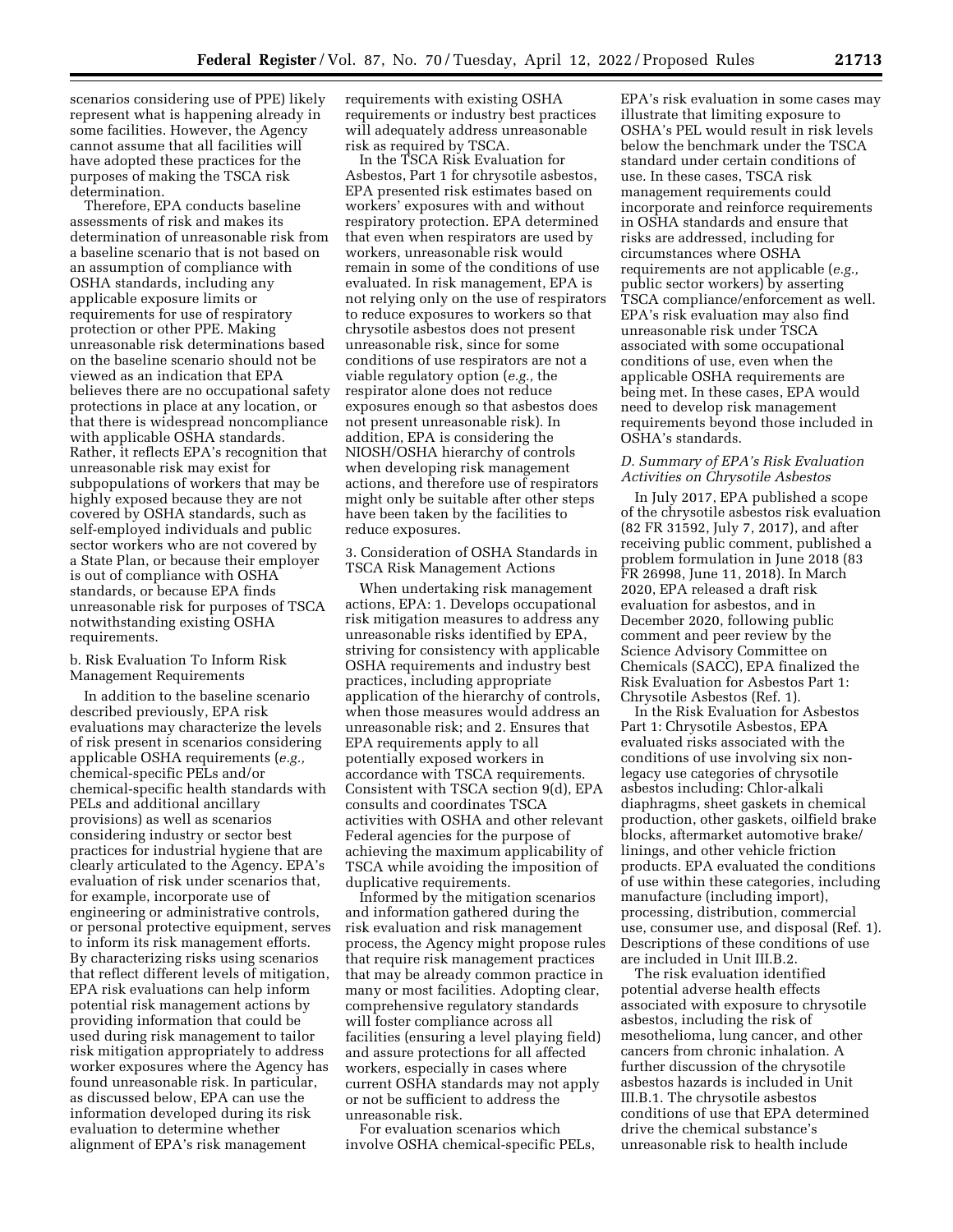scenarios considering use of PPE) likely represent what is happening already in some facilities. However, the Agency cannot assume that all facilities will have adopted these practices for the purposes of making the TSCA risk determination.

Therefore, EPA conducts baseline assessments of risk and makes its determination of unreasonable risk from a baseline scenario that is not based on an assumption of compliance with OSHA standards, including any applicable exposure limits or requirements for use of respiratory protection or other PPE. Making unreasonable risk determinations based on the baseline scenario should not be viewed as an indication that EPA believes there are no occupational safety protections in place at any location, or that there is widespread noncompliance with applicable OSHA standards. Rather, it reflects EPA's recognition that unreasonable risk may exist for subpopulations of workers that may be highly exposed because they are not covered by OSHA standards, such as self-employed individuals and public sector workers who are not covered by a State Plan, or because their employer is out of compliance with OSHA standards, or because EPA finds unreasonable risk for purposes of TSCA notwithstanding existing OSHA requirements.

b. Risk Evaluation To Inform Risk Management Requirements

In addition to the baseline scenario described previously, EPA risk evaluations may characterize the levels of risk present in scenarios considering applicable OSHA requirements (*e.g.,*  chemical-specific PELs and/or chemical-specific health standards with PELs and additional ancillary provisions) as well as scenarios considering industry or sector best practices for industrial hygiene that are clearly articulated to the Agency. EPA's evaluation of risk under scenarios that, for example, incorporate use of engineering or administrative controls, or personal protective equipment, serves to inform its risk management efforts. By characterizing risks using scenarios that reflect different levels of mitigation, EPA risk evaluations can help inform potential risk management actions by providing information that could be used during risk management to tailor risk mitigation appropriately to address worker exposures where the Agency has found unreasonable risk. In particular, as discussed below, EPA can use the information developed during its risk evaluation to determine whether alignment of EPA's risk management

requirements with existing OSHA requirements or industry best practices will adequately address unreasonable risk as required by TSCA.

In the TSCA Risk Evaluation for Asbestos, Part 1 for chrysotile asbestos, EPA presented risk estimates based on workers' exposures with and without respiratory protection. EPA determined that even when respirators are used by workers, unreasonable risk would remain in some of the conditions of use evaluated. In risk management, EPA is not relying only on the use of respirators to reduce exposures to workers so that chrysotile asbestos does not present unreasonable risk, since for some conditions of use respirators are not a viable regulatory option (*e.g.,* the respirator alone does not reduce exposures enough so that asbestos does not present unreasonable risk). In addition, EPA is considering the NIOSH/OSHA hierarchy of controls when developing risk management actions, and therefore use of respirators might only be suitable after other steps have been taken by the facilities to reduce exposures.

3. Consideration of OSHA Standards in TSCA Risk Management Actions

When undertaking risk management actions, EPA: 1. Develops occupational risk mitigation measures to address any unreasonable risks identified by EPA, striving for consistency with applicable OSHA requirements and industry best practices, including appropriate application of the hierarchy of controls, when those measures would address an unreasonable risk; and 2. Ensures that EPA requirements apply to all potentially exposed workers in accordance with TSCA requirements. Consistent with TSCA section 9(d), EPA consults and coordinates TSCA activities with OSHA and other relevant Federal agencies for the purpose of achieving the maximum applicability of TSCA while avoiding the imposition of duplicative requirements.

Informed by the mitigation scenarios and information gathered during the risk evaluation and risk management process, the Agency might propose rules that require risk management practices that may be already common practice in many or most facilities. Adopting clear, comprehensive regulatory standards will foster compliance across all facilities (ensuring a level playing field) and assure protections for all affected workers, especially in cases where current OSHA standards may not apply or not be sufficient to address the unreasonable risk.

For evaluation scenarios which involve OSHA chemical-specific PELs,

EPA's risk evaluation in some cases may illustrate that limiting exposure to OSHA's PEL would result in risk levels below the benchmark under the TSCA standard under certain conditions of use. In these cases, TSCA risk management requirements could incorporate and reinforce requirements in OSHA standards and ensure that risks are addressed, including for circumstances where OSHA requirements are not applicable (*e.g.,*  public sector workers) by asserting TSCA compliance/enforcement as well. EPA's risk evaluation may also find unreasonable risk under TSCA associated with some occupational conditions of use, even when the applicable OSHA requirements are being met. In these cases, EPA would need to develop risk management requirements beyond those included in OSHA's standards.

# *D. Summary of EPA's Risk Evaluation Activities on Chrysotile Asbestos*

In July 2017, EPA published a scope of the chrysotile asbestos risk evaluation (82 FR 31592, July 7, 2017), and after receiving public comment, published a problem formulation in June 2018 (83 FR 26998, June 11, 2018). In March 2020, EPA released a draft risk evaluation for asbestos, and in December 2020, following public comment and peer review by the Science Advisory Committee on Chemicals (SACC), EPA finalized the Risk Evaluation for Asbestos Part 1: Chrysotile Asbestos (Ref. 1).

In the Risk Evaluation for Asbestos Part 1: Chrysotile Asbestos, EPA evaluated risks associated with the conditions of use involving six nonlegacy use categories of chrysotile asbestos including: Chlor-alkali diaphragms, sheet gaskets in chemical production, other gaskets, oilfield brake blocks, aftermarket automotive brake/ linings, and other vehicle friction products. EPA evaluated the conditions of use within these categories, including manufacture (including import), processing, distribution, commercial use, consumer use, and disposal (Ref. 1). Descriptions of these conditions of use are included in Unit III.B.2.

The risk evaluation identified potential adverse health effects associated with exposure to chrysotile asbestos, including the risk of mesothelioma, lung cancer, and other cancers from chronic inhalation. A further discussion of the chrysotile asbestos hazards is included in Unit III.B.1. The chrysotile asbestos conditions of use that EPA determined drive the chemical substance's unreasonable risk to health include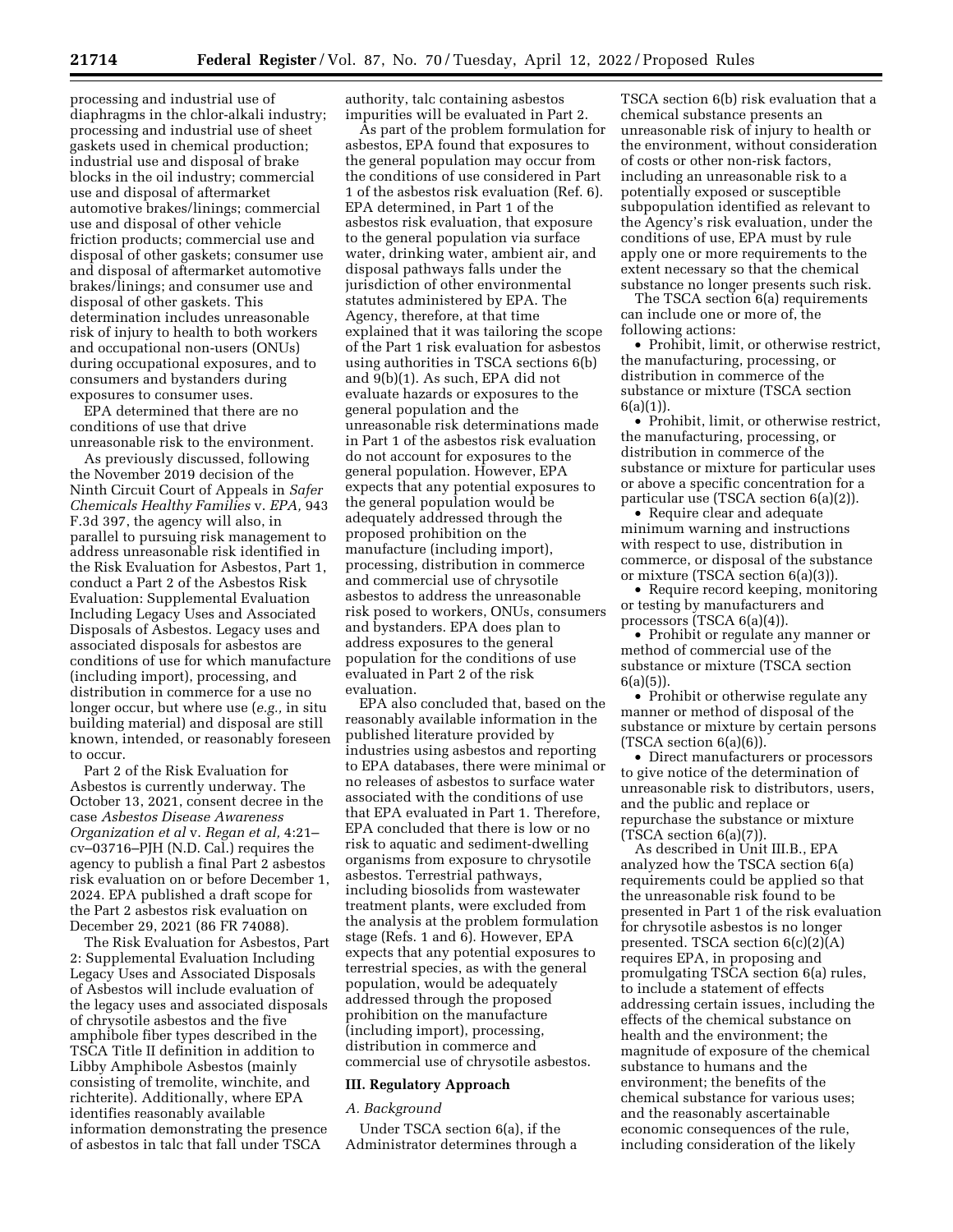processing and industrial use of diaphragms in the chlor-alkali industry; processing and industrial use of sheet gaskets used in chemical production; industrial use and disposal of brake blocks in the oil industry; commercial use and disposal of aftermarket automotive brakes/linings; commercial use and disposal of other vehicle friction products; commercial use and disposal of other gaskets; consumer use and disposal of aftermarket automotive brakes/linings; and consumer use and disposal of other gaskets. This determination includes unreasonable risk of injury to health to both workers and occupational non-users (ONUs) during occupational exposures, and to consumers and bystanders during exposures to consumer uses.

EPA determined that there are no conditions of use that drive unreasonable risk to the environment.

As previously discussed, following the November 2019 decision of the Ninth Circuit Court of Appeals in *Safer Chemicals Healthy Families* v. *EPA,* 943 F.3d 397, the agency will also, in parallel to pursuing risk management to address unreasonable risk identified in the Risk Evaluation for Asbestos, Part 1, conduct a Part 2 of the Asbestos Risk Evaluation: Supplemental Evaluation Including Legacy Uses and Associated Disposals of Asbestos. Legacy uses and associated disposals for asbestos are conditions of use for which manufacture (including import), processing, and distribution in commerce for a use no longer occur, but where use (*e.g.,* in situ building material) and disposal are still known, intended, or reasonably foreseen to occur.

Part 2 of the Risk Evaluation for Asbestos is currently underway. The October 13, 2021, consent decree in the case *Asbestos Disease Awareness Organization et al* v. *Regan et al,* 4:21– cv–03716–PJH (N.D. Cal.) requires the agency to publish a final Part 2 asbestos risk evaluation on or before December 1, 2024. EPA published a draft scope for the Part 2 asbestos risk evaluation on December 29, 2021 (86 FR 74088).

The Risk Evaluation for Asbestos, Part 2: Supplemental Evaluation Including Legacy Uses and Associated Disposals of Asbestos will include evaluation of the legacy uses and associated disposals of chrysotile asbestos and the five amphibole fiber types described in the TSCA Title II definition in addition to Libby Amphibole Asbestos (mainly consisting of tremolite, winchite, and richterite). Additionally, where EPA identifies reasonably available information demonstrating the presence of asbestos in talc that fall under TSCA

authority, talc containing asbestos impurities will be evaluated in Part 2.

As part of the problem formulation for asbestos, EPA found that exposures to the general population may occur from the conditions of use considered in Part 1 of the asbestos risk evaluation (Ref. 6). EPA determined, in Part 1 of the asbestos risk evaluation, that exposure to the general population via surface water, drinking water, ambient air, and disposal pathways falls under the jurisdiction of other environmental statutes administered by EPA. The Agency, therefore, at that time explained that it was tailoring the scope of the Part 1 risk evaluation for asbestos using authorities in TSCA sections 6(b) and 9(b)(1). As such, EPA did not evaluate hazards or exposures to the general population and the unreasonable risk determinations made in Part 1 of the asbestos risk evaluation do not account for exposures to the general population. However, EPA expects that any potential exposures to the general population would be adequately addressed through the proposed prohibition on the manufacture (including import), processing, distribution in commerce and commercial use of chrysotile asbestos to address the unreasonable risk posed to workers, ONUs, consumers and bystanders. EPA does plan to address exposures to the general population for the conditions of use evaluated in Part 2 of the risk evaluation.

EPA also concluded that, based on the reasonably available information in the published literature provided by industries using asbestos and reporting to EPA databases, there were minimal or no releases of asbestos to surface water associated with the conditions of use that EPA evaluated in Part 1. Therefore, EPA concluded that there is low or no risk to aquatic and sediment-dwelling organisms from exposure to chrysotile asbestos. Terrestrial pathways, including biosolids from wastewater treatment plants, were excluded from the analysis at the problem formulation stage (Refs. 1 and 6). However, EPA expects that any potential exposures to terrestrial species, as with the general population, would be adequately addressed through the proposed prohibition on the manufacture (including import), processing, distribution in commerce and commercial use of chrysotile asbestos.

# **III. Regulatory Approach**

#### *A. Background*

Under TSCA section 6(a), if the Administrator determines through a

TSCA section 6(b) risk evaluation that a chemical substance presents an unreasonable risk of injury to health or the environment, without consideration of costs or other non-risk factors, including an unreasonable risk to a potentially exposed or susceptible subpopulation identified as relevant to the Agency's risk evaluation, under the conditions of use, EPA must by rule apply one or more requirements to the extent necessary so that the chemical substance no longer presents such risk.

The TSCA section 6(a) requirements can include one or more of, the following actions:

• Prohibit, limit, or otherwise restrict, the manufacturing, processing, or distribution in commerce of the substance or mixture (TSCA section 6(a)(1)).

• Prohibit, limit, or otherwise restrict, the manufacturing, processing, or distribution in commerce of the substance or mixture for particular uses or above a specific concentration for a particular use (TSCA section 6(a)(2)).

• Require clear and adequate minimum warning and instructions with respect to use, distribution in commerce, or disposal of the substance or mixture (TSCA section 6(a)(3)).

• Require record keeping, monitoring or testing by manufacturers and processors (TSCA 6(a)(4)).

• Prohibit or regulate any manner or method of commercial use of the substance or mixture (TSCA section 6(a)(5)).

• Prohibit or otherwise regulate any manner or method of disposal of the substance or mixture by certain persons  $(TSCA section 6(a)(6)).$ 

• Direct manufacturers or processors to give notice of the determination of unreasonable risk to distributors, users, and the public and replace or repurchase the substance or mixture (TSCA section 6(a)(7)).

As described in Unit III.B., EPA analyzed how the TSCA section 6(a) requirements could be applied so that the unreasonable risk found to be presented in Part 1 of the risk evaluation for chrysotile asbestos is no longer presented. TSCA section 6(c)(2)(A) requires EPA, in proposing and promulgating TSCA section 6(a) rules, to include a statement of effects addressing certain issues, including the effects of the chemical substance on health and the environment; the magnitude of exposure of the chemical substance to humans and the environment; the benefits of the chemical substance for various uses; and the reasonably ascertainable economic consequences of the rule, including consideration of the likely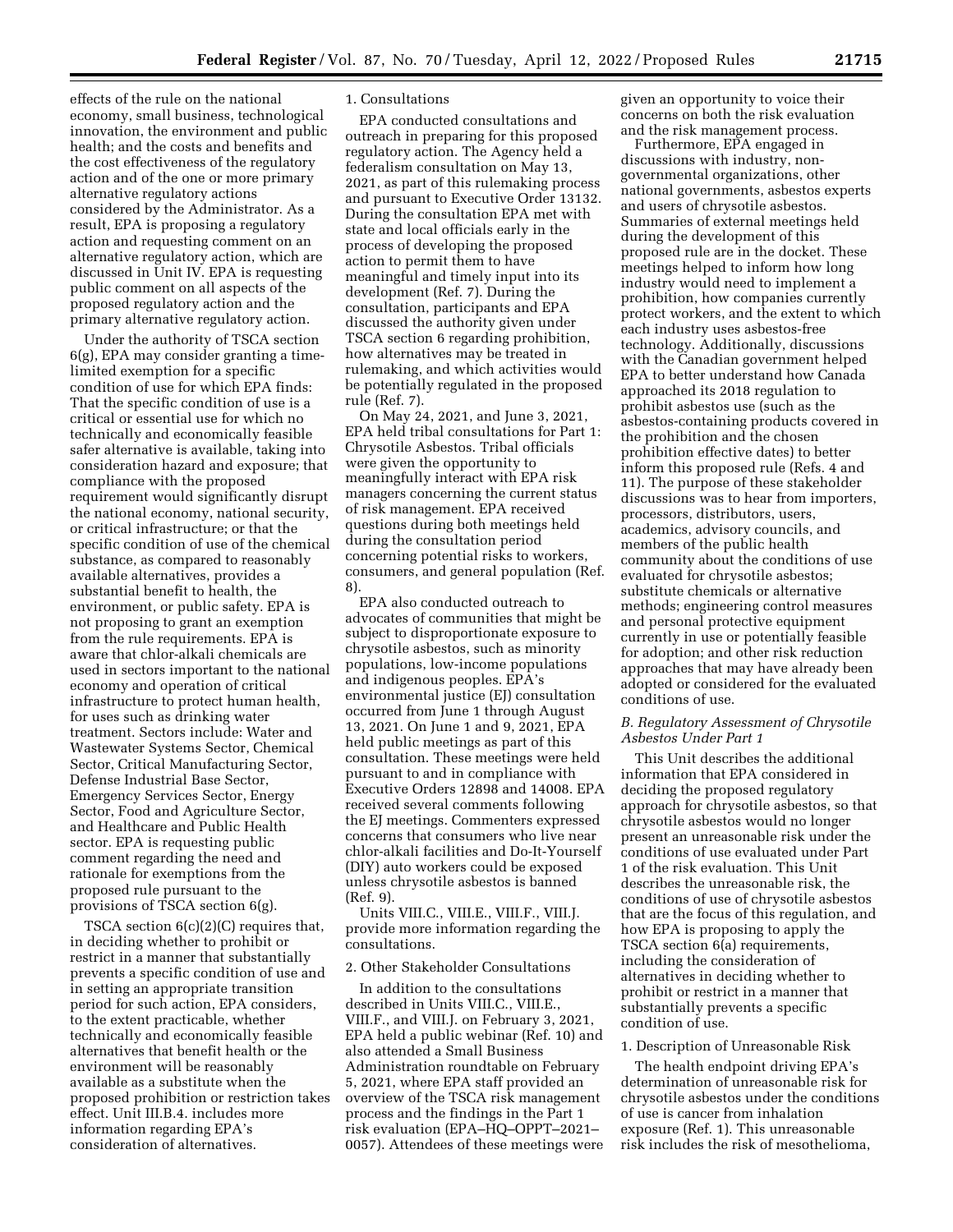effects of the rule on the national economy, small business, technological innovation, the environment and public health; and the costs and benefits and the cost effectiveness of the regulatory action and of the one or more primary alternative regulatory actions considered by the Administrator. As a result, EPA is proposing a regulatory action and requesting comment on an alternative regulatory action, which are discussed in Unit IV. EPA is requesting public comment on all aspects of the proposed regulatory action and the primary alternative regulatory action.

Under the authority of TSCA section 6(g), EPA may consider granting a timelimited exemption for a specific condition of use for which EPA finds: That the specific condition of use is a critical or essential use for which no technically and economically feasible safer alternative is available, taking into consideration hazard and exposure; that compliance with the proposed requirement would significantly disrupt the national economy, national security, or critical infrastructure; or that the specific condition of use of the chemical substance, as compared to reasonably available alternatives, provides a substantial benefit to health, the environment, or public safety. EPA is not proposing to grant an exemption from the rule requirements. EPA is aware that chlor-alkali chemicals are used in sectors important to the national economy and operation of critical infrastructure to protect human health, for uses such as drinking water treatment. Sectors include: Water and Wastewater Systems Sector, Chemical Sector, Critical Manufacturing Sector, Defense Industrial Base Sector, Emergency Services Sector, Energy Sector, Food and Agriculture Sector, and Healthcare and Public Health sector. EPA is requesting public comment regarding the need and rationale for exemptions from the proposed rule pursuant to the provisions of TSCA section 6(g).

TSCA section 6(c)(2)(C) requires that, in deciding whether to prohibit or restrict in a manner that substantially prevents a specific condition of use and in setting an appropriate transition period for such action, EPA considers, to the extent practicable, whether technically and economically feasible alternatives that benefit health or the environment will be reasonably available as a substitute when the proposed prohibition or restriction takes effect. Unit III.B.4. includes more information regarding EPA's consideration of alternatives.

#### 1. Consultations

EPA conducted consultations and outreach in preparing for this proposed regulatory action. The Agency held a federalism consultation on May 13, 2021, as part of this rulemaking process and pursuant to Executive Order 13132. During the consultation EPA met with state and local officials early in the process of developing the proposed action to permit them to have meaningful and timely input into its development (Ref. 7). During the consultation, participants and EPA discussed the authority given under TSCA section 6 regarding prohibition, how alternatives may be treated in rulemaking, and which activities would be potentially regulated in the proposed rule (Ref. 7).

On May 24, 2021, and June 3, 2021, EPA held tribal consultations for Part 1: Chrysotile Asbestos. Tribal officials were given the opportunity to meaningfully interact with EPA risk managers concerning the current status of risk management. EPA received questions during both meetings held during the consultation period concerning potential risks to workers, consumers, and general population (Ref. 8).

EPA also conducted outreach to advocates of communities that might be subject to disproportionate exposure to chrysotile asbestos, such as minority populations, low-income populations and indigenous peoples. EPA's environmental justice (EJ) consultation occurred from June 1 through August 13, 2021. On June 1 and 9, 2021, EPA held public meetings as part of this consultation. These meetings were held pursuant to and in compliance with Executive Orders 12898 and 14008. EPA received several comments following the EJ meetings. Commenters expressed concerns that consumers who live near chlor-alkali facilities and Do-It-Yourself (DIY) auto workers could be exposed unless chrysotile asbestos is banned (Ref. 9).

Units VIII.C., VIII.E., VIII.F., VIII.J. provide more information regarding the consultations.

# 2. Other Stakeholder Consultations

In addition to the consultations described in Units VIII.C., VIII.E., VIII.F., and VIII.J. on February 3, 2021, EPA held a public webinar (Ref. 10) and also attended a Small Business Administration roundtable on February 5, 2021, where EPA staff provided an overview of the TSCA risk management process and the findings in the Part 1 risk evaluation (EPA–HQ–OPPT–2021– 0057). Attendees of these meetings were given an opportunity to voice their concerns on both the risk evaluation and the risk management process.

Furthermore, EPA engaged in discussions with industry, nongovernmental organizations, other national governments, asbestos experts and users of chrysotile asbestos. Summaries of external meetings held during the development of this proposed rule are in the docket. These meetings helped to inform how long industry would need to implement a prohibition, how companies currently protect workers, and the extent to which each industry uses asbestos-free technology. Additionally, discussions with the Canadian government helped EPA to better understand how Canada approached its 2018 regulation to prohibit asbestos use (such as the asbestos-containing products covered in the prohibition and the chosen prohibition effective dates) to better inform this proposed rule (Refs. 4 and 11). The purpose of these stakeholder discussions was to hear from importers, processors, distributors, users, academics, advisory councils, and members of the public health community about the conditions of use evaluated for chrysotile asbestos; substitute chemicals or alternative methods; engineering control measures and personal protective equipment currently in use or potentially feasible for adoption; and other risk reduction approaches that may have already been adopted or considered for the evaluated conditions of use.

### *B. Regulatory Assessment of Chrysotile Asbestos Under Part 1*

This Unit describes the additional information that EPA considered in deciding the proposed regulatory approach for chrysotile asbestos, so that chrysotile asbestos would no longer present an unreasonable risk under the conditions of use evaluated under Part 1 of the risk evaluation. This Unit describes the unreasonable risk, the conditions of use of chrysotile asbestos that are the focus of this regulation, and how EPA is proposing to apply the TSCA section 6(a) requirements, including the consideration of alternatives in deciding whether to prohibit or restrict in a manner that substantially prevents a specific condition of use.

### 1. Description of Unreasonable Risk

The health endpoint driving EPA's determination of unreasonable risk for chrysotile asbestos under the conditions of use is cancer from inhalation exposure (Ref. 1). This unreasonable risk includes the risk of mesothelioma,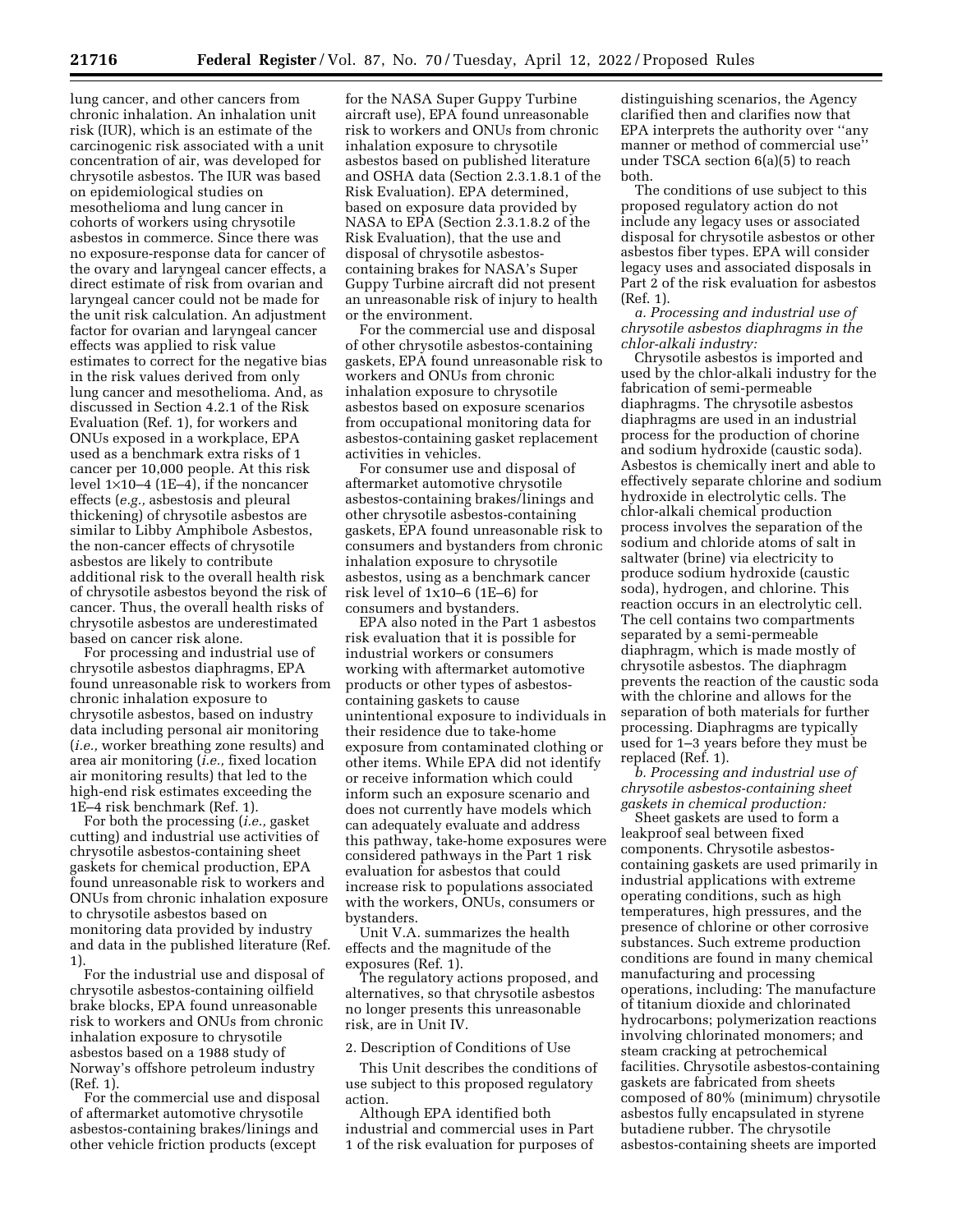lung cancer, and other cancers from chronic inhalation. An inhalation unit risk (IUR), which is an estimate of the carcinogenic risk associated with a unit concentration of air, was developed for chrysotile asbestos. The IUR was based on epidemiological studies on mesothelioma and lung cancer in cohorts of workers using chrysotile asbestos in commerce. Since there was no exposure-response data for cancer of the ovary and laryngeal cancer effects, a direct estimate of risk from ovarian and laryngeal cancer could not be made for the unit risk calculation. An adjustment factor for ovarian and laryngeal cancer effects was applied to risk value estimates to correct for the negative bias in the risk values derived from only lung cancer and mesothelioma. And, as discussed in Section 4.2.1 of the Risk Evaluation (Ref. 1), for workers and ONUs exposed in a workplace, EPA used as a benchmark extra risks of 1 cancer per 10,000 people. At this risk level  $1\times10-4$  (1E-4), if the noncancer effects (*e.g.,* asbestosis and pleural thickening) of chrysotile asbestos are similar to Libby Amphibole Asbestos, the non-cancer effects of chrysotile asbestos are likely to contribute additional risk to the overall health risk of chrysotile asbestos beyond the risk of cancer. Thus, the overall health risks of chrysotile asbestos are underestimated based on cancer risk alone.

For processing and industrial use of chrysotile asbestos diaphragms, EPA found unreasonable risk to workers from chronic inhalation exposure to chrysotile asbestos, based on industry data including personal air monitoring (*i.e.,* worker breathing zone results) and area air monitoring (*i.e.,* fixed location air monitoring results) that led to the high-end risk estimates exceeding the 1E–4 risk benchmark (Ref. 1).

For both the processing (*i.e.,* gasket cutting) and industrial use activities of chrysotile asbestos-containing sheet gaskets for chemical production, EPA found unreasonable risk to workers and ONUs from chronic inhalation exposure to chrysotile asbestos based on monitoring data provided by industry and data in the published literature (Ref. 1).

For the industrial use and disposal of chrysotile asbestos-containing oilfield brake blocks, EPA found unreasonable risk to workers and ONUs from chronic inhalation exposure to chrysotile asbestos based on a 1988 study of Norway's offshore petroleum industry (Ref. 1).

For the commercial use and disposal of aftermarket automotive chrysotile asbestos-containing brakes/linings and other vehicle friction products (except

for the NASA Super Guppy Turbine aircraft use), EPA found unreasonable risk to workers and ONUs from chronic inhalation exposure to chrysotile asbestos based on published literature and OSHA data (Section 2.3.1.8.1 of the Risk Evaluation). EPA determined, based on exposure data provided by NASA to EPA (Section 2.3.1.8.2 of the Risk Evaluation), that the use and disposal of chrysotile asbestoscontaining brakes for NASA's Super Guppy Turbine aircraft did not present an unreasonable risk of injury to health or the environment.

For the commercial use and disposal of other chrysotile asbestos-containing gaskets, EPA found unreasonable risk to workers and ONUs from chronic inhalation exposure to chrysotile asbestos based on exposure scenarios from occupational monitoring data for asbestos-containing gasket replacement activities in vehicles.

For consumer use and disposal of aftermarket automotive chrysotile asbestos-containing brakes/linings and other chrysotile asbestos-containing gaskets, EPA found unreasonable risk to consumers and bystanders from chronic inhalation exposure to chrysotile asbestos, using as a benchmark cancer risk level of 1x10–6 (1E–6) for consumers and bystanders.

EPA also noted in the Part 1 asbestos risk evaluation that it is possible for industrial workers or consumers working with aftermarket automotive products or other types of asbestoscontaining gaskets to cause unintentional exposure to individuals in their residence due to take-home exposure from contaminated clothing or other items. While EPA did not identify or receive information which could inform such an exposure scenario and does not currently have models which can adequately evaluate and address this pathway, take-home exposures were considered pathways in the Part 1 risk evaluation for asbestos that could increase risk to populations associated with the workers, ONUs, consumers or bystanders.

Unit V.A. summarizes the health effects and the magnitude of the exposures (Ref. 1).

The regulatory actions proposed, and alternatives, so that chrysotile asbestos no longer presents this unreasonable risk, are in Unit IV.

2. Description of Conditions of Use

This Unit describes the conditions of use subject to this proposed regulatory action.

Although EPA identified both industrial and commercial uses in Part 1 of the risk evaluation for purposes of

distinguishing scenarios, the Agency clarified then and clarifies now that EPA interprets the authority over ''any manner or method of commercial use'' under TSCA section 6(a)(5) to reach both.

The conditions of use subject to this proposed regulatory action do not include any legacy uses or associated disposal for chrysotile asbestos or other asbestos fiber types. EPA will consider legacy uses and associated disposals in Part 2 of the risk evaluation for asbestos (Ref. 1).

*a. Processing and industrial use of chrysotile asbestos diaphragms in the chlor-alkali industry:* 

Chrysotile asbestos is imported and used by the chlor-alkali industry for the fabrication of semi-permeable diaphragms. The chrysotile asbestos diaphragms are used in an industrial process for the production of chorine and sodium hydroxide (caustic soda). Asbestos is chemically inert and able to effectively separate chlorine and sodium hydroxide in electrolytic cells. The chlor-alkali chemical production process involves the separation of the sodium and chloride atoms of salt in saltwater (brine) via electricity to produce sodium hydroxide (caustic soda), hydrogen, and chlorine. This reaction occurs in an electrolytic cell. The cell contains two compartments separated by a semi-permeable diaphragm, which is made mostly of chrysotile asbestos. The diaphragm prevents the reaction of the caustic soda with the chlorine and allows for the separation of both materials for further processing. Diaphragms are typically used for 1–3 years before they must be replaced (Ref. 1).

*b. Processing and industrial use of chrysotile asbestos-containing sheet gaskets in chemical production:* 

Sheet gaskets are used to form a leakproof seal between fixed components. Chrysotile asbestoscontaining gaskets are used primarily in industrial applications with extreme operating conditions, such as high temperatures, high pressures, and the presence of chlorine or other corrosive substances. Such extreme production conditions are found in many chemical manufacturing and processing operations, including: The manufacture of titanium dioxide and chlorinated hydrocarbons; polymerization reactions involving chlorinated monomers; and steam cracking at petrochemical facilities. Chrysotile asbestos-containing gaskets are fabricated from sheets composed of 80% (minimum) chrysotile asbestos fully encapsulated in styrene butadiene rubber. The chrysotile asbestos-containing sheets are imported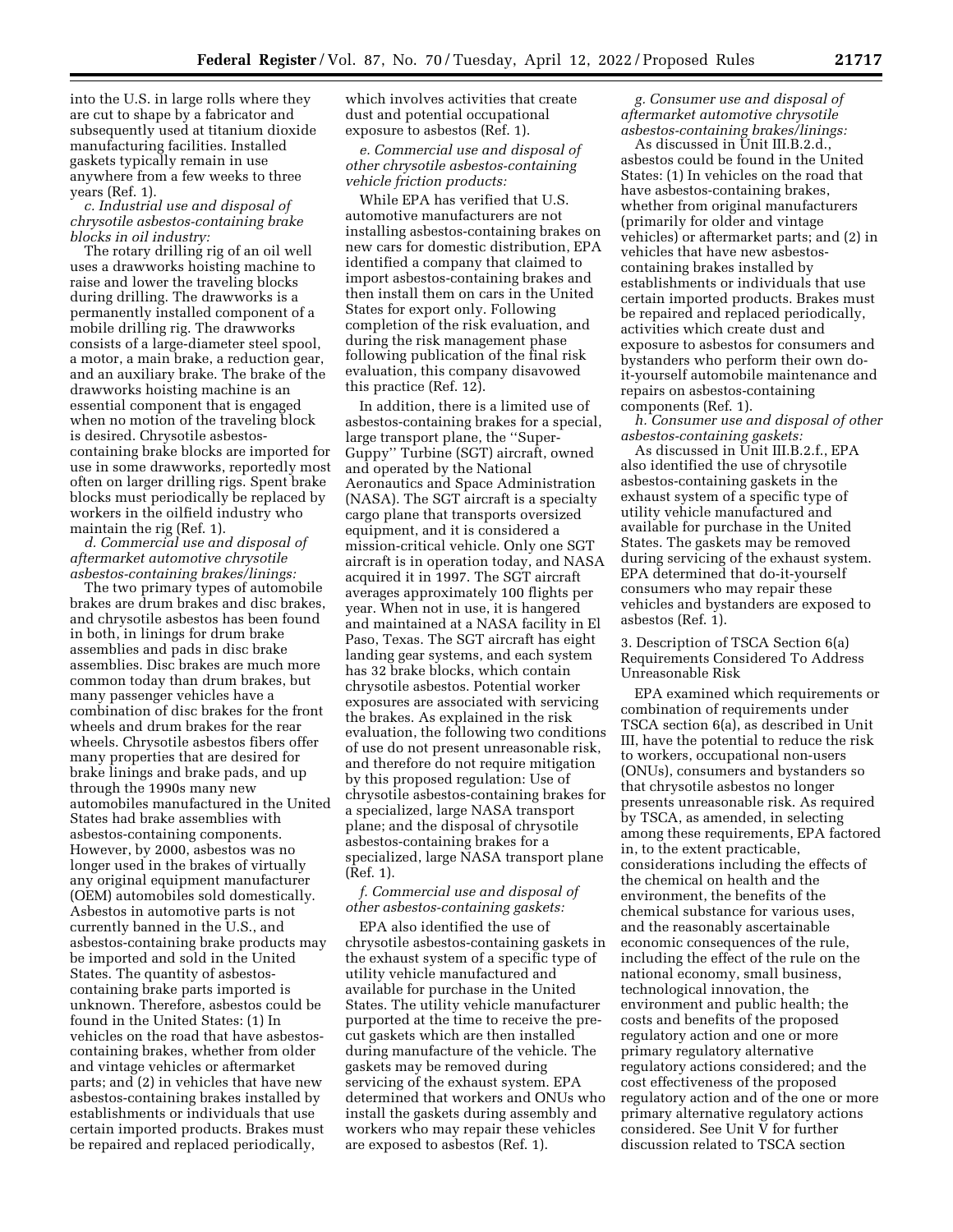into the U.S. in large rolls where they are cut to shape by a fabricator and subsequently used at titanium dioxide manufacturing facilities. Installed gaskets typically remain in use anywhere from a few weeks to three years (Ref. 1).

*c. Industrial use and disposal of chrysotile asbestos-containing brake blocks in oil industry:* 

The rotary drilling rig of an oil well uses a drawworks hoisting machine to raise and lower the traveling blocks during drilling. The drawworks is a permanently installed component of a mobile drilling rig. The drawworks consists of a large-diameter steel spool, a motor, a main brake, a reduction gear, and an auxiliary brake. The brake of the drawworks hoisting machine is an essential component that is engaged when no motion of the traveling block is desired. Chrysotile asbestoscontaining brake blocks are imported for use in some drawworks, reportedly most often on larger drilling rigs. Spent brake blocks must periodically be replaced by workers in the oilfield industry who maintain the rig (Ref. 1).

*d. Commercial use and disposal of aftermarket automotive chrysotile asbestos-containing brakes/linings:* 

The two primary types of automobile brakes are drum brakes and disc brakes, and chrysotile asbestos has been found in both, in linings for drum brake assemblies and pads in disc brake assemblies. Disc brakes are much more common today than drum brakes, but many passenger vehicles have a combination of disc brakes for the front wheels and drum brakes for the rear wheels. Chrysotile asbestos fibers offer many properties that are desired for brake linings and brake pads, and up through the 1990s many new automobiles manufactured in the United States had brake assemblies with asbestos-containing components. However, by 2000, asbestos was no longer used in the brakes of virtually any original equipment manufacturer (OEM) automobiles sold domestically. Asbestos in automotive parts is not currently banned in the U.S., and asbestos-containing brake products may be imported and sold in the United States. The quantity of asbestoscontaining brake parts imported is unknown. Therefore, asbestos could be found in the United States: (1) In vehicles on the road that have asbestoscontaining brakes, whether from older and vintage vehicles or aftermarket parts; and (2) in vehicles that have new asbestos-containing brakes installed by establishments or individuals that use certain imported products. Brakes must be repaired and replaced periodically,

which involves activities that create dust and potential occupational exposure to asbestos (Ref. 1).

*e. Commercial use and disposal of other chrysotile asbestos-containing vehicle friction products:* 

While EPA has verified that U.S. automotive manufacturers are not installing asbestos-containing brakes on new cars for domestic distribution, EPA identified a company that claimed to import asbestos-containing brakes and then install them on cars in the United States for export only. Following completion of the risk evaluation, and during the risk management phase following publication of the final risk evaluation, this company disavowed this practice (Ref. 12).

In addition, there is a limited use of asbestos-containing brakes for a special, large transport plane, the ''Super-Guppy'' Turbine (SGT) aircraft, owned and operated by the National Aeronautics and Space Administration (NASA). The SGT aircraft is a specialty cargo plane that transports oversized equipment, and it is considered a mission-critical vehicle. Only one SGT aircraft is in operation today, and NASA acquired it in 1997. The SGT aircraft averages approximately 100 flights per year. When not in use, it is hangered and maintained at a NASA facility in El Paso, Texas. The SGT aircraft has eight landing gear systems, and each system has 32 brake blocks, which contain chrysotile asbestos. Potential worker exposures are associated with servicing the brakes. As explained in the risk evaluation, the following two conditions of use do not present unreasonable risk, and therefore do not require mitigation by this proposed regulation: Use of chrysotile asbestos-containing brakes for a specialized, large NASA transport plane; and the disposal of chrysotile asbestos-containing brakes for a specialized, large NASA transport plane (Ref. 1).

# *f. Commercial use and disposal of other asbestos-containing gaskets:*

EPA also identified the use of chrysotile asbestos-containing gaskets in the exhaust system of a specific type of utility vehicle manufactured and available for purchase in the United States. The utility vehicle manufacturer purported at the time to receive the precut gaskets which are then installed during manufacture of the vehicle. The gaskets may be removed during servicing of the exhaust system. EPA determined that workers and ONUs who install the gaskets during assembly and workers who may repair these vehicles are exposed to asbestos (Ref. 1).

*g. Consumer use and disposal of aftermarket automotive chrysotile asbestos-containing brakes/linings:* 

As discussed in Unit III.B.2.d., asbestos could be found in the United States: (1) In vehicles on the road that have asbestos-containing brakes, whether from original manufacturers (primarily for older and vintage vehicles) or aftermarket parts; and (2) in vehicles that have new asbestoscontaining brakes installed by establishments or individuals that use certain imported products. Brakes must be repaired and replaced periodically, activities which create dust and exposure to asbestos for consumers and bystanders who perform their own doit-yourself automobile maintenance and repairs on asbestos-containing components (Ref. 1).

*h. Consumer use and disposal of other asbestos-containing gaskets:* 

As discussed in Unit III.B.2.f., EPA also identified the use of chrysotile asbestos-containing gaskets in the exhaust system of a specific type of utility vehicle manufactured and available for purchase in the United States. The gaskets may be removed during servicing of the exhaust system. EPA determined that do-it-yourself consumers who may repair these vehicles and bystanders are exposed to asbestos (Ref. 1).

3. Description of TSCA Section 6(a) Requirements Considered To Address Unreasonable Risk

EPA examined which requirements or combination of requirements under TSCA section 6(a), as described in Unit III, have the potential to reduce the risk to workers, occupational non-users (ONUs), consumers and bystanders so that chrysotile asbestos no longer presents unreasonable risk. As required by TSCA, as amended, in selecting among these requirements, EPA factored in, to the extent practicable, considerations including the effects of the chemical on health and the environment, the benefits of the chemical substance for various uses, and the reasonably ascertainable economic consequences of the rule, including the effect of the rule on the national economy, small business, technological innovation, the environment and public health; the costs and benefits of the proposed regulatory action and one or more primary regulatory alternative regulatory actions considered; and the cost effectiveness of the proposed regulatory action and of the one or more primary alternative regulatory actions considered. See Unit V for further discussion related to TSCA section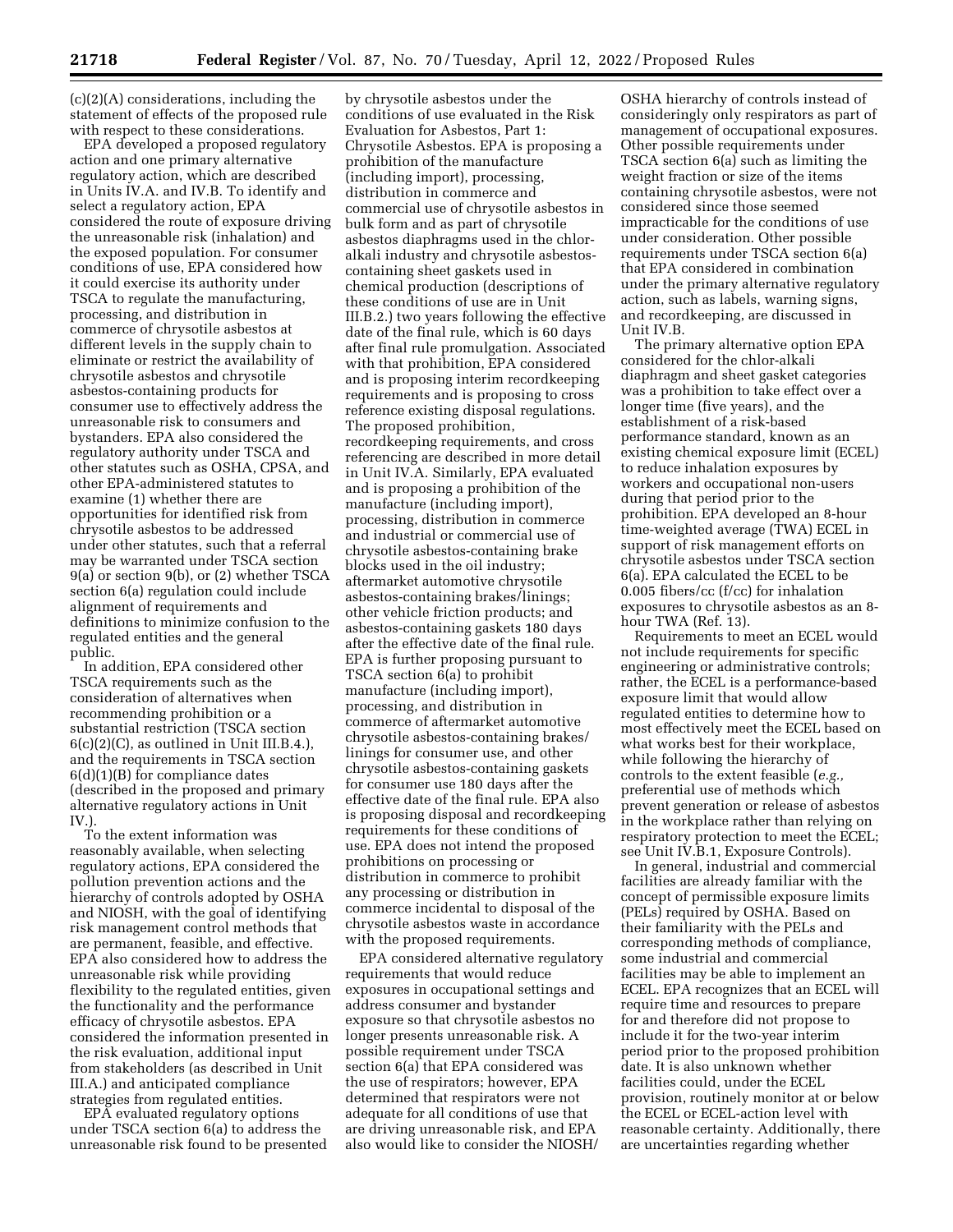(c)(2)(A) considerations, including the statement of effects of the proposed rule with respect to these considerations.

EPA developed a proposed regulatory action and one primary alternative regulatory action, which are described in Units IV.A. and IV.B. To identify and select a regulatory action, EPA considered the route of exposure driving the unreasonable risk (inhalation) and the exposed population. For consumer conditions of use, EPA considered how it could exercise its authority under TSCA to regulate the manufacturing, processing, and distribution in commerce of chrysotile asbestos at different levels in the supply chain to eliminate or restrict the availability of chrysotile asbestos and chrysotile asbestos-containing products for consumer use to effectively address the unreasonable risk to consumers and bystanders. EPA also considered the regulatory authority under TSCA and other statutes such as OSHA, CPSA, and other EPA-administered statutes to examine (1) whether there are opportunities for identified risk from chrysotile asbestos to be addressed under other statutes, such that a referral may be warranted under TSCA section 9(a) or section 9(b), or (2) whether TSCA section 6(a) regulation could include alignment of requirements and definitions to minimize confusion to the regulated entities and the general public.

In addition, EPA considered other TSCA requirements such as the consideration of alternatives when recommending prohibition or a substantial restriction (TSCA section  $6(c)(2)(C)$ , as outlined in Unit III.B.4.), and the requirements in TSCA section 6(d)(1)(B) for compliance dates (described in the proposed and primary alternative regulatory actions in Unit IV.).

To the extent information was reasonably available, when selecting regulatory actions, EPA considered the pollution prevention actions and the hierarchy of controls adopted by OSHA and NIOSH, with the goal of identifying risk management control methods that are permanent, feasible, and effective. EPA also considered how to address the unreasonable risk while providing flexibility to the regulated entities, given the functionality and the performance efficacy of chrysotile asbestos. EPA considered the information presented in the risk evaluation, additional input from stakeholders (as described in Unit III.A.) and anticipated compliance strategies from regulated entities.

EPA evaluated regulatory options under TSCA section 6(a) to address the unreasonable risk found to be presented

by chrysotile asbestos under the conditions of use evaluated in the Risk Evaluation for Asbestos, Part 1: Chrysotile Asbestos. EPA is proposing a prohibition of the manufacture (including import), processing, distribution in commerce and commercial use of chrysotile asbestos in bulk form and as part of chrysotile asbestos diaphragms used in the chloralkali industry and chrysotile asbestoscontaining sheet gaskets used in chemical production (descriptions of these conditions of use are in Unit III.B.2.) two years following the effective date of the final rule, which is 60 days after final rule promulgation. Associated with that prohibition, EPA considered and is proposing interim recordkeeping requirements and is proposing to cross reference existing disposal regulations. The proposed prohibition, recordkeeping requirements, and cross referencing are described in more detail in Unit IV.A. Similarly, EPA evaluated and is proposing a prohibition of the manufacture (including import), processing, distribution in commerce and industrial or commercial use of chrysotile asbestos-containing brake blocks used in the oil industry; aftermarket automotive chrysotile asbestos-containing brakes/linings; other vehicle friction products; and asbestos-containing gaskets 180 days after the effective date of the final rule. EPA is further proposing pursuant to TSCA section 6(a) to prohibit manufacture (including import), processing, and distribution in commerce of aftermarket automotive chrysotile asbestos-containing brakes/ linings for consumer use, and other chrysotile asbestos-containing gaskets for consumer use 180 days after the effective date of the final rule. EPA also is proposing disposal and recordkeeping requirements for these conditions of use. EPA does not intend the proposed prohibitions on processing or distribution in commerce to prohibit any processing or distribution in commerce incidental to disposal of the chrysotile asbestos waste in accordance with the proposed requirements.

EPA considered alternative regulatory requirements that would reduce exposures in occupational settings and address consumer and bystander exposure so that chrysotile asbestos no longer presents unreasonable risk. A possible requirement under TSCA section 6(a) that EPA considered was the use of respirators; however, EPA determined that respirators were not adequate for all conditions of use that are driving unreasonable risk, and EPA also would like to consider the NIOSH/

OSHA hierarchy of controls instead of consideringly only respirators as part of management of occupational exposures. Other possible requirements under TSCA section 6(a) such as limiting the weight fraction or size of the items containing chrysotile asbestos, were not considered since those seemed impracticable for the conditions of use under consideration. Other possible requirements under TSCA section 6(a) that EPA considered in combination under the primary alternative regulatory action, such as labels, warning signs, and recordkeeping, are discussed in Unit IV.B.

The primary alternative option EPA considered for the chlor-alkali diaphragm and sheet gasket categories was a prohibition to take effect over a longer time (five years), and the establishment of a risk-based performance standard, known as an existing chemical exposure limit (ECEL) to reduce inhalation exposures by workers and occupational non-users during that period prior to the prohibition. EPA developed an 8-hour time-weighted average (TWA) ECEL in support of risk management efforts on chrysotile asbestos under TSCA section 6(a). EPA calculated the ECEL to be 0.005 fibers/cc (f/cc) for inhalation exposures to chrysotile asbestos as an 8 hour TWA (Ref. 13).

Requirements to meet an ECEL would not include requirements for specific engineering or administrative controls; rather, the ECEL is a performance-based exposure limit that would allow regulated entities to determine how to most effectively meet the ECEL based on what works best for their workplace, while following the hierarchy of controls to the extent feasible (*e.g.,*  preferential use of methods which prevent generation or release of asbestos in the workplace rather than relying on respiratory protection to meet the ECEL; see Unit IV.B.1, Exposure Controls).

In general, industrial and commercial facilities are already familiar with the concept of permissible exposure limits (PELs) required by OSHA. Based on their familiarity with the PELs and corresponding methods of compliance, some industrial and commercial facilities may be able to implement an ECEL. EPA recognizes that an ECEL will require time and resources to prepare for and therefore did not propose to include it for the two-year interim period prior to the proposed prohibition date. It is also unknown whether facilities could, under the ECEL provision, routinely monitor at or below the ECEL or ECEL-action level with reasonable certainty. Additionally, there are uncertainties regarding whether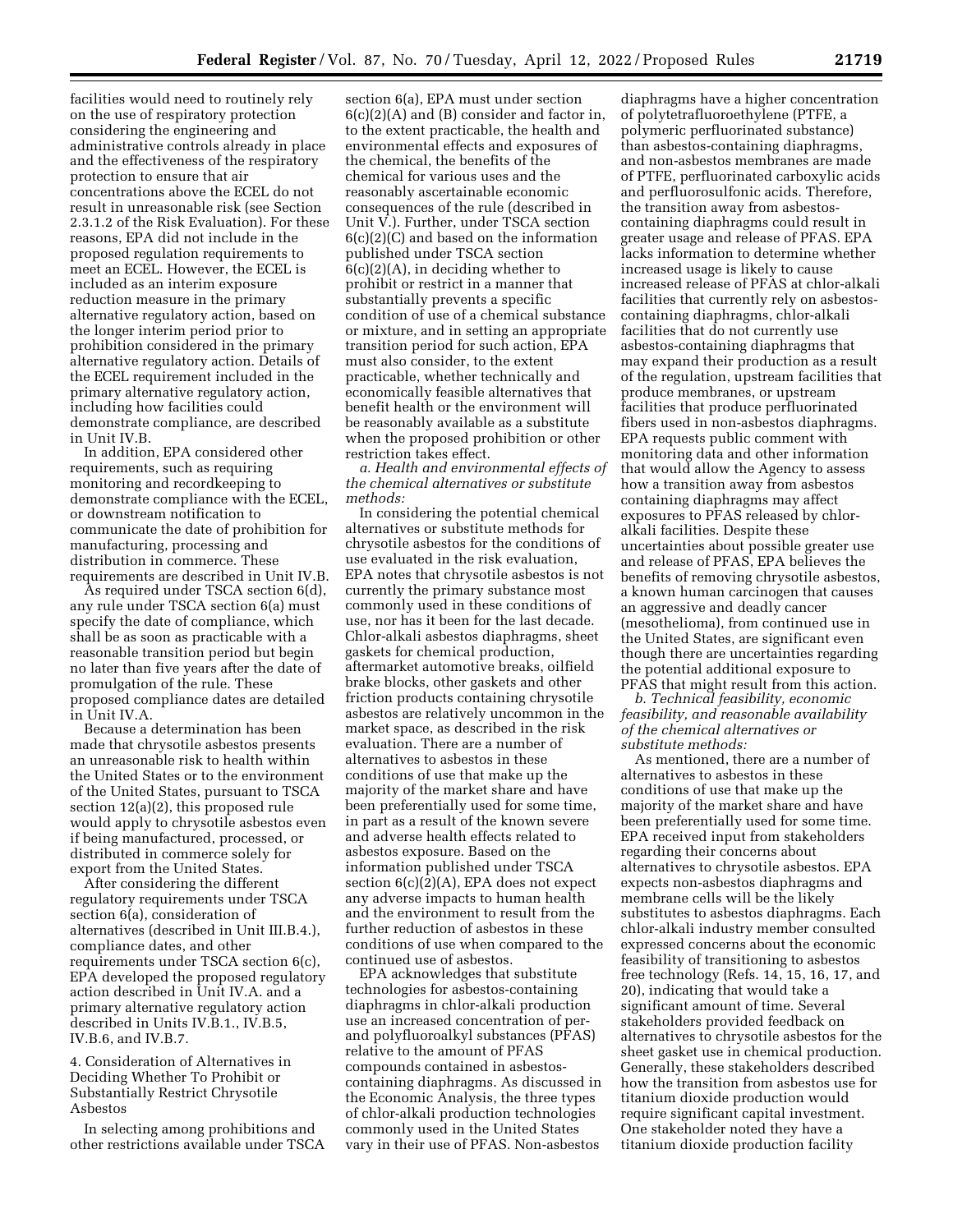facilities would need to routinely rely on the use of respiratory protection considering the engineering and administrative controls already in place and the effectiveness of the respiratory protection to ensure that air concentrations above the ECEL do not result in unreasonable risk (see Section 2.3.1.2 of the Risk Evaluation). For these reasons, EPA did not include in the proposed regulation requirements to meet an ECEL. However, the ECEL is included as an interim exposure reduction measure in the primary alternative regulatory action, based on the longer interim period prior to prohibition considered in the primary alternative regulatory action. Details of the ECEL requirement included in the primary alternative regulatory action, including how facilities could demonstrate compliance, are described in Unit IV.B.

In addition, EPA considered other requirements, such as requiring monitoring and recordkeeping to demonstrate compliance with the ECEL, or downstream notification to communicate the date of prohibition for manufacturing, processing and distribution in commerce. These requirements are described in Unit IV.B.

As required under TSCA section 6(d), any rule under TSCA section 6(a) must specify the date of compliance, which shall be as soon as practicable with a reasonable transition period but begin no later than five years after the date of promulgation of the rule. These proposed compliance dates are detailed in Unit IV.A.

Because a determination has been made that chrysotile asbestos presents an unreasonable risk to health within the United States or to the environment of the United States, pursuant to TSCA section 12(a)(2), this proposed rule would apply to chrysotile asbestos even if being manufactured, processed, or distributed in commerce solely for export from the United States.

After considering the different regulatory requirements under TSCA section 6(a), consideration of alternatives (described in Unit III.B.4.), compliance dates, and other requirements under TSCA section 6(c), EPA developed the proposed regulatory action described in Unit IV.A. and a primary alternative regulatory action described in Units IV.B.1., IV.B.5, IV.B.6, and IV.B.7.

4. Consideration of Alternatives in Deciding Whether To Prohibit or Substantially Restrict Chrysotile Asbestos

In selecting among prohibitions and other restrictions available under TSCA

section 6(a), EPA must under section 6(c)(2)(A) and (B) consider and factor in, to the extent practicable, the health and environmental effects and exposures of the chemical, the benefits of the chemical for various uses and the reasonably ascertainable economic consequences of the rule (described in Unit V.). Further, under TSCA section 6(c)(2)(C) and based on the information published under TSCA section  $6(c)(2)(A)$ , in deciding whether to prohibit or restrict in a manner that substantially prevents a specific condition of use of a chemical substance or mixture, and in setting an appropriate transition period for such action, EPA must also consider, to the extent practicable, whether technically and economically feasible alternatives that benefit health or the environment will be reasonably available as a substitute when the proposed prohibition or other restriction takes effect.

*a. Health and environmental effects of the chemical alternatives or substitute methods:* 

In considering the potential chemical alternatives or substitute methods for chrysotile asbestos for the conditions of use evaluated in the risk evaluation, EPA notes that chrysotile asbestos is not currently the primary substance most commonly used in these conditions of use, nor has it been for the last decade. Chlor-alkali asbestos diaphragms, sheet gaskets for chemical production, aftermarket automotive breaks, oilfield brake blocks, other gaskets and other friction products containing chrysotile asbestos are relatively uncommon in the market space, as described in the risk evaluation. There are a number of alternatives to asbestos in these conditions of use that make up the majority of the market share and have been preferentially used for some time, in part as a result of the known severe and adverse health effects related to asbestos exposure. Based on the information published under TSCA section 6(c)(2)(A), EPA does not expect any adverse impacts to human health and the environment to result from the further reduction of asbestos in these conditions of use when compared to the continued use of asbestos.

EPA acknowledges that substitute technologies for asbestos-containing diaphragms in chlor-alkali production use an increased concentration of perand polyfluoroalkyl substances (PFAS) relative to the amount of PFAS compounds contained in asbestoscontaining diaphragms. As discussed in the Economic Analysis, the three types of chlor-alkali production technologies commonly used in the United States vary in their use of PFAS. Non-asbestos

diaphragms have a higher concentration of polytetrafluoroethylene (PTFE, a polymeric perfluorinated substance) than asbestos-containing diaphragms, and non-asbestos membranes are made of PTFE, perfluorinated carboxylic acids and perfluorosulfonic acids. Therefore, the transition away from asbestoscontaining diaphragms could result in greater usage and release of PFAS. EPA lacks information to determine whether increased usage is likely to cause increased release of PFAS at chlor-alkali facilities that currently rely on asbestoscontaining diaphragms, chlor-alkali facilities that do not currently use asbestos-containing diaphragms that may expand their production as a result of the regulation, upstream facilities that produce membranes, or upstream facilities that produce perfluorinated fibers used in non-asbestos diaphragms. EPA requests public comment with monitoring data and other information that would allow the Agency to assess how a transition away from asbestos containing diaphragms may affect exposures to PFAS released by chloralkali facilities. Despite these uncertainties about possible greater use and release of PFAS, EPA believes the benefits of removing chrysotile asbestos, a known human carcinogen that causes an aggressive and deadly cancer (mesothelioma), from continued use in the United States, are significant even though there are uncertainties regarding the potential additional exposure to PFAS that might result from this action.

*b. Technical feasibility, economic feasibility, and reasonable availability of the chemical alternatives or substitute methods:* 

As mentioned, there are a number of alternatives to asbestos in these conditions of use that make up the majority of the market share and have been preferentially used for some time. EPA received input from stakeholders regarding their concerns about alternatives to chrysotile asbestos. EPA expects non-asbestos diaphragms and membrane cells will be the likely substitutes to asbestos diaphragms. Each chlor-alkali industry member consulted expressed concerns about the economic feasibility of transitioning to asbestos free technology (Refs. 14, 15, 16, 17, and 20), indicating that would take a significant amount of time. Several stakeholders provided feedback on alternatives to chrysotile asbestos for the sheet gasket use in chemical production. Generally, these stakeholders described how the transition from asbestos use for titanium dioxide production would require significant capital investment. One stakeholder noted they have a titanium dioxide production facility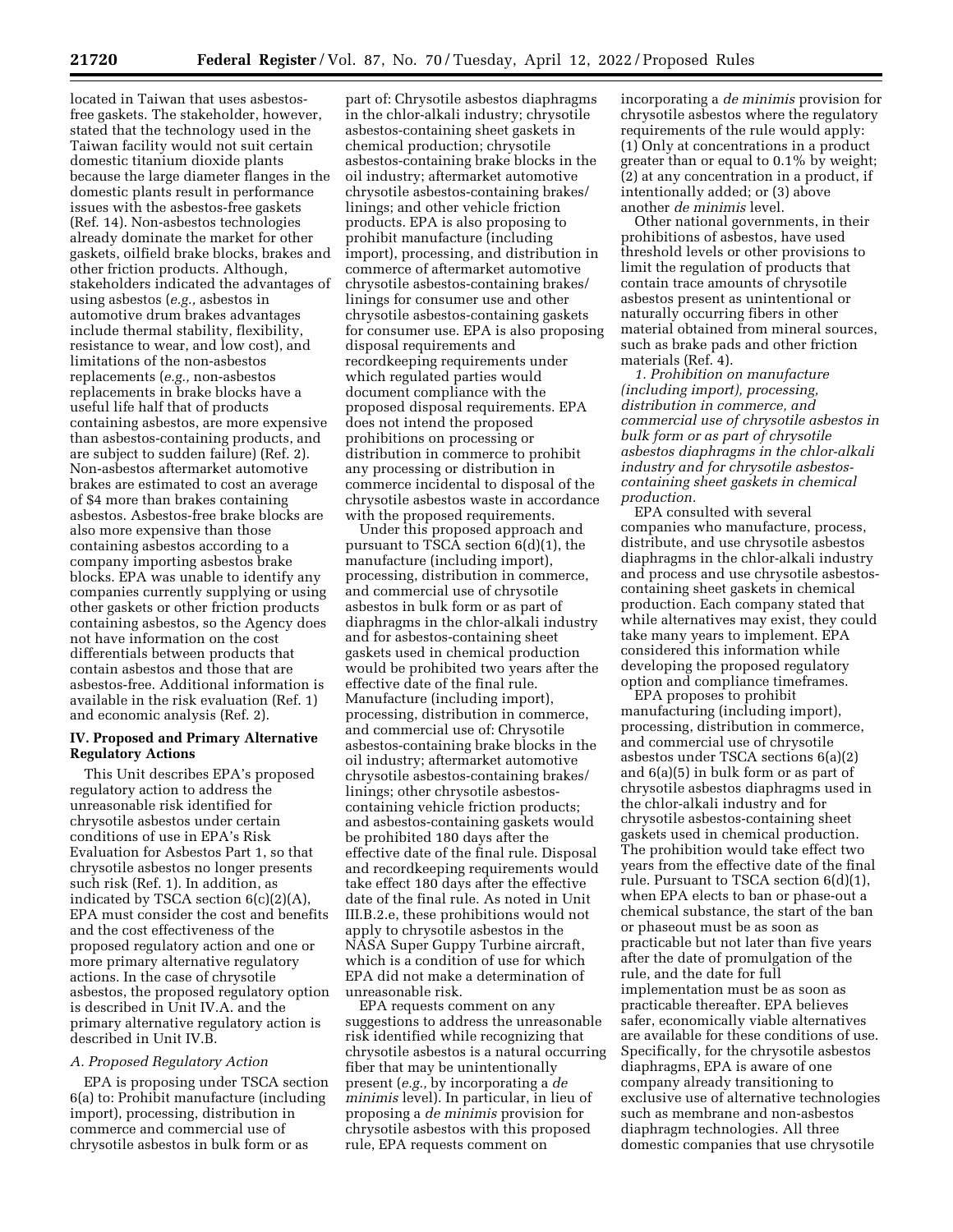located in Taiwan that uses asbestosfree gaskets. The stakeholder, however, stated that the technology used in the Taiwan facility would not suit certain domestic titanium dioxide plants because the large diameter flanges in the domestic plants result in performance issues with the asbestos-free gaskets (Ref. 14). Non-asbestos technologies already dominate the market for other gaskets, oilfield brake blocks, brakes and other friction products. Although, stakeholders indicated the advantages of using asbestos (*e.g.,* asbestos in automotive drum brakes advantages include thermal stability, flexibility, resistance to wear, and low cost), and limitations of the non-asbestos replacements (*e.g.,* non-asbestos replacements in brake blocks have a useful life half that of products containing asbestos, are more expensive than asbestos-containing products, and are subject to sudden failure) (Ref. 2). Non-asbestos aftermarket automotive brakes are estimated to cost an average of \$4 more than brakes containing asbestos. Asbestos-free brake blocks are also more expensive than those containing asbestos according to a company importing asbestos brake blocks. EPA was unable to identify any companies currently supplying or using other gaskets or other friction products containing asbestos, so the Agency does not have information on the cost differentials between products that contain asbestos and those that are asbestos-free. Additional information is available in the risk evaluation (Ref. 1) and economic analysis (Ref. 2).

### **IV. Proposed and Primary Alternative Regulatory Actions**

This Unit describes EPA's proposed regulatory action to address the unreasonable risk identified for chrysotile asbestos under certain conditions of use in EPA's Risk Evaluation for Asbestos Part 1, so that chrysotile asbestos no longer presents such risk (Ref. 1). In addition, as indicated by TSCA section 6(c)(2)(A), EPA must consider the cost and benefits and the cost effectiveness of the proposed regulatory action and one or more primary alternative regulatory actions. In the case of chrysotile asbestos, the proposed regulatory option is described in Unit IV.A. and the primary alternative regulatory action is described in Unit IV.B.

#### *A. Proposed Regulatory Action*

EPA is proposing under TSCA section 6(a) to: Prohibit manufacture (including import), processing, distribution in commerce and commercial use of chrysotile asbestos in bulk form or as

part of: Chrysotile asbestos diaphragms in the chlor-alkali industry; chrysotile asbestos-containing sheet gaskets in chemical production; chrysotile asbestos-containing brake blocks in the oil industry; aftermarket automotive chrysotile asbestos-containing brakes/ linings; and other vehicle friction products. EPA is also proposing to prohibit manufacture (including import), processing, and distribution in commerce of aftermarket automotive chrysotile asbestos-containing brakes/ linings for consumer use and other chrysotile asbestos-containing gaskets for consumer use. EPA is also proposing disposal requirements and recordkeeping requirements under which regulated parties would document compliance with the proposed disposal requirements. EPA does not intend the proposed prohibitions on processing or distribution in commerce to prohibit any processing or distribution in commerce incidental to disposal of the chrysotile asbestos waste in accordance with the proposed requirements.

Under this proposed approach and pursuant to TSCA section 6(d)(1), the manufacture (including import), processing, distribution in commerce, and commercial use of chrysotile asbestos in bulk form or as part of diaphragms in the chlor-alkali industry and for asbestos-containing sheet gaskets used in chemical production would be prohibited two years after the effective date of the final rule. Manufacture (including import), processing, distribution in commerce, and commercial use of: Chrysotile asbestos-containing brake blocks in the oil industry; aftermarket automotive chrysotile asbestos-containing brakes/ linings; other chrysotile asbestoscontaining vehicle friction products; and asbestos-containing gaskets would be prohibited 180 days after the effective date of the final rule. Disposal and recordkeeping requirements would take effect 180 days after the effective date of the final rule. As noted in Unit III.B.2.e, these prohibitions would not apply to chrysotile asbestos in the NASA Super Guppy Turbine aircraft, which is a condition of use for which EPA did not make a determination of unreasonable risk.

EPA requests comment on any suggestions to address the unreasonable risk identified while recognizing that chrysotile asbestos is a natural occurring fiber that may be unintentionally present (*e.g.,* by incorporating a *de minimis* level). In particular, in lieu of proposing a *de minimis* provision for chrysotile asbestos with this proposed rule, EPA requests comment on

incorporating a *de minimis* provision for chrysotile asbestos where the regulatory requirements of the rule would apply: (1) Only at concentrations in a product greater than or equal to 0.1% by weight; (2) at any concentration in a product, if intentionally added; or (3) above another *de minimis* level.

Other national governments, in their prohibitions of asbestos, have used threshold levels or other provisions to limit the regulation of products that contain trace amounts of chrysotile asbestos present as unintentional or naturally occurring fibers in other material obtained from mineral sources, such as brake pads and other friction materials (Ref. 4).

*1. Prohibition on manufacture (including import), processing, distribution in commerce, and commercial use of chrysotile asbestos in bulk form or as part of chrysotile asbestos diaphragms in the chlor-alkali industry and for chrysotile asbestoscontaining sheet gaskets in chemical production.* 

EPA consulted with several companies who manufacture, process, distribute, and use chrysotile asbestos diaphragms in the chlor-alkali industry and process and use chrysotile asbestoscontaining sheet gaskets in chemical production. Each company stated that while alternatives may exist, they could take many years to implement. EPA considered this information while developing the proposed regulatory option and compliance timeframes.

EPA proposes to prohibit manufacturing (including import), processing, distribution in commerce, and commercial use of chrysotile asbestos under TSCA sections 6(a)(2) and 6(a)(5) in bulk form or as part of chrysotile asbestos diaphragms used in the chlor-alkali industry and for chrysotile asbestos-containing sheet gaskets used in chemical production. The prohibition would take effect two years from the effective date of the final rule. Pursuant to TSCA section 6(d)(1), when EPA elects to ban or phase-out a chemical substance, the start of the ban or phaseout must be as soon as practicable but not later than five years after the date of promulgation of the rule, and the date for full implementation must be as soon as practicable thereafter. EPA believes safer, economically viable alternatives are available for these conditions of use. Specifically, for the chrysotile asbestos diaphragms, EPA is aware of one company already transitioning to exclusive use of alternative technologies such as membrane and non-asbestos diaphragm technologies. All three domestic companies that use chrysotile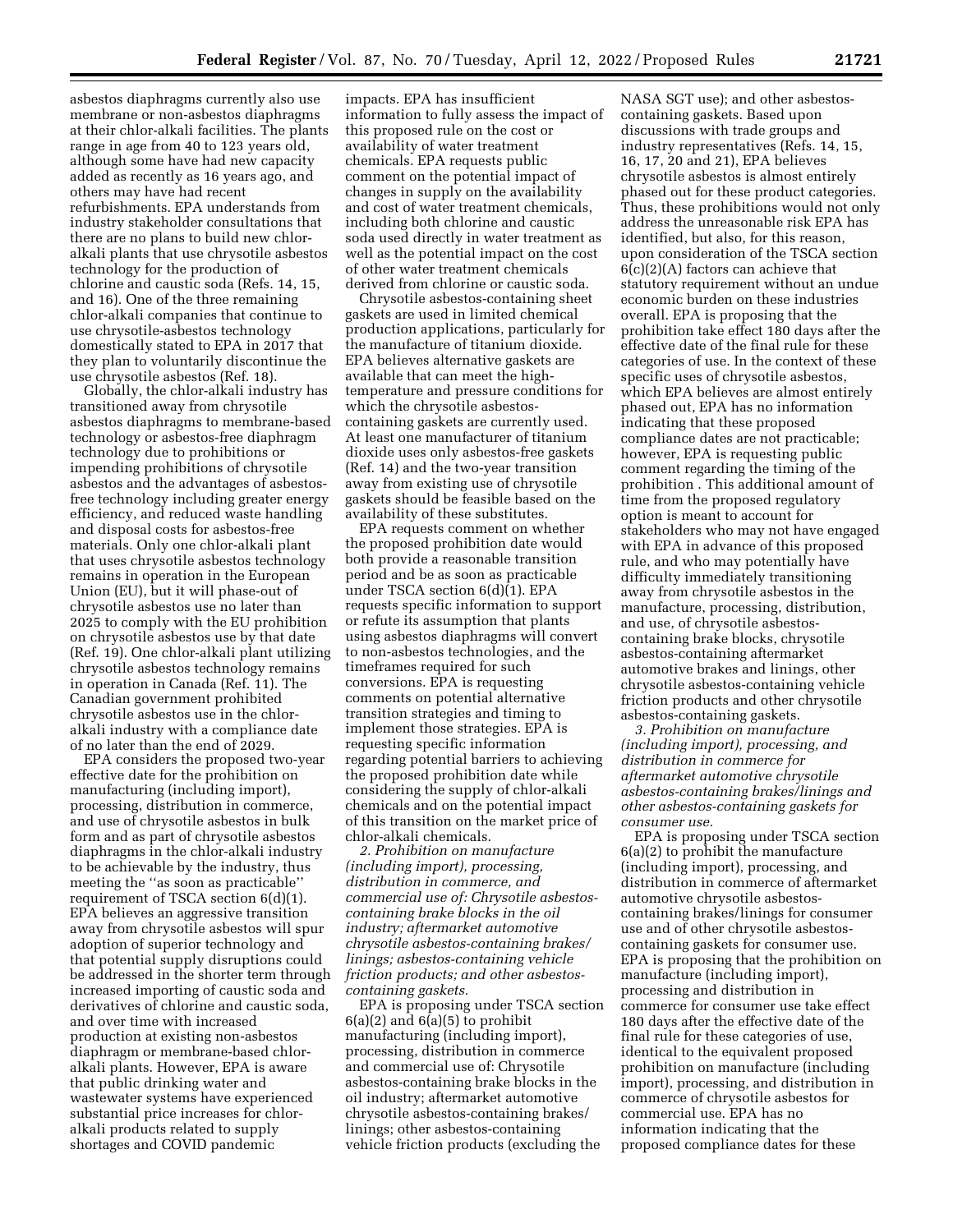asbestos diaphragms currently also use membrane or non-asbestos diaphragms at their chlor-alkali facilities. The plants range in age from 40 to 123 years old, although some have had new capacity added as recently as 16 years ago, and others may have had recent refurbishments. EPA understands from industry stakeholder consultations that there are no plans to build new chloralkali plants that use chrysotile asbestos technology for the production of chlorine and caustic soda (Refs. 14, 15, and 16). One of the three remaining chlor-alkali companies that continue to use chrysotile-asbestos technology domestically stated to EPA in 2017 that they plan to voluntarily discontinue the use chrysotile asbestos (Ref. 18).

Globally, the chlor-alkali industry has transitioned away from chrysotile asbestos diaphragms to membrane-based technology or asbestos-free diaphragm technology due to prohibitions or impending prohibitions of chrysotile asbestos and the advantages of asbestosfree technology including greater energy efficiency, and reduced waste handling and disposal costs for asbestos-free materials. Only one chlor-alkali plant that uses chrysotile asbestos technology remains in operation in the European Union (EU), but it will phase-out of chrysotile asbestos use no later than 2025 to comply with the EU prohibition on chrysotile asbestos use by that date (Ref. 19). One chlor-alkali plant utilizing chrysotile asbestos technology remains in operation in Canada (Ref. 11). The Canadian government prohibited chrysotile asbestos use in the chloralkali industry with a compliance date of no later than the end of 2029.

EPA considers the proposed two-year effective date for the prohibition on manufacturing (including import), processing, distribution in commerce, and use of chrysotile asbestos in bulk form and as part of chrysotile asbestos diaphragms in the chlor-alkali industry to be achievable by the industry, thus meeting the ''as soon as practicable'' requirement of TSCA section 6(d)(1). EPA believes an aggressive transition away from chrysotile asbestos will spur adoption of superior technology and that potential supply disruptions could be addressed in the shorter term through increased importing of caustic soda and derivatives of chlorine and caustic soda, and over time with increased production at existing non-asbestos diaphragm or membrane-based chloralkali plants. However, EPA is aware that public drinking water and wastewater systems have experienced substantial price increases for chloralkali products related to supply shortages and COVID pandemic

impacts. EPA has insufficient information to fully assess the impact of this proposed rule on the cost or availability of water treatment chemicals. EPA requests public comment on the potential impact of changes in supply on the availability and cost of water treatment chemicals, including both chlorine and caustic soda used directly in water treatment as well as the potential impact on the cost of other water treatment chemicals derived from chlorine or caustic soda.

Chrysotile asbestos-containing sheet gaskets are used in limited chemical production applications, particularly for the manufacture of titanium dioxide. EPA believes alternative gaskets are available that can meet the hightemperature and pressure conditions for which the chrysotile asbestoscontaining gaskets are currently used. At least one manufacturer of titanium dioxide uses only asbestos-free gaskets (Ref. 14) and the two-year transition away from existing use of chrysotile gaskets should be feasible based on the availability of these substitutes.

EPA requests comment on whether the proposed prohibition date would both provide a reasonable transition period and be as soon as practicable under TSCA section 6(d)(1). EPA requests specific information to support or refute its assumption that plants using asbestos diaphragms will convert to non-asbestos technologies, and the timeframes required for such conversions. EPA is requesting comments on potential alternative transition strategies and timing to implement those strategies. EPA is requesting specific information regarding potential barriers to achieving the proposed prohibition date while considering the supply of chlor-alkali chemicals and on the potential impact of this transition on the market price of chlor-alkali chemicals.

*2. Prohibition on manufacture (including import), processing, distribution in commerce, and commercial use of: Chrysotile asbestoscontaining brake blocks in the oil industry; aftermarket automotive chrysotile asbestos-containing brakes/ linings; asbestos-containing vehicle friction products; and other asbestoscontaining gaskets.* 

EPA is proposing under TSCA section  $6(a)(2)$  and  $6(a)(5)$  to prohibit manufacturing (including import), processing, distribution in commerce and commercial use of: Chrysotile asbestos-containing brake blocks in the oil industry; aftermarket automotive chrysotile asbestos-containing brakes/ linings; other asbestos-containing vehicle friction products (excluding the

NASA SGT use); and other asbestoscontaining gaskets. Based upon discussions with trade groups and industry representatives (Refs. 14, 15, 16, 17, 20 and 21), EPA believes chrysotile asbestos is almost entirely phased out for these product categories. Thus, these prohibitions would not only address the unreasonable risk EPA has identified, but also, for this reason, upon consideration of the TSCA section 6(c)(2)(A) factors can achieve that statutory requirement without an undue economic burden on these industries overall. EPA is proposing that the prohibition take effect 180 days after the effective date of the final rule for these categories of use. In the context of these specific uses of chrysotile asbestos, which EPA believes are almost entirely phased out, EPA has no information indicating that these proposed compliance dates are not practicable; however, EPA is requesting public comment regarding the timing of the prohibition . This additional amount of time from the proposed regulatory option is meant to account for stakeholders who may not have engaged with EPA in advance of this proposed rule, and who may potentially have difficulty immediately transitioning away from chrysotile asbestos in the manufacture, processing, distribution, and use, of chrysotile asbestoscontaining brake blocks, chrysotile asbestos-containing aftermarket automotive brakes and linings, other chrysotile asbestos-containing vehicle friction products and other chrysotile asbestos-containing gaskets.

*3. Prohibition on manufacture (including import), processing, and distribution in commerce for aftermarket automotive chrysotile asbestos-containing brakes/linings and other asbestos-containing gaskets for consumer use.* 

EPA is proposing under TSCA section 6(a)(2) to prohibit the manufacture (including import), processing, and distribution in commerce of aftermarket automotive chrysotile asbestoscontaining brakes/linings for consumer use and of other chrysotile asbestoscontaining gaskets for consumer use. EPA is proposing that the prohibition on manufacture (including import), processing and distribution in commerce for consumer use take effect 180 days after the effective date of the final rule for these categories of use, identical to the equivalent proposed prohibition on manufacture (including import), processing, and distribution in commerce of chrysotile asbestos for commercial use. EPA has no information indicating that the proposed compliance dates for these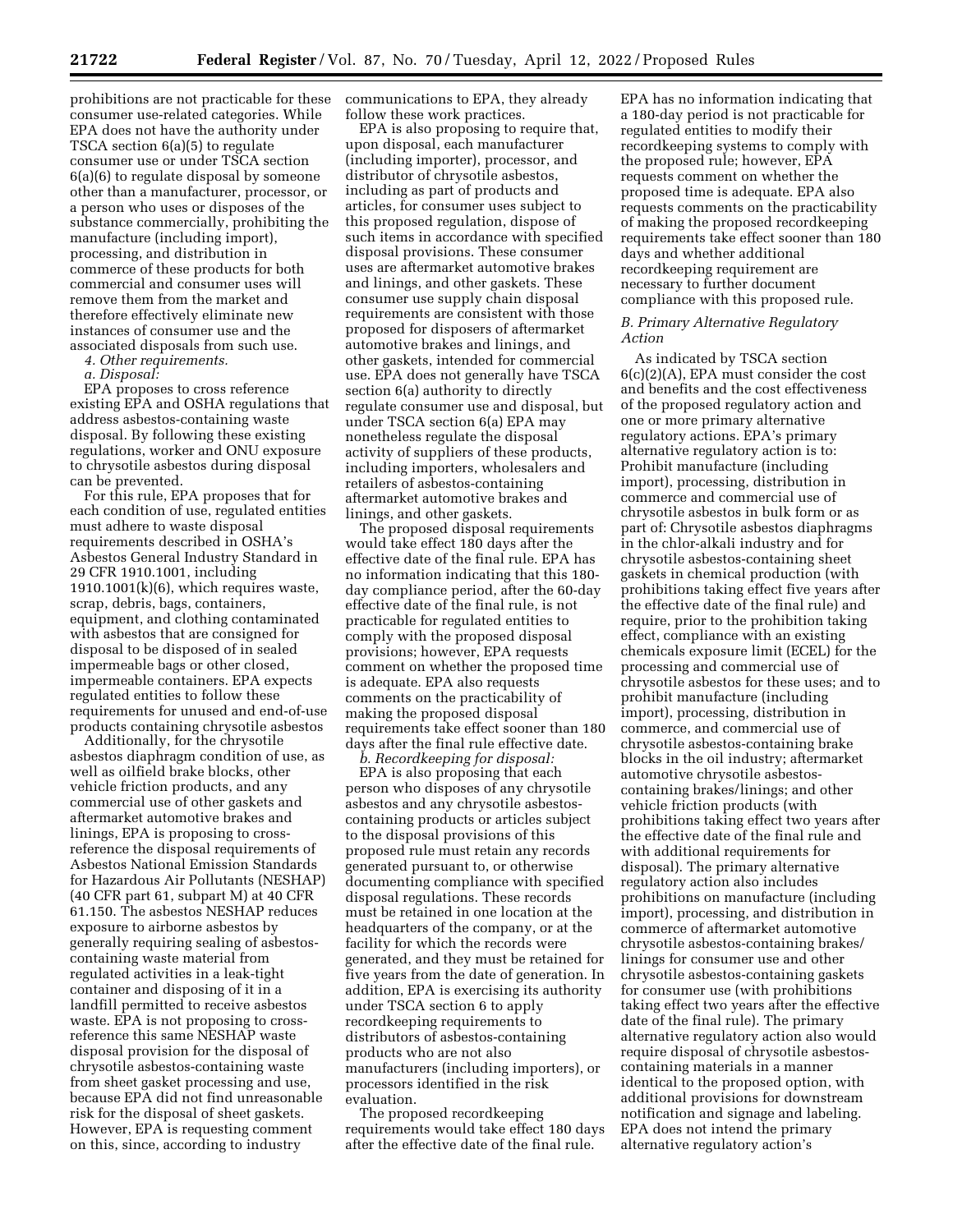prohibitions are not practicable for these consumer use-related categories. While EPA does not have the authority under TSCA section 6(a)(5) to regulate consumer use or under TSCA section 6(a)(6) to regulate disposal by someone other than a manufacturer, processor, or a person who uses or disposes of the substance commercially, prohibiting the manufacture (including import), processing, and distribution in commerce of these products for both commercial and consumer uses will remove them from the market and therefore effectively eliminate new instances of consumer use and the associated disposals from such use.

*4. Other requirements.* 

*a. Disposal:* 

EPA proposes to cross reference existing EPA and OSHA regulations that address asbestos-containing waste disposal. By following these existing regulations, worker and ONU exposure to chrysotile asbestos during disposal can be prevented.

For this rule, EPA proposes that for each condition of use, regulated entities must adhere to waste disposal requirements described in OSHA's Asbestos General Industry Standard in 29 CFR 1910.1001, including  $1910.1001(k)(6)$ , which requires waste, scrap, debris, bags, containers, equipment, and clothing contaminated with asbestos that are consigned for disposal to be disposed of in sealed impermeable bags or other closed, impermeable containers. EPA expects regulated entities to follow these requirements for unused and end-of-use products containing chrysotile asbestos

Additionally, for the chrysotile asbestos diaphragm condition of use, as well as oilfield brake blocks, other vehicle friction products, and any commercial use of other gaskets and aftermarket automotive brakes and linings, EPA is proposing to crossreference the disposal requirements of Asbestos National Emission Standards for Hazardous Air Pollutants (NESHAP) (40 CFR part 61, subpart M) at 40 CFR 61.150. The asbestos NESHAP reduces exposure to airborne asbestos by generally requiring sealing of asbestoscontaining waste material from regulated activities in a leak-tight container and disposing of it in a landfill permitted to receive asbestos waste. EPA is not proposing to crossreference this same NESHAP waste disposal provision for the disposal of chrysotile asbestos-containing waste from sheet gasket processing and use, because EPA did not find unreasonable risk for the disposal of sheet gaskets. However, EPA is requesting comment on this, since, according to industry

communications to EPA, they already follow these work practices.

EPA is also proposing to require that, upon disposal, each manufacturer (including importer), processor, and distributor of chrysotile asbestos, including as part of products and articles, for consumer uses subject to this proposed regulation, dispose of such items in accordance with specified disposal provisions. These consumer uses are aftermarket automotive brakes and linings, and other gaskets. These consumer use supply chain disposal requirements are consistent with those proposed for disposers of aftermarket automotive brakes and linings, and other gaskets, intended for commercial use. EPA does not generally have TSCA section 6(a) authority to directly regulate consumer use and disposal, but under TSCA section 6(a) EPA may nonetheless regulate the disposal activity of suppliers of these products, including importers, wholesalers and retailers of asbestos-containing aftermarket automotive brakes and linings, and other gaskets.

The proposed disposal requirements would take effect 180 days after the effective date of the final rule. EPA has no information indicating that this 180 day compliance period, after the 60-day effective date of the final rule, is not practicable for regulated entities to comply with the proposed disposal provisions; however, EPA requests comment on whether the proposed time is adequate. EPA also requests comments on the practicability of making the proposed disposal requirements take effect sooner than 180 days after the final rule effective date.

*b. Recordkeeping for disposal:*  EPA is also proposing that each person who disposes of any chrysotile asbestos and any chrysotile asbestoscontaining products or articles subject to the disposal provisions of this proposed rule must retain any records generated pursuant to, or otherwise documenting compliance with specified disposal regulations. These records must be retained in one location at the headquarters of the company, or at the facility for which the records were generated, and they must be retained for five years from the date of generation. In addition, EPA is exercising its authority under TSCA section 6 to apply recordkeeping requirements to distributors of asbestos-containing products who are not also manufacturers (including importers), or processors identified in the risk evaluation.

The proposed recordkeeping requirements would take effect 180 days after the effective date of the final rule.

EPA has no information indicating that a 180-day period is not practicable for regulated entities to modify their recordkeeping systems to comply with the proposed rule; however, EPA requests comment on whether the proposed time is adequate. EPA also requests comments on the practicability of making the proposed recordkeeping requirements take effect sooner than 180 days and whether additional recordkeeping requirement are necessary to further document compliance with this proposed rule.

### *B. Primary Alternative Regulatory Action*

As indicated by TSCA section 6(c)(2)(A), EPA must consider the cost and benefits and the cost effectiveness of the proposed regulatory action and one or more primary alternative regulatory actions. EPA's primary alternative regulatory action is to: Prohibit manufacture (including import), processing, distribution in commerce and commercial use of chrysotile asbestos in bulk form or as part of: Chrysotile asbestos diaphragms in the chlor-alkali industry and for chrysotile asbestos-containing sheet gaskets in chemical production (with prohibitions taking effect five years after the effective date of the final rule) and require, prior to the prohibition taking effect, compliance with an existing chemicals exposure limit (ECEL) for the processing and commercial use of chrysotile asbestos for these uses; and to prohibit manufacture (including import), processing, distribution in commerce, and commercial use of chrysotile asbestos-containing brake blocks in the oil industry; aftermarket automotive chrysotile asbestoscontaining brakes/linings; and other vehicle friction products (with prohibitions taking effect two years after the effective date of the final rule and with additional requirements for disposal). The primary alternative regulatory action also includes prohibitions on manufacture (including import), processing, and distribution in commerce of aftermarket automotive chrysotile asbestos-containing brakes/ linings for consumer use and other chrysotile asbestos-containing gaskets for consumer use (with prohibitions taking effect two years after the effective date of the final rule). The primary alternative regulatory action also would require disposal of chrysotile asbestoscontaining materials in a manner identical to the proposed option, with additional provisions for downstream notification and signage and labeling. EPA does not intend the primary alternative regulatory action's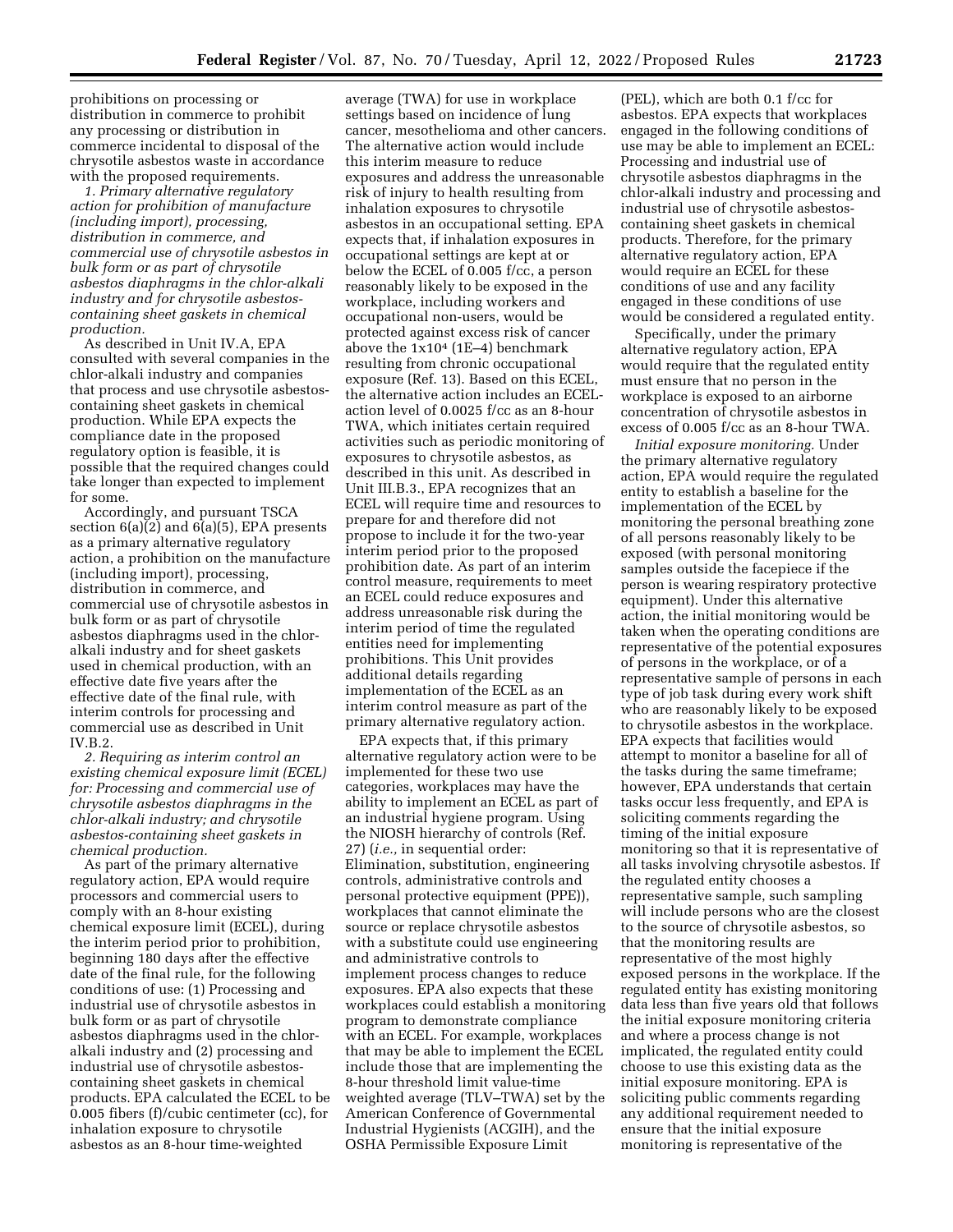prohibitions on processing or distribution in commerce to prohibit any processing or distribution in commerce incidental to disposal of the chrysotile asbestos waste in accordance with the proposed requirements.

*1. Primary alternative regulatory action for prohibition of manufacture (including import), processing, distribution in commerce, and commercial use of chrysotile asbestos in bulk form or as part of chrysotile asbestos diaphragms in the chlor-alkali industry and for chrysotile asbestoscontaining sheet gaskets in chemical production.* 

As described in Unit IV.A, EPA consulted with several companies in the chlor-alkali industry and companies that process and use chrysotile asbestoscontaining sheet gaskets in chemical production. While EPA expects the compliance date in the proposed regulatory option is feasible, it is possible that the required changes could take longer than expected to implement for some.

Accordingly, and pursuant TSCA section 6(a)(2) and 6(a)(5), EPA presents as a primary alternative regulatory action, a prohibition on the manufacture (including import), processing, distribution in commerce, and commercial use of chrysotile asbestos in bulk form or as part of chrysotile asbestos diaphragms used in the chloralkali industry and for sheet gaskets used in chemical production, with an effective date five years after the effective date of the final rule, with interim controls for processing and commercial use as described in Unit IV.B.2.

*2. Requiring as interim control an existing chemical exposure limit (ECEL) for: Processing and commercial use of chrysotile asbestos diaphragms in the chlor-alkali industry; and chrysotile asbestos-containing sheet gaskets in chemical production.* 

As part of the primary alternative regulatory action, EPA would require processors and commercial users to comply with an 8-hour existing chemical exposure limit (ECEL), during the interim period prior to prohibition, beginning 180 days after the effective date of the final rule, for the following conditions of use: (1) Processing and industrial use of chrysotile asbestos in bulk form or as part of chrysotile asbestos diaphragms used in the chloralkali industry and (2) processing and industrial use of chrysotile asbestoscontaining sheet gaskets in chemical products. EPA calculated the ECEL to be 0.005 fibers (f)/cubic centimeter (cc), for inhalation exposure to chrysotile asbestos as an 8-hour time-weighted

average (TWA) for use in workplace settings based on incidence of lung cancer, mesothelioma and other cancers. The alternative action would include this interim measure to reduce exposures and address the unreasonable risk of injury to health resulting from inhalation exposures to chrysotile asbestos in an occupational setting. EPA expects that, if inhalation exposures in occupational settings are kept at or below the ECEL of 0.005 f/cc, a person reasonably likely to be exposed in the workplace, including workers and occupational non-users, would be protected against excess risk of cancer above the  $1x10^4$  (1E-4) benchmark resulting from chronic occupational exposure (Ref. 13). Based on this ECEL, the alternative action includes an ECELaction level of 0.0025 f/cc as an 8-hour TWA, which initiates certain required activities such as periodic monitoring of exposures to chrysotile asbestos, as described in this unit. As described in Unit III.B.3., EPA recognizes that an ECEL will require time and resources to prepare for and therefore did not propose to include it for the two-year interim period prior to the proposed prohibition date. As part of an interim control measure, requirements to meet an ECEL could reduce exposures and address unreasonable risk during the interim period of time the regulated entities need for implementing prohibitions. This Unit provides additional details regarding implementation of the ECEL as an interim control measure as part of the primary alternative regulatory action.

EPA expects that, if this primary alternative regulatory action were to be implemented for these two use categories, workplaces may have the ability to implement an ECEL as part of an industrial hygiene program. Using the NIOSH hierarchy of controls (Ref. 27) (*i.e.,* in sequential order: Elimination, substitution, engineering controls, administrative controls and personal protective equipment (PPE)), workplaces that cannot eliminate the source or replace chrysotile asbestos with a substitute could use engineering and administrative controls to implement process changes to reduce exposures. EPA also expects that these workplaces could establish a monitoring program to demonstrate compliance with an ECEL. For example, workplaces that may be able to implement the ECEL include those that are implementing the 8-hour threshold limit value-time weighted average (TLV–TWA) set by the American Conference of Governmental Industrial Hygienists (ACGIH), and the OSHA Permissible Exposure Limit

(PEL), which are both 0.1 f/cc for asbestos. EPA expects that workplaces engaged in the following conditions of use may be able to implement an ECEL: Processing and industrial use of chrysotile asbestos diaphragms in the chlor-alkali industry and processing and industrial use of chrysotile asbestoscontaining sheet gaskets in chemical products. Therefore, for the primary alternative regulatory action, EPA would require an ECEL for these conditions of use and any facility engaged in these conditions of use would be considered a regulated entity.

Specifically, under the primary alternative regulatory action, EPA would require that the regulated entity must ensure that no person in the workplace is exposed to an airborne concentration of chrysotile asbestos in excess of 0.005 f/cc as an 8-hour TWA.

*Initial exposure monitoring.* Under the primary alternative regulatory action, EPA would require the regulated entity to establish a baseline for the implementation of the ECEL by monitoring the personal breathing zone of all persons reasonably likely to be exposed (with personal monitoring samples outside the facepiece if the person is wearing respiratory protective equipment). Under this alternative action, the initial monitoring would be taken when the operating conditions are representative of the potential exposures of persons in the workplace, or of a representative sample of persons in each type of job task during every work shift who are reasonably likely to be exposed to chrysotile asbestos in the workplace. EPA expects that facilities would attempt to monitor a baseline for all of the tasks during the same timeframe; however, EPA understands that certain tasks occur less frequently, and EPA is soliciting comments regarding the timing of the initial exposure monitoring so that it is representative of all tasks involving chrysotile asbestos. If the regulated entity chooses a representative sample, such sampling will include persons who are the closest to the source of chrysotile asbestos, so that the monitoring results are representative of the most highly exposed persons in the workplace. If the regulated entity has existing monitoring data less than five years old that follows the initial exposure monitoring criteria and where a process change is not implicated, the regulated entity could choose to use this existing data as the initial exposure monitoring. EPA is soliciting public comments regarding any additional requirement needed to ensure that the initial exposure monitoring is representative of the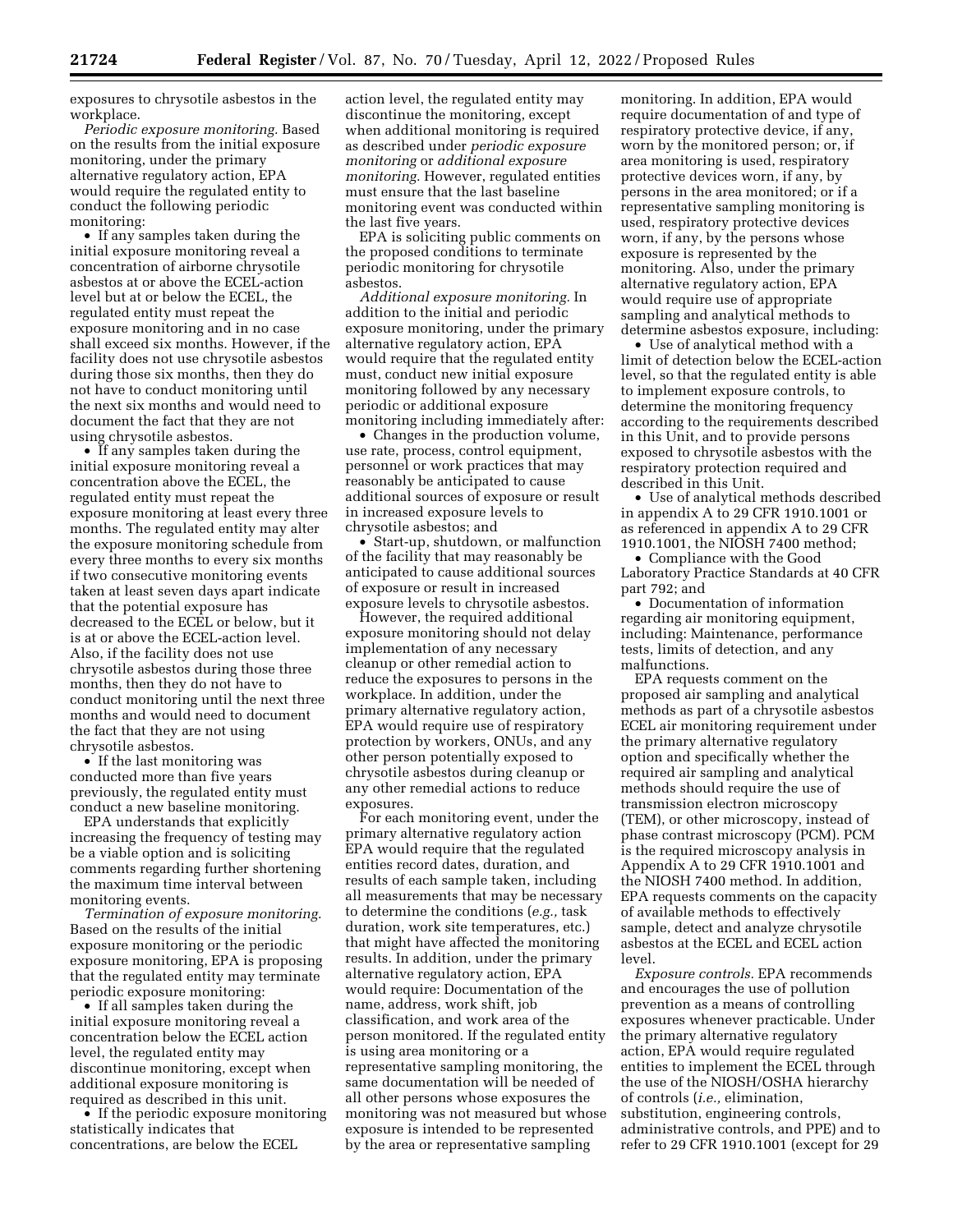exposures to chrysotile asbestos in the workplace.

*Periodic exposure monitoring.* Based on the results from the initial exposure monitoring, under the primary alternative regulatory action, EPA would require the regulated entity to conduct the following periodic monitoring:

• If any samples taken during the initial exposure monitoring reveal a concentration of airborne chrysotile asbestos at or above the ECEL-action level but at or below the ECEL, the regulated entity must repeat the exposure monitoring and in no case shall exceed six months. However, if the facility does not use chrysotile asbestos during those six months, then they do not have to conduct monitoring until the next six months and would need to document the fact that they are not using chrysotile asbestos.

• If any samples taken during the initial exposure monitoring reveal a concentration above the ECEL, the regulated entity must repeat the exposure monitoring at least every three months. The regulated entity may alter the exposure monitoring schedule from every three months to every six months if two consecutive monitoring events taken at least seven days apart indicate that the potential exposure has decreased to the ECEL or below, but it is at or above the ECEL-action level. Also, if the facility does not use chrysotile asbestos during those three months, then they do not have to conduct monitoring until the next three months and would need to document the fact that they are not using chrysotile asbestos.

• If the last monitoring was conducted more than five years previously, the regulated entity must conduct a new baseline monitoring.

EPA understands that explicitly increasing the frequency of testing may be a viable option and is soliciting comments regarding further shortening the maximum time interval between monitoring events.

*Termination of exposure monitoring.*  Based on the results of the initial exposure monitoring or the periodic exposure monitoring, EPA is proposing that the regulated entity may terminate periodic exposure monitoring:

• If all samples taken during the initial exposure monitoring reveal a concentration below the ECEL action level, the regulated entity may discontinue monitoring, except when additional exposure monitoring is required as described in this unit.

• If the periodic exposure monitoring statistically indicates that concentrations, are below the ECEL

action level, the regulated entity may discontinue the monitoring, except when additional monitoring is required as described under *periodic exposure monitoring* or *additional exposure monitoring.* However, regulated entities must ensure that the last baseline monitoring event was conducted within the last five years.

EPA is soliciting public comments on the proposed conditions to terminate periodic monitoring for chrysotile asbestos.

*Additional exposure monitoring.* In addition to the initial and periodic exposure monitoring, under the primary alternative regulatory action, EPA would require that the regulated entity must, conduct new initial exposure monitoring followed by any necessary periodic or additional exposure monitoring including immediately after:

• Changes in the production volume, use rate, process, control equipment, personnel or work practices that may reasonably be anticipated to cause additional sources of exposure or result in increased exposure levels to chrysotile asbestos; and

• Start-up, shutdown, or malfunction of the facility that may reasonably be anticipated to cause additional sources of exposure or result in increased exposure levels to chrysotile asbestos.

However, the required additional exposure monitoring should not delay implementation of any necessary cleanup or other remedial action to reduce the exposures to persons in the workplace. In addition, under the primary alternative regulatory action, EPA would require use of respiratory protection by workers, ONUs, and any other person potentially exposed to chrysotile asbestos during cleanup or any other remedial actions to reduce exposures.

For each monitoring event, under the primary alternative regulatory action EPA would require that the regulated entities record dates, duration, and results of each sample taken, including all measurements that may be necessary to determine the conditions (*e.g.,* task duration, work site temperatures, etc.) that might have affected the monitoring results. In addition, under the primary alternative regulatory action, EPA would require: Documentation of the name, address, work shift, job classification, and work area of the person monitored. If the regulated entity is using area monitoring or a representative sampling monitoring, the same documentation will be needed of all other persons whose exposures the monitoring was not measured but whose exposure is intended to be represented by the area or representative sampling

monitoring. In addition, EPA would require documentation of and type of respiratory protective device, if any, worn by the monitored person; or, if area monitoring is used, respiratory protective devices worn, if any, by persons in the area monitored; or if a representative sampling monitoring is used, respiratory protective devices worn, if any, by the persons whose exposure is represented by the monitoring. Also, under the primary alternative regulatory action, EPA would require use of appropriate sampling and analytical methods to determine asbestos exposure, including:

• Use of analytical method with a limit of detection below the ECEL-action level, so that the regulated entity is able to implement exposure controls, to determine the monitoring frequency according to the requirements described in this Unit, and to provide persons exposed to chrysotile asbestos with the respiratory protection required and described in this Unit.

• Use of analytical methods described in appendix A to 29 CFR 1910.1001 or as referenced in appendix A to 29 CFR 1910.1001, the NIOSH 7400 method;

• Compliance with the Good Laboratory Practice Standards at 40 CFR part 792; and

• Documentation of information regarding air monitoring equipment, including: Maintenance, performance tests, limits of detection, and any malfunctions.

EPA requests comment on the proposed air sampling and analytical methods as part of a chrysotile asbestos ECEL air monitoring requirement under the primary alternative regulatory option and specifically whether the required air sampling and analytical methods should require the use of transmission electron microscopy (TEM), or other microscopy, instead of phase contrast microscopy (PCM). PCM is the required microscopy analysis in Appendix A to 29 CFR 1910.1001 and the NIOSH 7400 method. In addition, EPA requests comments on the capacity of available methods to effectively sample, detect and analyze chrysotile asbestos at the ECEL and ECEL action level.

*Exposure controls.* EPA recommends and encourages the use of pollution prevention as a means of controlling exposures whenever practicable. Under the primary alternative regulatory action, EPA would require regulated entities to implement the ECEL through the use of the NIOSH/OSHA hierarchy of controls (*i.e.,* elimination, substitution, engineering controls, administrative controls, and PPE) and to refer to 29 CFR 1910.1001 (except for 29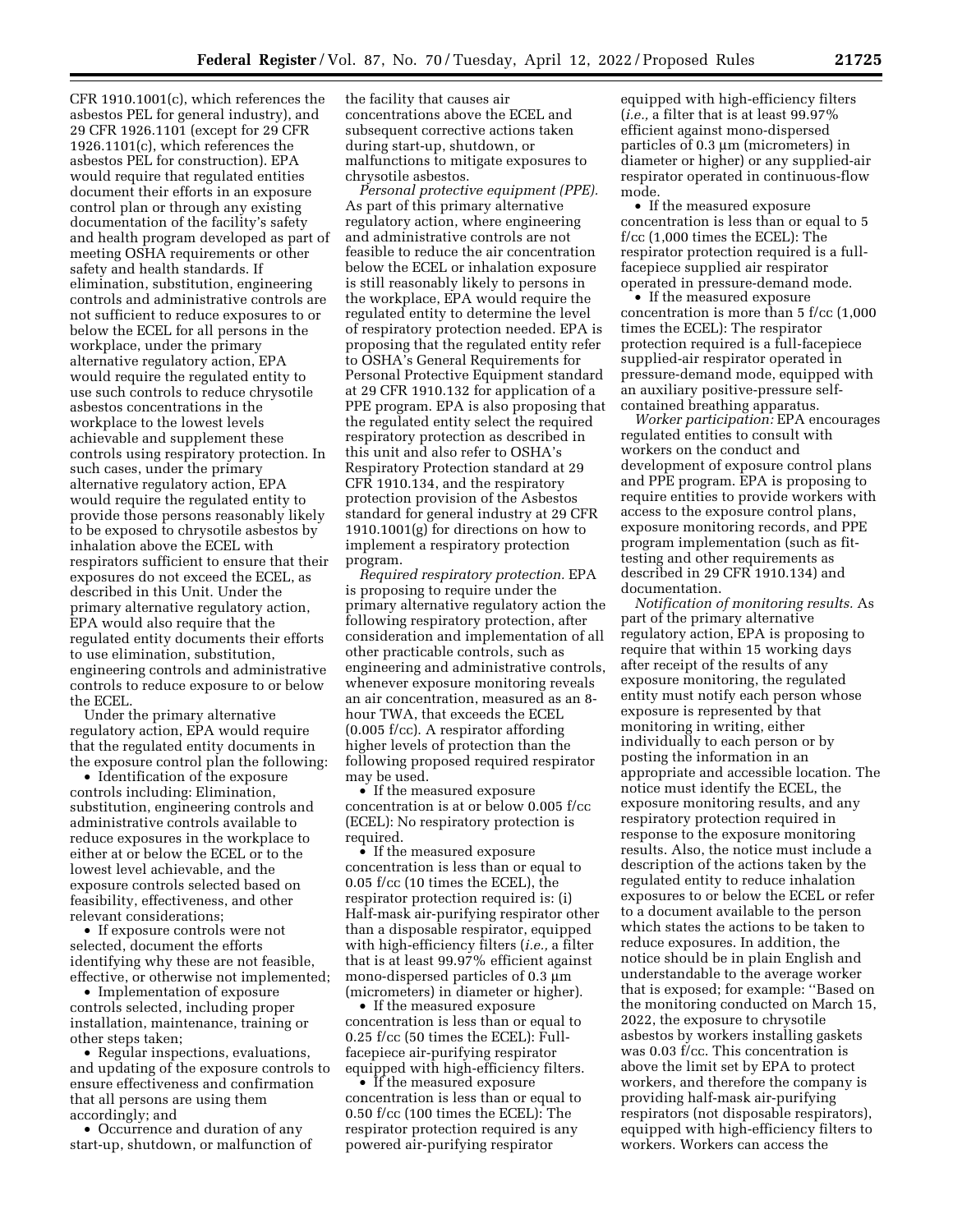CFR 1910.1001(c), which references the asbestos PEL for general industry), and 29 CFR 1926.1101 (except for 29 CFR 1926.1101(c), which references the asbestos PEL for construction). EPA would require that regulated entities document their efforts in an exposure control plan or through any existing documentation of the facility's safety and health program developed as part of meeting OSHA requirements or other safety and health standards. If elimination, substitution, engineering controls and administrative controls are not sufficient to reduce exposures to or below the ECEL for all persons in the workplace, under the primary alternative regulatory action, EPA would require the regulated entity to use such controls to reduce chrysotile asbestos concentrations in the workplace to the lowest levels achievable and supplement these controls using respiratory protection. In such cases, under the primary alternative regulatory action, EPA would require the regulated entity to provide those persons reasonably likely to be exposed to chrysotile asbestos by inhalation above the ECEL with respirators sufficient to ensure that their exposures do not exceed the ECEL, as described in this Unit. Under the primary alternative regulatory action, EPA would also require that the regulated entity documents their efforts to use elimination, substitution, engineering controls and administrative controls to reduce exposure to or below the ECEL.

Under the primary alternative regulatory action, EPA would require that the regulated entity documents in the exposure control plan the following:

• Identification of the exposure controls including: Elimination, substitution, engineering controls and administrative controls available to reduce exposures in the workplace to either at or below the ECEL or to the lowest level achievable, and the exposure controls selected based on feasibility, effectiveness, and other relevant considerations;

• If exposure controls were not selected, document the efforts identifying why these are not feasible, effective, or otherwise not implemented;

• Implementation of exposure controls selected, including proper installation, maintenance, training or other steps taken;

• Regular inspections, evaluations, and updating of the exposure controls to ensure effectiveness and confirmation that all persons are using them accordingly; and

• Occurrence and duration of any start-up, shutdown, or malfunction of the facility that causes air concentrations above the ECEL and subsequent corrective actions taken during start-up, shutdown, or malfunctions to mitigate exposures to chrysotile asbestos.

*Personal protective equipment (PPE).*  As part of this primary alternative regulatory action, where engineering and administrative controls are not feasible to reduce the air concentration below the ECEL or inhalation exposure is still reasonably likely to persons in the workplace, EPA would require the regulated entity to determine the level of respiratory protection needed. EPA is proposing that the regulated entity refer to OSHA's General Requirements for Personal Protective Equipment standard at 29 CFR 1910.132 for application of a PPE program. EPA is also proposing that the regulated entity select the required respiratory protection as described in this unit and also refer to OSHA's Respiratory Protection standard at 29 CFR 1910.134, and the respiratory protection provision of the Asbestos standard for general industry at 29 CFR 1910.1001(g) for directions on how to implement a respiratory protection program.

*Required respiratory protection.* EPA is proposing to require under the primary alternative regulatory action the following respiratory protection, after consideration and implementation of all other practicable controls, such as engineering and administrative controls, whenever exposure monitoring reveals an air concentration, measured as an 8 hour TWA, that exceeds the ECEL (0.005 f/cc). A respirator affording higher levels of protection than the following proposed required respirator may be used.

• If the measured exposure concentration is at or below 0.005 f/cc (ECEL): No respiratory protection is required.

• If the measured exposure concentration is less than or equal to 0.05 f/cc (10 times the ECEL), the respirator protection required is: (i) Half-mask air-purifying respirator other than a disposable respirator, equipped with high-efficiency filters (*i.e.,* a filter that is at least 99.97% efficient against mono-dispersed particles of  $0.3 \mu m$ (micrometers) in diameter or higher).

• If the measured exposure concentration is less than or equal to 0.25 f/cc (50 times the ECEL): Fullfacepiece air-purifying respirator equipped with high-efficiency filters.

• If the measured exposure concentration is less than or equal to 0.50 f/cc (100 times the ECEL): The respirator protection required is any powered air-purifying respirator

equipped with high-efficiency filters (*i.e.,* a filter that is at least 99.97% efficient against mono-dispersed particles of  $0.3 \mu m$  (micrometers) in diameter or higher) or any supplied-air respirator operated in continuous-flow mode.

• If the measured exposure concentration is less than or equal to 5 f/cc (1,000 times the ECEL): The respirator protection required is a fullfacepiece supplied air respirator operated in pressure-demand mode.

• If the measured exposure concentration is more than 5 f/cc (1,000 times the ECEL): The respirator protection required is a full-facepiece supplied-air respirator operated in pressure-demand mode, equipped with an auxiliary positive-pressure selfcontained breathing apparatus.

*Worker participation:* EPA encourages regulated entities to consult with workers on the conduct and development of exposure control plans and PPE program. EPA is proposing to require entities to provide workers with access to the exposure control plans, exposure monitoring records, and PPE program implementation (such as fittesting and other requirements as described in 29 CFR 1910.134) and documentation.

*Notification of monitoring results.* As part of the primary alternative regulatory action, EPA is proposing to require that within 15 working days after receipt of the results of any exposure monitoring, the regulated entity must notify each person whose exposure is represented by that monitoring in writing, either individually to each person or by posting the information in an appropriate and accessible location. The notice must identify the ECEL, the exposure monitoring results, and any respiratory protection required in response to the exposure monitoring results. Also, the notice must include a description of the actions taken by the regulated entity to reduce inhalation exposures to or below the ECEL or refer to a document available to the person which states the actions to be taken to reduce exposures. In addition, the notice should be in plain English and understandable to the average worker that is exposed; for example: ''Based on the monitoring conducted on March 15, 2022, the exposure to chrysotile asbestos by workers installing gaskets was 0.03 f/cc. This concentration is above the limit set by EPA to protect workers, and therefore the company is providing half-mask air-purifying respirators (not disposable respirators), equipped with high-efficiency filters to workers. Workers can access the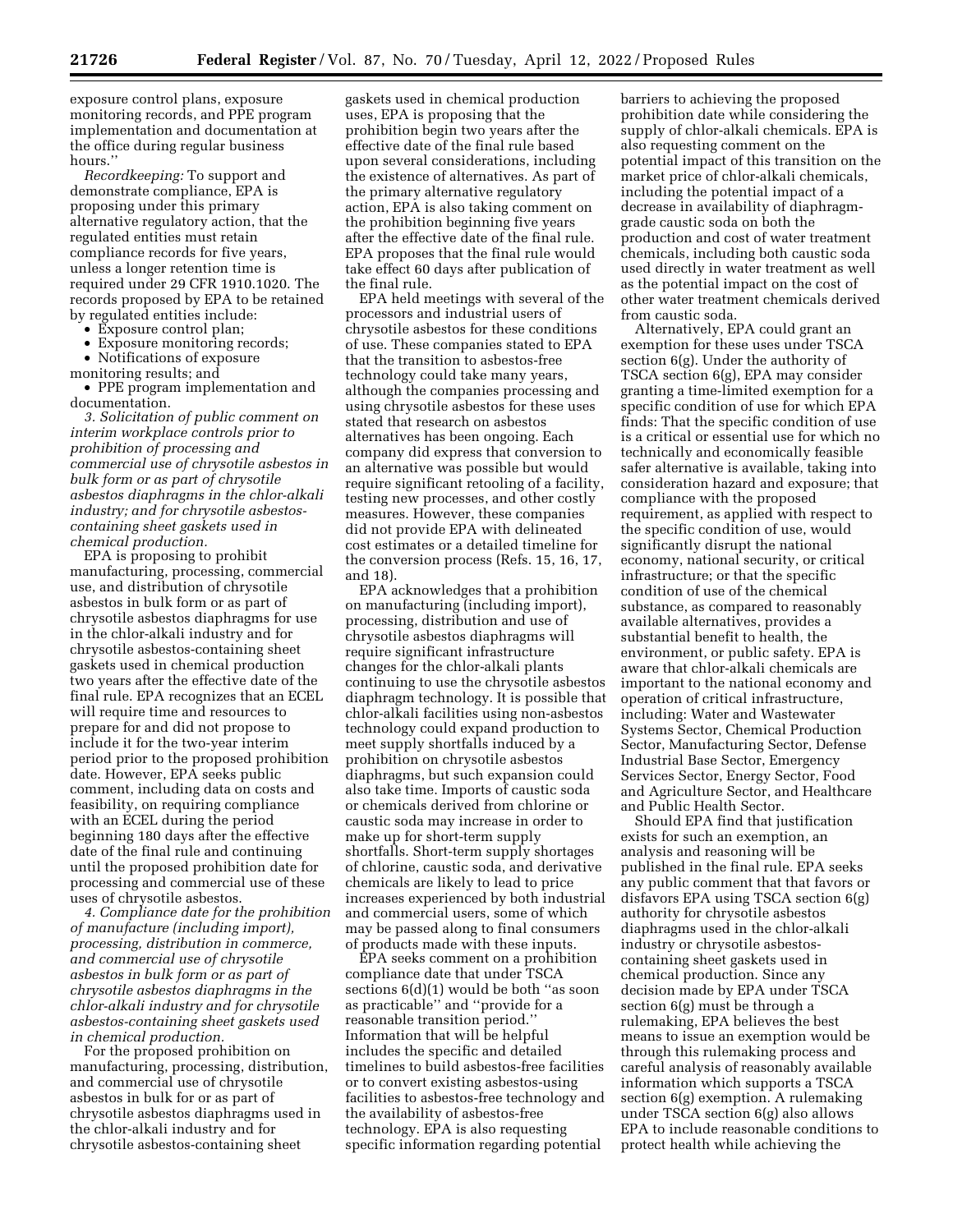exposure control plans, exposure monitoring records, and PPE program implementation and documentation at the office during regular business hours.''

*Recordkeeping:* To support and demonstrate compliance, EPA is proposing under this primary alternative regulatory action, that the regulated entities must retain compliance records for five years, unless a longer retention time is required under 29 CFR 1910.1020. The records proposed by EPA to be retained by regulated entities include:

- Exposure control plan;
- Exposure monitoring records;
- Notifications of exposure
- monitoring results; and

• PPE program implementation and documentation.

*3. Solicitation of public comment on interim workplace controls prior to prohibition of processing and commercial use of chrysotile asbestos in bulk form or as part of chrysotile asbestos diaphragms in the chlor-alkali industry; and for chrysotile asbestoscontaining sheet gaskets used in chemical production.* 

EPA is proposing to prohibit manufacturing, processing, commercial use, and distribution of chrysotile asbestos in bulk form or as part of chrysotile asbestos diaphragms for use in the chlor-alkali industry and for chrysotile asbestos-containing sheet gaskets used in chemical production two years after the effective date of the final rule. EPA recognizes that an ECEL will require time and resources to prepare for and did not propose to include it for the two-year interim period prior to the proposed prohibition date. However, EPA seeks public comment, including data on costs and feasibility, on requiring compliance with an ECEL during the period beginning 180 days after the effective date of the final rule and continuing until the proposed prohibition date for processing and commercial use of these uses of chrysotile asbestos.

*4. Compliance date for the prohibition of manufacture (including import), processing, distribution in commerce, and commercial use of chrysotile asbestos in bulk form or as part of chrysotile asbestos diaphragms in the chlor-alkali industry and for chrysotile asbestos-containing sheet gaskets used in chemical production.* 

For the proposed prohibition on manufacturing, processing, distribution, and commercial use of chrysotile asbestos in bulk for or as part of chrysotile asbestos diaphragms used in the chlor-alkali industry and for chrysotile asbestos-containing sheet

gaskets used in chemical production uses, EPA is proposing that the prohibition begin two years after the effective date of the final rule based upon several considerations, including the existence of alternatives. As part of the primary alternative regulatory action, EPA is also taking comment on the prohibition beginning five years after the effective date of the final rule. EPA proposes that the final rule would take effect 60 days after publication of the final rule.

EPA held meetings with several of the processors and industrial users of chrysotile asbestos for these conditions of use. These companies stated to EPA that the transition to asbestos-free technology could take many years, although the companies processing and using chrysotile asbestos for these uses stated that research on asbestos alternatives has been ongoing. Each company did express that conversion to an alternative was possible but would require significant retooling of a facility, testing new processes, and other costly measures. However, these companies did not provide EPA with delineated cost estimates or a detailed timeline for the conversion process (Refs. 15, 16, 17, and 18).

EPA acknowledges that a prohibition on manufacturing (including import), processing, distribution and use of chrysotile asbestos diaphragms will require significant infrastructure changes for the chlor-alkali plants continuing to use the chrysotile asbestos diaphragm technology. It is possible that chlor-alkali facilities using non-asbestos technology could expand production to meet supply shortfalls induced by a prohibition on chrysotile asbestos diaphragms, but such expansion could also take time. Imports of caustic soda or chemicals derived from chlorine or caustic soda may increase in order to make up for short-term supply shortfalls. Short-term supply shortages of chlorine, caustic soda, and derivative chemicals are likely to lead to price increases experienced by both industrial and commercial users, some of which may be passed along to final consumers of products made with these inputs.

EPA seeks comment on a prohibition compliance date that under TSCA sections 6(d)(1) would be both ''as soon as practicable'' and ''provide for a reasonable transition period.'' Information that will be helpful includes the specific and detailed timelines to build asbestos-free facilities or to convert existing asbestos-using facilities to asbestos-free technology and the availability of asbestos-free technology. EPA is also requesting specific information regarding potential

barriers to achieving the proposed prohibition date while considering the supply of chlor-alkali chemicals. EPA is also requesting comment on the potential impact of this transition on the market price of chlor-alkali chemicals, including the potential impact of a decrease in availability of diaphragmgrade caustic soda on both the production and cost of water treatment chemicals, including both caustic soda used directly in water treatment as well as the potential impact on the cost of other water treatment chemicals derived from caustic soda.

Alternatively, EPA could grant an exemption for these uses under TSCA section 6(g). Under the authority of TSCA section 6(g), EPA may consider granting a time-limited exemption for a specific condition of use for which EPA finds: That the specific condition of use is a critical or essential use for which no technically and economically feasible safer alternative is available, taking into consideration hazard and exposure; that compliance with the proposed requirement, as applied with respect to the specific condition of use, would significantly disrupt the national economy, national security, or critical infrastructure; or that the specific condition of use of the chemical substance, as compared to reasonably available alternatives, provides a substantial benefit to health, the environment, or public safety. EPA is aware that chlor-alkali chemicals are important to the national economy and operation of critical infrastructure, including: Water and Wastewater Systems Sector, Chemical Production Sector, Manufacturing Sector, Defense Industrial Base Sector, Emergency Services Sector, Energy Sector, Food and Agriculture Sector, and Healthcare and Public Health Sector.

Should EPA find that justification exists for such an exemption, an analysis and reasoning will be published in the final rule. EPA seeks any public comment that that favors or disfavors EPA using TSCA section 6(g) authority for chrysotile asbestos diaphragms used in the chlor-alkali industry or chrysotile asbestoscontaining sheet gaskets used in chemical production. Since any decision made by EPA under TSCA section 6(g) must be through a rulemaking, EPA believes the best means to issue an exemption would be through this rulemaking process and careful analysis of reasonably available information which supports a TSCA section 6(g) exemption. A rulemaking under TSCA section 6(g) also allows EPA to include reasonable conditions to protect health while achieving the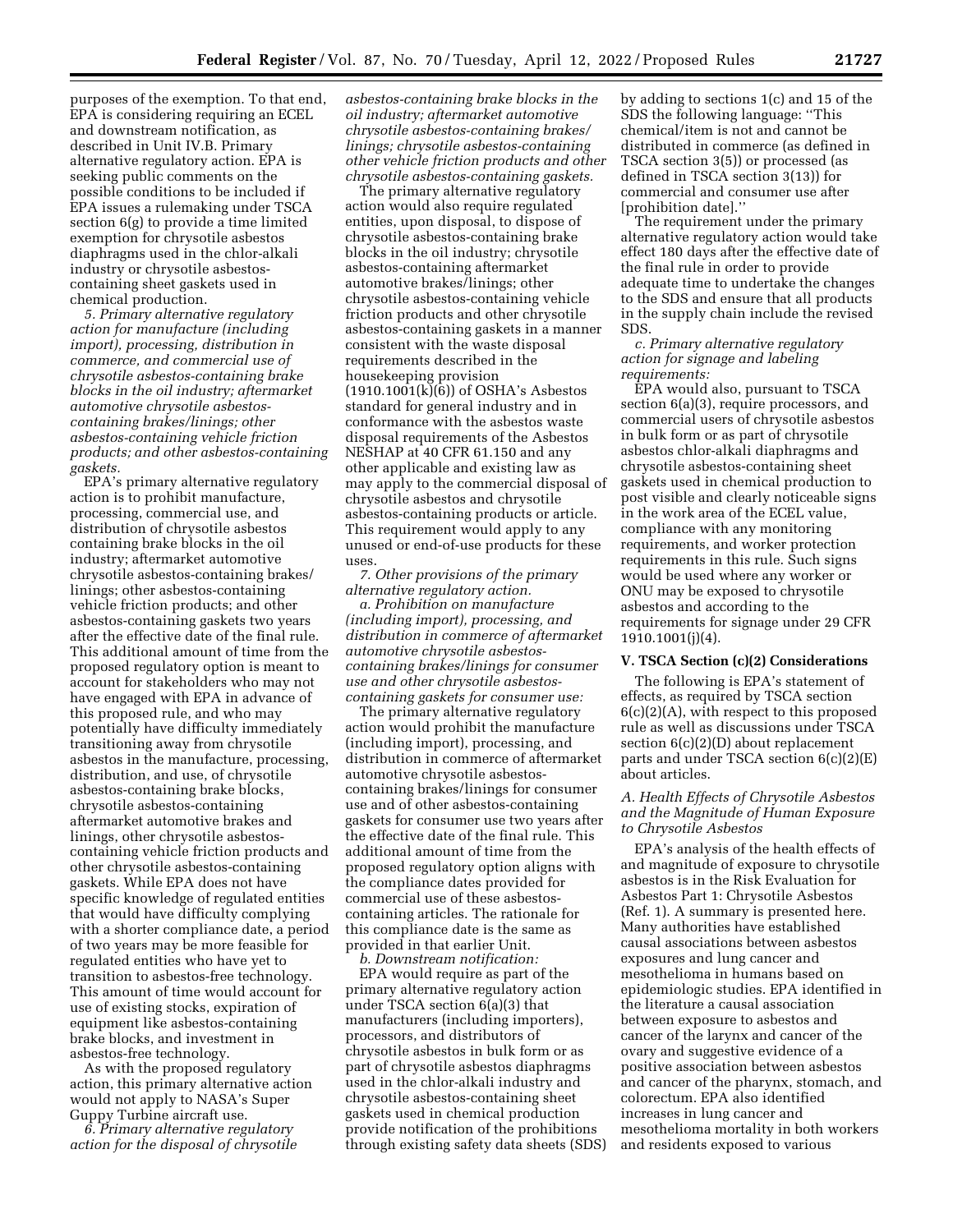purposes of the exemption. To that end, EPA is considering requiring an ECEL and downstream notification, as described in Unit IV.B. Primary alternative regulatory action. EPA is seeking public comments on the possible conditions to be included if EPA issues a rulemaking under TSCA section 6(g) to provide a time limited exemption for chrysotile asbestos diaphragms used in the chlor-alkali industry or chrysotile asbestoscontaining sheet gaskets used in chemical production.

*5. Primary alternative regulatory action for manufacture (including import), processing, distribution in commerce, and commercial use of chrysotile asbestos-containing brake blocks in the oil industry; aftermarket automotive chrysotile asbestoscontaining brakes/linings; other asbestos-containing vehicle friction products; and other asbestos-containing gaskets.* 

EPA's primary alternative regulatory action is to prohibit manufacture, processing, commercial use, and distribution of chrysotile asbestos containing brake blocks in the oil industry; aftermarket automotive chrysotile asbestos-containing brakes/ linings; other asbestos-containing vehicle friction products; and other asbestos-containing gaskets two years after the effective date of the final rule. This additional amount of time from the proposed regulatory option is meant to account for stakeholders who may not have engaged with EPA in advance of this proposed rule, and who may potentially have difficulty immediately transitioning away from chrysotile asbestos in the manufacture, processing, distribution, and use, of chrysotile asbestos-containing brake blocks, chrysotile asbestos-containing aftermarket automotive brakes and linings, other chrysotile asbestoscontaining vehicle friction products and other chrysotile asbestos-containing gaskets. While EPA does not have specific knowledge of regulated entities that would have difficulty complying with a shorter compliance date, a period of two years may be more feasible for regulated entities who have yet to transition to asbestos-free technology. This amount of time would account for use of existing stocks, expiration of equipment like asbestos-containing brake blocks, and investment in asbestos-free technology.

As with the proposed regulatory action, this primary alternative action would not apply to NASA's Super Guppy Turbine aircraft use.

*6. Primary alternative regulatory action for the disposal of chrysotile*  *asbestos-containing brake blocks in the oil industry; aftermarket automotive chrysotile asbestos-containing brakes/ linings; chrysotile asbestos-containing other vehicle friction products and other chrysotile asbestos-containing gaskets.* 

The primary alternative regulatory action would also require regulated entities, upon disposal, to dispose of chrysotile asbestos-containing brake blocks in the oil industry; chrysotile asbestos-containing aftermarket automotive brakes/linings; other chrysotile asbestos-containing vehicle friction products and other chrysotile asbestos-containing gaskets in a manner consistent with the waste disposal requirements described in the housekeeping provision  $(1910.1001(k)(6))$  of OSHA's Asbestos standard for general industry and in conformance with the asbestos waste disposal requirements of the Asbestos NESHAP at 40 CFR 61.150 and any other applicable and existing law as may apply to the commercial disposal of chrysotile asbestos and chrysotile asbestos-containing products or article. This requirement would apply to any unused or end-of-use products for these uses.

*7. Other provisions of the primary alternative regulatory action.* 

*a. Prohibition on manufacture (including import), processing, and distribution in commerce of aftermarket automotive chrysotile asbestoscontaining brakes/linings for consumer use and other chrysotile asbestoscontaining gaskets for consumer use:* 

The primary alternative regulatory action would prohibit the manufacture (including import), processing, and distribution in commerce of aftermarket automotive chrysotile asbestoscontaining brakes/linings for consumer use and of other asbestos-containing gaskets for consumer use two years after the effective date of the final rule. This additional amount of time from the proposed regulatory option aligns with the compliance dates provided for commercial use of these asbestoscontaining articles. The rationale for this compliance date is the same as provided in that earlier Unit.

*b. Downstream notification:*  EPA would require as part of the primary alternative regulatory action under TSCA section 6(a)(3) that manufacturers (including importers), processors, and distributors of chrysotile asbestos in bulk form or as part of chrysotile asbestos diaphragms used in the chlor-alkali industry and chrysotile asbestos-containing sheet gaskets used in chemical production provide notification of the prohibitions through existing safety data sheets (SDS) by adding to sections 1(c) and 15 of the SDS the following language: ''This chemical/item is not and cannot be distributed in commerce (as defined in TSCA section 3(5)) or processed (as defined in TSCA section 3(13)) for commercial and consumer use after [prohibition date].''

The requirement under the primary alternative regulatory action would take effect 180 days after the effective date of the final rule in order to provide adequate time to undertake the changes to the SDS and ensure that all products in the supply chain include the revised SDS.

*c. Primary alternative regulatory action for signage and labeling requirements:* 

EPA would also, pursuant to TSCA section 6(a)(3), require processors, and commercial users of chrysotile asbestos in bulk form or as part of chrysotile asbestos chlor-alkali diaphragms and chrysotile asbestos-containing sheet gaskets used in chemical production to post visible and clearly noticeable signs in the work area of the ECEL value, compliance with any monitoring requirements, and worker protection requirements in this rule. Such signs would be used where any worker or ONU may be exposed to chrysotile asbestos and according to the requirements for signage under 29 CFR 1910.1001(j)(4).

#### **V. TSCA Section (c)(2) Considerations**

The following is EPA's statement of effects, as required by TSCA section 6(c)(2)(A), with respect to this proposed rule as well as discussions under TSCA section 6(c)(2)(D) about replacement parts and under TSCA section 6(c)(2)(E) about articles.

### *A. Health Effects of Chrysotile Asbestos and the Magnitude of Human Exposure to Chrysotile Asbestos*

EPA's analysis of the health effects of and magnitude of exposure to chrysotile asbestos is in the Risk Evaluation for Asbestos Part 1: Chrysotile Asbestos (Ref. 1). A summary is presented here. Many authorities have established causal associations between asbestos exposures and lung cancer and mesothelioma in humans based on epidemiologic studies. EPA identified in the literature a causal association between exposure to asbestos and cancer of the larynx and cancer of the ovary and suggestive evidence of a positive association between asbestos and cancer of the pharynx, stomach, and colorectum. EPA also identified increases in lung cancer and mesothelioma mortality in both workers and residents exposed to various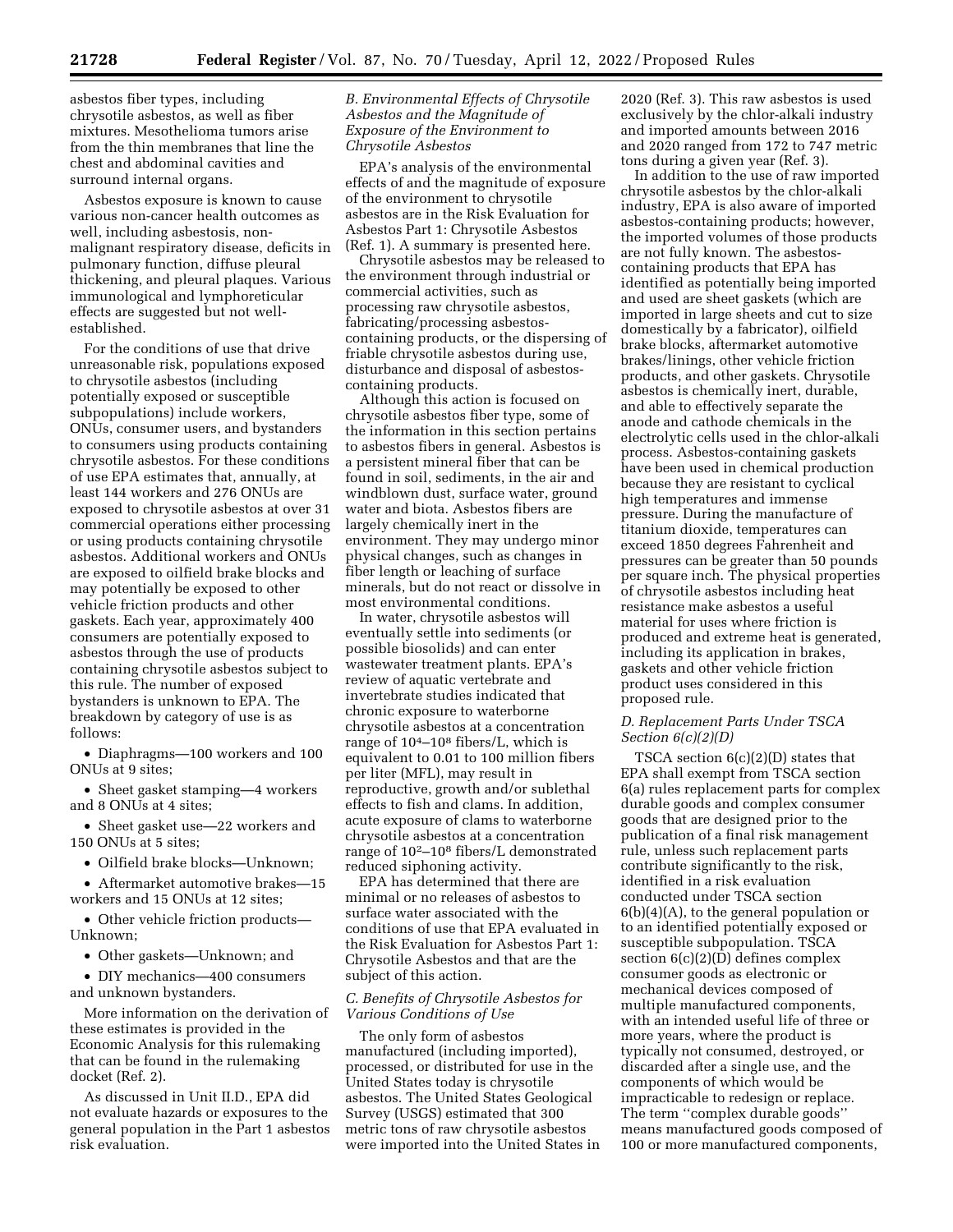asbestos fiber types, including chrysotile asbestos, as well as fiber mixtures. Mesothelioma tumors arise from the thin membranes that line the chest and abdominal cavities and surround internal organs.

Asbestos exposure is known to cause various non-cancer health outcomes as well, including asbestosis, nonmalignant respiratory disease, deficits in pulmonary function, diffuse pleural thickening, and pleural plaques. Various immunological and lymphoreticular effects are suggested but not wellestablished.

For the conditions of use that drive unreasonable risk, populations exposed to chrysotile asbestos (including potentially exposed or susceptible subpopulations) include workers, ONUs, consumer users, and bystanders to consumers using products containing chrysotile asbestos. For these conditions of use EPA estimates that, annually, at least 144 workers and 276 ONUs are exposed to chrysotile asbestos at over 31 commercial operations either processing or using products containing chrysotile asbestos. Additional workers and ONUs are exposed to oilfield brake blocks and may potentially be exposed to other vehicle friction products and other gaskets. Each year, approximately 400 consumers are potentially exposed to asbestos through the use of products containing chrysotile asbestos subject to this rule. The number of exposed bystanders is unknown to EPA. The breakdown by category of use is as follows:

• Diaphragms—100 workers and 100 ONUs at 9 sites;

• Sheet gasket stamping—4 workers and 8 ONUs at 4 sites;

• Sheet gasket use—22 workers and 150 ONUs at 5 sites;

• Oilfield brake blocks—Unknown;

• Aftermarket automotive brakes—15 workers and 15 ONUs at 12 sites;

• Other vehicle friction products— Unknown;

• Other gaskets—Unknown; and

• DIY mechanics—400 consumers and unknown bystanders.

More information on the derivation of these estimates is provided in the Economic Analysis for this rulemaking that can be found in the rulemaking docket (Ref. 2).

As discussed in Unit II.D., EPA did not evaluate hazards or exposures to the general population in the Part 1 asbestos risk evaluation.

### *B. Environmental Effects of Chrysotile Asbestos and the Magnitude of Exposure of the Environment to Chrysotile Asbestos*

EPA's analysis of the environmental effects of and the magnitude of exposure of the environment to chrysotile asbestos are in the Risk Evaluation for Asbestos Part 1: Chrysotile Asbestos (Ref. 1). A summary is presented here.

Chrysotile asbestos may be released to the environment through industrial or commercial activities, such as processing raw chrysotile asbestos, fabricating/processing asbestoscontaining products, or the dispersing of friable chrysotile asbestos during use, disturbance and disposal of asbestoscontaining products.

Although this action is focused on chrysotile asbestos fiber type, some of the information in this section pertains to asbestos fibers in general. Asbestos is a persistent mineral fiber that can be found in soil, sediments, in the air and windblown dust, surface water, ground water and biota. Asbestos fibers are largely chemically inert in the environment. They may undergo minor physical changes, such as changes in fiber length or leaching of surface minerals, but do not react or dissolve in most environmental conditions.

In water, chrysotile asbestos will eventually settle into sediments (or possible biosolids) and can enter wastewater treatment plants. EPA's review of aquatic vertebrate and invertebrate studies indicated that chronic exposure to waterborne chrysotile asbestos at a concentration range of 104–108 fibers/L, which is equivalent to 0.01 to 100 million fibers per liter (MFL), may result in reproductive, growth and/or sublethal effects to fish and clams. In addition, acute exposure of clams to waterborne chrysotile asbestos at a concentration range of 102–108 fibers/L demonstrated reduced siphoning activity.

EPA has determined that there are minimal or no releases of asbestos to surface water associated with the conditions of use that EPA evaluated in the Risk Evaluation for Asbestos Part 1: Chrysotile Asbestos and that are the subject of this action.

# *C. Benefits of Chrysotile Asbestos for Various Conditions of Use*

The only form of asbestos manufactured (including imported), processed, or distributed for use in the United States today is chrysotile asbestos. The United States Geological Survey (USGS) estimated that 300 metric tons of raw chrysotile asbestos were imported into the United States in 2020 (Ref. 3). This raw asbestos is used exclusively by the chlor-alkali industry and imported amounts between 2016 and 2020 ranged from 172 to 747 metric tons during a given year (Ref. 3).

In addition to the use of raw imported chrysotile asbestos by the chlor-alkali industry, EPA is also aware of imported asbestos-containing products; however, the imported volumes of those products are not fully known. The asbestoscontaining products that EPA has identified as potentially being imported and used are sheet gaskets (which are imported in large sheets and cut to size domestically by a fabricator), oilfield brake blocks, aftermarket automotive brakes/linings, other vehicle friction products, and other gaskets. Chrysotile asbestos is chemically inert, durable, and able to effectively separate the anode and cathode chemicals in the electrolytic cells used in the chlor-alkali process. Asbestos-containing gaskets have been used in chemical production because they are resistant to cyclical high temperatures and immense pressure. During the manufacture of titanium dioxide, temperatures can exceed 1850 degrees Fahrenheit and pressures can be greater than 50 pounds per square inch. The physical properties of chrysotile asbestos including heat resistance make asbestos a useful material for uses where friction is produced and extreme heat is generated, including its application in brakes, gaskets and other vehicle friction product uses considered in this proposed rule.

### *D. Replacement Parts Under TSCA Section 6(c)(2)(D)*

TSCA section 6(c)(2)(D) states that EPA shall exempt from TSCA section 6(a) rules replacement parts for complex durable goods and complex consumer goods that are designed prior to the publication of a final risk management rule, unless such replacement parts contribute significantly to the risk, identified in a risk evaluation conducted under TSCA section 6(b)(4)(A), to the general population or to an identified potentially exposed or susceptible subpopulation. TSCA section 6(c)(2)(D) defines complex consumer goods as electronic or mechanical devices composed of multiple manufactured components, with an intended useful life of three or more years, where the product is typically not consumed, destroyed, or discarded after a single use, and the components of which would be impracticable to redesign or replace. The term ''complex durable goods'' means manufactured goods composed of 100 or more manufactured components,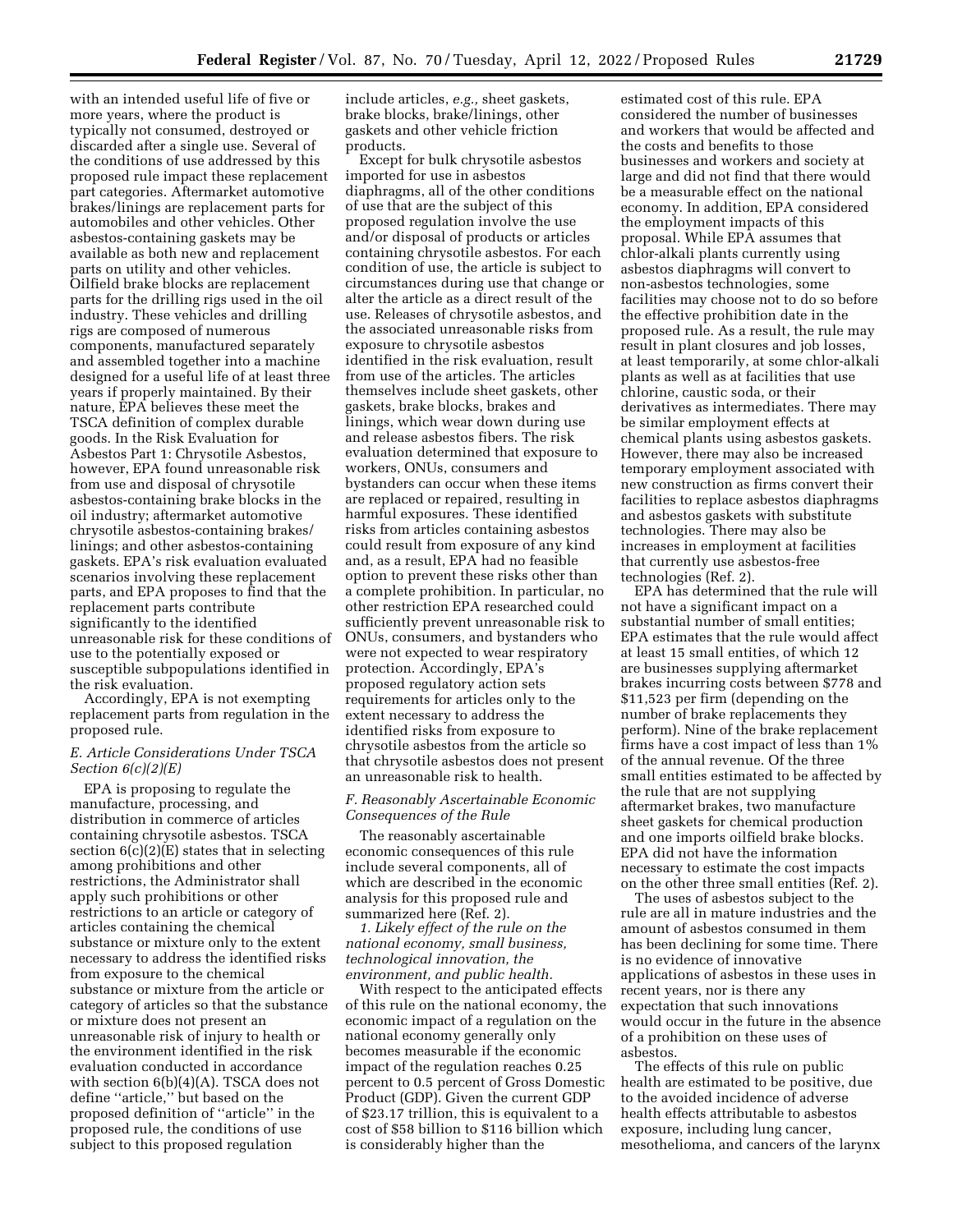with an intended useful life of five or more years, where the product is typically not consumed, destroyed or discarded after a single use. Several of the conditions of use addressed by this proposed rule impact these replacement part categories. Aftermarket automotive brakes/linings are replacement parts for automobiles and other vehicles. Other asbestos-containing gaskets may be available as both new and replacement parts on utility and other vehicles. Oilfield brake blocks are replacement parts for the drilling rigs used in the oil industry. These vehicles and drilling rigs are composed of numerous components, manufactured separately and assembled together into a machine designed for a useful life of at least three years if properly maintained. By their nature, EPA believes these meet the TSCA definition of complex durable goods. In the Risk Evaluation for Asbestos Part 1: Chrysotile Asbestos, however, EPA found unreasonable risk from use and disposal of chrysotile asbestos-containing brake blocks in the oil industry; aftermarket automotive chrysotile asbestos-containing brakes/ linings; and other asbestos-containing gaskets. EPA's risk evaluation evaluated scenarios involving these replacement parts, and EPA proposes to find that the replacement parts contribute significantly to the identified unreasonable risk for these conditions of use to the potentially exposed or susceptible subpopulations identified in the risk evaluation.

Accordingly, EPA is not exempting replacement parts from regulation in the proposed rule.

## *E. Article Considerations Under TSCA Section 6(c)(2)(E)*

EPA is proposing to regulate the manufacture, processing, and distribution in commerce of articles containing chrysotile asbestos. TSCA section  $6(c)(2)(E)$  states that in selecting among prohibitions and other restrictions, the Administrator shall apply such prohibitions or other restrictions to an article or category of articles containing the chemical substance or mixture only to the extent necessary to address the identified risks from exposure to the chemical substance or mixture from the article or category of articles so that the substance or mixture does not present an unreasonable risk of injury to health or the environment identified in the risk evaluation conducted in accordance with section 6(b)(4)(A). TSCA does not define ''article,'' but based on the proposed definition of ''article'' in the proposed rule, the conditions of use subject to this proposed regulation

include articles, *e.g.,* sheet gaskets, brake blocks, brake/linings, other gaskets and other vehicle friction products.

Except for bulk chrysotile asbestos imported for use in asbestos diaphragms, all of the other conditions of use that are the subject of this proposed regulation involve the use and/or disposal of products or articles containing chrysotile asbestos. For each condition of use, the article is subject to circumstances during use that change or alter the article as a direct result of the use. Releases of chrysotile asbestos, and the associated unreasonable risks from exposure to chrysotile asbestos identified in the risk evaluation, result from use of the articles. The articles themselves include sheet gaskets, other gaskets, brake blocks, brakes and linings, which wear down during use and release asbestos fibers. The risk evaluation determined that exposure to workers, ONUs, consumers and bystanders can occur when these items are replaced or repaired, resulting in harmful exposures. These identified risks from articles containing asbestos could result from exposure of any kind and, as a result, EPA had no feasible option to prevent these risks other than a complete prohibition. In particular, no other restriction EPA researched could sufficiently prevent unreasonable risk to ONUs, consumers, and bystanders who were not expected to wear respiratory protection. Accordingly, EPA's proposed regulatory action sets requirements for articles only to the extent necessary to address the identified risks from exposure to chrysotile asbestos from the article so that chrysotile asbestos does not present an unreasonable risk to health.

### *F. Reasonably Ascertainable Economic Consequences of the Rule*

The reasonably ascertainable economic consequences of this rule include several components, all of which are described in the economic analysis for this proposed rule and summarized here (Ref. 2).

*1. Likely effect of the rule on the national economy, small business, technological innovation, the environment, and public health.* 

With respect to the anticipated effects of this rule on the national economy, the economic impact of a regulation on the national economy generally only becomes measurable if the economic impact of the regulation reaches 0.25 percent to 0.5 percent of Gross Domestic Product (GDP). Given the current GDP of \$23.17 trillion, this is equivalent to a cost of \$58 billion to \$116 billion which is considerably higher than the

estimated cost of this rule. EPA considered the number of businesses and workers that would be affected and the costs and benefits to those businesses and workers and society at large and did not find that there would be a measurable effect on the national economy. In addition, EPA considered the employment impacts of this proposal. While EPA assumes that chlor-alkali plants currently using asbestos diaphragms will convert to non-asbestos technologies, some facilities may choose not to do so before the effective prohibition date in the proposed rule. As a result, the rule may result in plant closures and job losses, at least temporarily, at some chlor-alkali plants as well as at facilities that use chlorine, caustic soda, or their derivatives as intermediates. There may be similar employment effects at chemical plants using asbestos gaskets. However, there may also be increased temporary employment associated with new construction as firms convert their facilities to replace asbestos diaphragms and asbestos gaskets with substitute technologies. There may also be increases in employment at facilities that currently use asbestos-free technologies (Ref. 2).

EPA has determined that the rule will not have a significant impact on a substantial number of small entities; EPA estimates that the rule would affect at least 15 small entities, of which 12 are businesses supplying aftermarket brakes incurring costs between \$778 and \$11,523 per firm (depending on the number of brake replacements they perform). Nine of the brake replacement firms have a cost impact of less than 1% of the annual revenue. Of the three small entities estimated to be affected by the rule that are not supplying aftermarket brakes, two manufacture sheet gaskets for chemical production and one imports oilfield brake blocks. EPA did not have the information necessary to estimate the cost impacts on the other three small entities (Ref. 2).

The uses of asbestos subject to the rule are all in mature industries and the amount of asbestos consumed in them has been declining for some time. There is no evidence of innovative applications of asbestos in these uses in recent years, nor is there any expectation that such innovations would occur in the future in the absence of a prohibition on these uses of asbestos.

The effects of this rule on public health are estimated to be positive, due to the avoided incidence of adverse health effects attributable to asbestos exposure, including lung cancer, mesothelioma, and cancers of the larynx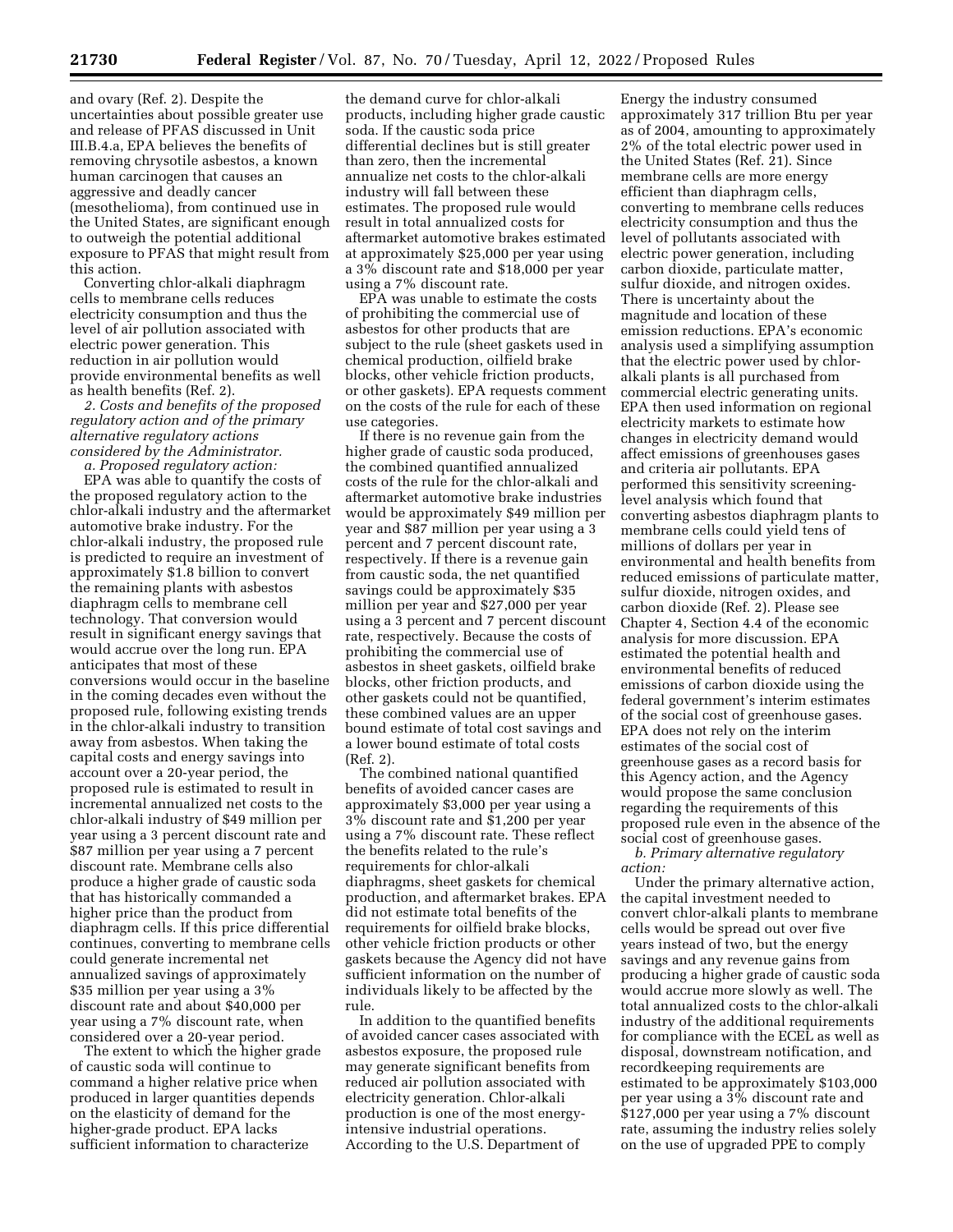and ovary (Ref. 2). Despite the uncertainties about possible greater use and release of PFAS discussed in Unit III.B.4.a, EPA believes the benefits of removing chrysotile asbestos, a known human carcinogen that causes an aggressive and deadly cancer (mesothelioma), from continued use in the United States, are significant enough to outweigh the potential additional exposure to PFAS that might result from this action.

Converting chlor-alkali diaphragm cells to membrane cells reduces electricity consumption and thus the level of air pollution associated with electric power generation. This reduction in air pollution would provide environmental benefits as well as health benefits (Ref. 2).

*2. Costs and benefits of the proposed regulatory action and of the primary alternative regulatory actions considered by the Administrator.* 

*a. Proposed regulatory action:* 

EPA was able to quantify the costs of the proposed regulatory action to the chlor-alkali industry and the aftermarket automotive brake industry. For the chlor-alkali industry, the proposed rule is predicted to require an investment of approximately \$1.8 billion to convert the remaining plants with asbestos diaphragm cells to membrane cell technology. That conversion would result in significant energy savings that would accrue over the long run. EPA anticipates that most of these conversions would occur in the baseline in the coming decades even without the proposed rule, following existing trends in the chlor-alkali industry to transition away from asbestos. When taking the capital costs and energy savings into account over a 20-year period, the proposed rule is estimated to result in incremental annualized net costs to the chlor-alkali industry of \$49 million per year using a 3 percent discount rate and \$87 million per year using a 7 percent discount rate. Membrane cells also produce a higher grade of caustic soda that has historically commanded a higher price than the product from diaphragm cells. If this price differential continues, converting to membrane cells could generate incremental net annualized savings of approximately \$35 million per year using a 3% discount rate and about \$40,000 per year using a 7% discount rate, when considered over a 20-year period.

The extent to which the higher grade of caustic soda will continue to command a higher relative price when produced in larger quantities depends on the elasticity of demand for the higher-grade product. EPA lacks sufficient information to characterize

the demand curve for chlor-alkali products, including higher grade caustic soda. If the caustic soda price differential declines but is still greater than zero, then the incremental annualize net costs to the chlor-alkali industry will fall between these estimates. The proposed rule would result in total annualized costs for aftermarket automotive brakes estimated at approximately \$25,000 per year using a 3% discount rate and \$18,000 per year using a 7% discount rate.

EPA was unable to estimate the costs of prohibiting the commercial use of asbestos for other products that are subject to the rule (sheet gaskets used in chemical production, oilfield brake blocks, other vehicle friction products, or other gaskets). EPA requests comment on the costs of the rule for each of these use categories.

If there is no revenue gain from the higher grade of caustic soda produced, the combined quantified annualized costs of the rule for the chlor-alkali and aftermarket automotive brake industries would be approximately \$49 million per year and \$87 million per year using a 3 percent and 7 percent discount rate, respectively. If there is a revenue gain from caustic soda, the net quantified savings could be approximately \$35 million per year and \$27,000 per year using a 3 percent and 7 percent discount rate, respectively. Because the costs of prohibiting the commercial use of asbestos in sheet gaskets, oilfield brake blocks, other friction products, and other gaskets could not be quantified, these combined values are an upper bound estimate of total cost savings and a lower bound estimate of total costs (Ref. 2).

The combined national quantified benefits of avoided cancer cases are approximately \$3,000 per year using a 3% discount rate and \$1,200 per year using a 7% discount rate. These reflect the benefits related to the rule's requirements for chlor-alkali diaphragms, sheet gaskets for chemical production, and aftermarket brakes. EPA did not estimate total benefits of the requirements for oilfield brake blocks, other vehicle friction products or other gaskets because the Agency did not have sufficient information on the number of individuals likely to be affected by the rule.

In addition to the quantified benefits of avoided cancer cases associated with asbestos exposure, the proposed rule may generate significant benefits from reduced air pollution associated with electricity generation. Chlor-alkali production is one of the most energyintensive industrial operations. According to the U.S. Department of

Energy the industry consumed approximately 317 trillion Btu per year as of 2004, amounting to approximately 2% of the total electric power used in the United States (Ref. 21). Since membrane cells are more energy efficient than diaphragm cells, converting to membrane cells reduces electricity consumption and thus the level of pollutants associated with electric power generation, including carbon dioxide, particulate matter, sulfur dioxide, and nitrogen oxides. There is uncertainty about the magnitude and location of these emission reductions. EPA's economic analysis used a simplifying assumption that the electric power used by chloralkali plants is all purchased from commercial electric generating units. EPA then used information on regional electricity markets to estimate how changes in electricity demand would affect emissions of greenhouses gases and criteria air pollutants. EPA performed this sensitivity screeninglevel analysis which found that converting asbestos diaphragm plants to membrane cells could yield tens of millions of dollars per year in environmental and health benefits from reduced emissions of particulate matter, sulfur dioxide, nitrogen oxides, and carbon dioxide (Ref. 2). Please see Chapter 4, Section 4.4 of the economic analysis for more discussion. EPA estimated the potential health and environmental benefits of reduced emissions of carbon dioxide using the federal government's interim estimates of the social cost of greenhouse gases. EPA does not rely on the interim estimates of the social cost of greenhouse gases as a record basis for this Agency action, and the Agency would propose the same conclusion regarding the requirements of this proposed rule even in the absence of the social cost of greenhouse gases.

*b. Primary alternative regulatory action:* 

Under the primary alternative action, the capital investment needed to convert chlor-alkali plants to membrane cells would be spread out over five years instead of two, but the energy savings and any revenue gains from producing a higher grade of caustic soda would accrue more slowly as well. The total annualized costs to the chlor-alkali industry of the additional requirements for compliance with the ECEL as well as disposal, downstream notification, and recordkeeping requirements are estimated to be approximately \$103,000 per year using a 3% discount rate and \$127,000 per year using a 7% discount rate, assuming the industry relies solely on the use of upgraded PPE to comply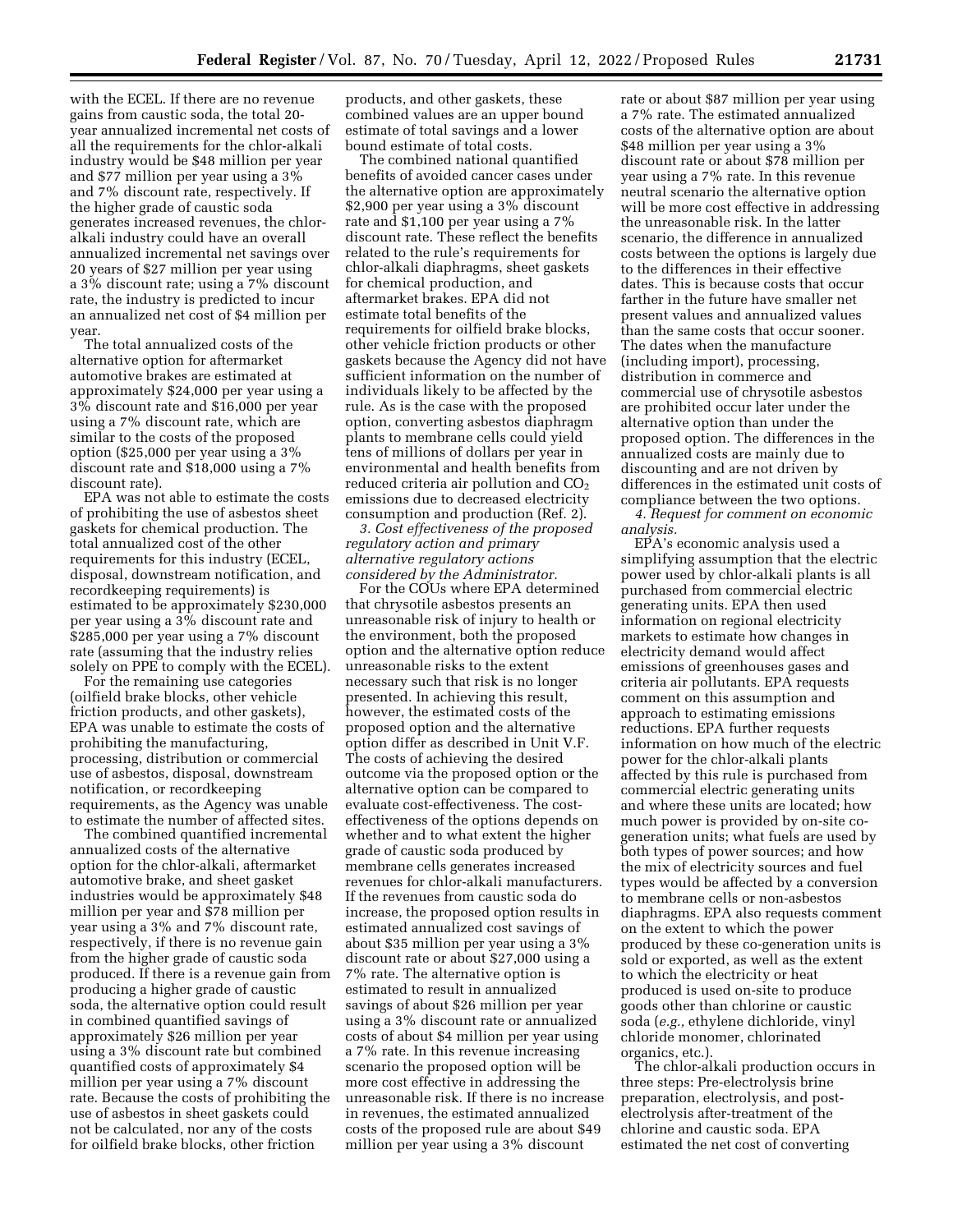with the ECEL. If there are no revenue gains from caustic soda, the total 20 year annualized incremental net costs of all the requirements for the chlor-alkali industry would be \$48 million per year and \$77 million per year using a 3% and 7% discount rate, respectively. If the higher grade of caustic soda generates increased revenues, the chloralkali industry could have an overall annualized incremental net savings over 20 years of \$27 million per year using a 3% discount rate; using a 7% discount rate, the industry is predicted to incur an annualized net cost of \$4 million per year.

The total annualized costs of the alternative option for aftermarket automotive brakes are estimated at approximately \$24,000 per year using a 3% discount rate and \$16,000 per year using a 7% discount rate, which are similar to the costs of the proposed option (\$25,000 per year using a 3% discount rate and \$18,000 using a 7% discount rate).

EPA was not able to estimate the costs of prohibiting the use of asbestos sheet gaskets for chemical production. The total annualized cost of the other requirements for this industry (ECEL, disposal, downstream notification, and recordkeeping requirements) is estimated to be approximately \$230,000 per year using a 3% discount rate and \$285,000 per year using a 7% discount rate (assuming that the industry relies solely on PPE to comply with the ECEL).

For the remaining use categories (oilfield brake blocks, other vehicle friction products, and other gaskets), EPA was unable to estimate the costs of prohibiting the manufacturing, processing, distribution or commercial use of asbestos, disposal, downstream notification, or recordkeeping requirements, as the Agency was unable to estimate the number of affected sites.

The combined quantified incremental annualized costs of the alternative option for the chlor-alkali, aftermarket automotive brake, and sheet gasket industries would be approximately \$48 million per year and \$78 million per year using a 3% and 7% discount rate, respectively, if there is no revenue gain from the higher grade of caustic soda produced. If there is a revenue gain from producing a higher grade of caustic soda, the alternative option could result in combined quantified savings of approximately \$26 million per year using a 3% discount rate but combined quantified costs of approximately \$4 million per year using a 7% discount rate. Because the costs of prohibiting the use of asbestos in sheet gaskets could not be calculated, nor any of the costs for oilfield brake blocks, other friction

products, and other gaskets, these combined values are an upper bound estimate of total savings and a lower bound estimate of total costs.

The combined national quantified benefits of avoided cancer cases under the alternative option are approximately \$2,900 per year using a 3% discount rate and \$1,100 per year using a 7% discount rate. These reflect the benefits related to the rule's requirements for chlor-alkali diaphragms, sheet gaskets for chemical production, and aftermarket brakes. EPA did not estimate total benefits of the requirements for oilfield brake blocks, other vehicle friction products or other gaskets because the Agency did not have sufficient information on the number of individuals likely to be affected by the rule. As is the case with the proposed option, converting asbestos diaphragm plants to membrane cells could yield tens of millions of dollars per year in environmental and health benefits from reduced criteria air pollution and  $CO<sub>2</sub>$ emissions due to decreased electricity consumption and production (Ref. 2).

*3. Cost effectiveness of the proposed regulatory action and primary alternative regulatory actions considered by the Administrator.* 

For the COUs where EPA determined that chrysotile asbestos presents an unreasonable risk of injury to health or the environment, both the proposed option and the alternative option reduce unreasonable risks to the extent necessary such that risk is no longer presented. In achieving this result, however, the estimated costs of the proposed option and the alternative option differ as described in Unit V.F. The costs of achieving the desired outcome via the proposed option or the alternative option can be compared to evaluate cost-effectiveness. The costeffectiveness of the options depends on whether and to what extent the higher grade of caustic soda produced by membrane cells generates increased revenues for chlor-alkali manufacturers. If the revenues from caustic soda do increase, the proposed option results in estimated annualized cost savings of about \$35 million per year using a 3% discount rate or about \$27,000 using a 7% rate. The alternative option is estimated to result in annualized savings of about \$26 million per year using a 3% discount rate or annualized costs of about \$4 million per year using a 7% rate. In this revenue increasing scenario the proposed option will be more cost effective in addressing the unreasonable risk. If there is no increase in revenues, the estimated annualized costs of the proposed rule are about \$49 million per year using a 3% discount

rate or about \$87 million per year using a 7% rate. The estimated annualized costs of the alternative option are about \$48 million per year using a 3% discount rate or about \$78 million per year using a 7% rate. In this revenue neutral scenario the alternative option will be more cost effective in addressing the unreasonable risk. In the latter scenario, the difference in annualized costs between the options is largely due to the differences in their effective dates. This is because costs that occur farther in the future have smaller net present values and annualized values than the same costs that occur sooner. The dates when the manufacture (including import), processing, distribution in commerce and commercial use of chrysotile asbestos are prohibited occur later under the alternative option than under the proposed option. The differences in the annualized costs are mainly due to discounting and are not driven by differences in the estimated unit costs of compliance between the two options. *4. Request for comment on economic* 

*analysis.* 

EPA's economic analysis used a simplifying assumption that the electric power used by chlor-alkali plants is all purchased from commercial electric generating units. EPA then used information on regional electricity markets to estimate how changes in electricity demand would affect emissions of greenhouses gases and criteria air pollutants. EPA requests comment on this assumption and approach to estimating emissions reductions. EPA further requests information on how much of the electric power for the chlor-alkali plants affected by this rule is purchased from commercial electric generating units and where these units are located; how much power is provided by on-site cogeneration units; what fuels are used by both types of power sources; and how the mix of electricity sources and fuel types would be affected by a conversion to membrane cells or non-asbestos diaphragms. EPA also requests comment on the extent to which the power produced by these co-generation units is sold or exported, as well as the extent to which the electricity or heat produced is used on-site to produce goods other than chlorine or caustic soda (*e.g.,* ethylene dichloride, vinyl chloride monomer, chlorinated organics, etc.).

The chlor-alkali production occurs in three steps: Pre-electrolysis brine preparation, electrolysis, and postelectrolysis after-treatment of the chlorine and caustic soda. EPA estimated the net cost of converting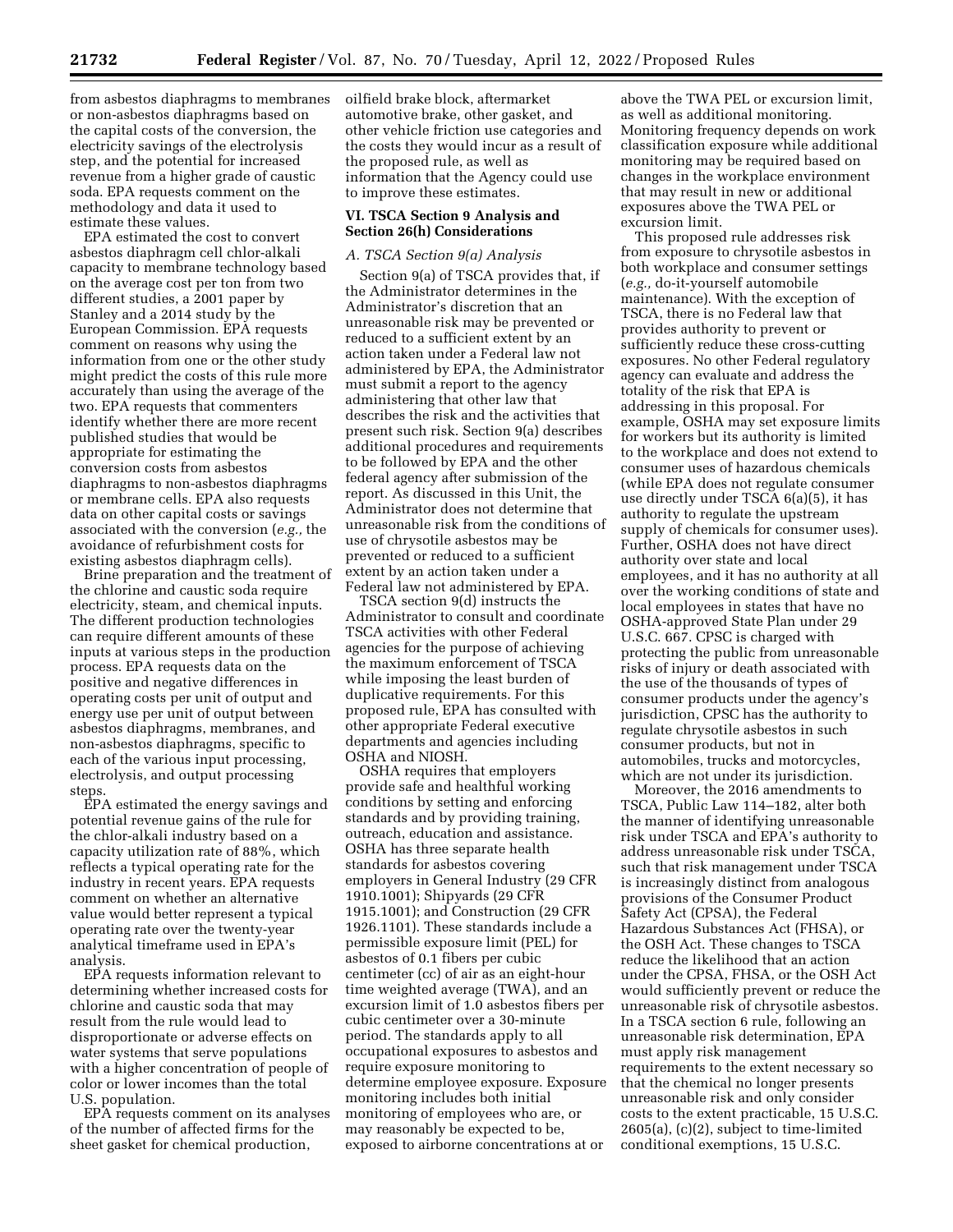from asbestos diaphragms to membranes or non-asbestos diaphragms based on the capital costs of the conversion, the electricity savings of the electrolysis step, and the potential for increased revenue from a higher grade of caustic soda. EPA requests comment on the methodology and data it used to estimate these values.

EPA estimated the cost to convert asbestos diaphragm cell chlor-alkali capacity to membrane technology based on the average cost per ton from two different studies, a 2001 paper by Stanley and a 2014 study by the European Commission. EPA requests comment on reasons why using the information from one or the other study might predict the costs of this rule more accurately than using the average of the two. EPA requests that commenters identify whether there are more recent published studies that would be appropriate for estimating the conversion costs from asbestos diaphragms to non-asbestos diaphragms or membrane cells. EPA also requests data on other capital costs or savings associated with the conversion (*e.g.,* the avoidance of refurbishment costs for existing asbestos diaphragm cells).

Brine preparation and the treatment of the chlorine and caustic soda require electricity, steam, and chemical inputs. The different production technologies can require different amounts of these inputs at various steps in the production process. EPA requests data on the positive and negative differences in operating costs per unit of output and energy use per unit of output between asbestos diaphragms, membranes, and non-asbestos diaphragms, specific to each of the various input processing, electrolysis, and output processing steps.

EPA estimated the energy savings and potential revenue gains of the rule for the chlor-alkali industry based on a capacity utilization rate of 88%, which reflects a typical operating rate for the industry in recent years. EPA requests comment on whether an alternative value would better represent a typical operating rate over the twenty-year analytical timeframe used in EPA's analysis.

EPA requests information relevant to determining whether increased costs for chlorine and caustic soda that may result from the rule would lead to disproportionate or adverse effects on water systems that serve populations with a higher concentration of people of color or lower incomes than the total U.S. population.

EPA requests comment on its analyses of the number of affected firms for the sheet gasket for chemical production,

oilfield brake block, aftermarket automotive brake, other gasket, and other vehicle friction use categories and the costs they would incur as a result of the proposed rule, as well as information that the Agency could use to improve these estimates.

#### **VI. TSCA Section 9 Analysis and Section 26(h) Considerations**

### *A. TSCA Section 9(a) Analysis*

Section 9(a) of TSCA provides that, if the Administrator determines in the Administrator's discretion that an unreasonable risk may be prevented or reduced to a sufficient extent by an action taken under a Federal law not administered by EPA, the Administrator must submit a report to the agency administering that other law that describes the risk and the activities that present such risk. Section 9(a) describes additional procedures and requirements to be followed by EPA and the other federal agency after submission of the report. As discussed in this Unit, the Administrator does not determine that unreasonable risk from the conditions of use of chrysotile asbestos may be prevented or reduced to a sufficient extent by an action taken under a Federal law not administered by EPA.

TSCA section 9(d) instructs the Administrator to consult and coordinate TSCA activities with other Federal agencies for the purpose of achieving the maximum enforcement of TSCA while imposing the least burden of duplicative requirements. For this proposed rule, EPA has consulted with other appropriate Federal executive departments and agencies including OSHA and NIOSH.

OSHA requires that employers provide safe and healthful working conditions by setting and enforcing standards and by providing training, outreach, education and assistance. OSHA has three separate health standards for asbestos covering employers in General Industry (29 CFR 1910.1001); Shipyards (29 CFR 1915.1001); and Construction (29 CFR 1926.1101). These standards include a permissible exposure limit (PEL) for asbestos of 0.1 fibers per cubic centimeter (cc) of air as an eight-hour time weighted average (TWA), and an excursion limit of 1.0 asbestos fibers per cubic centimeter over a 30-minute period. The standards apply to all occupational exposures to asbestos and require exposure monitoring to determine employee exposure. Exposure monitoring includes both initial monitoring of employees who are, or may reasonably be expected to be, exposed to airborne concentrations at or

above the TWA PEL or excursion limit, as well as additional monitoring. Monitoring frequency depends on work classification exposure while additional monitoring may be required based on changes in the workplace environment that may result in new or additional exposures above the TWA PEL or excursion limit.

This proposed rule addresses risk from exposure to chrysotile asbestos in both workplace and consumer settings (*e.g.,* do-it-yourself automobile maintenance). With the exception of TSCA, there is no Federal law that provides authority to prevent or sufficiently reduce these cross-cutting exposures. No other Federal regulatory agency can evaluate and address the totality of the risk that EPA is addressing in this proposal. For example, OSHA may set exposure limits for workers but its authority is limited to the workplace and does not extend to consumer uses of hazardous chemicals (while EPA does not regulate consumer use directly under TSCA 6(a)(5), it has authority to regulate the upstream supply of chemicals for consumer uses). Further, OSHA does not have direct authority over state and local employees, and it has no authority at all over the working conditions of state and local employees in states that have no OSHA-approved State Plan under 29 U.S.C. 667. CPSC is charged with protecting the public from unreasonable risks of injury or death associated with the use of the thousands of types of consumer products under the agency's jurisdiction, CPSC has the authority to regulate chrysotile asbestos in such consumer products, but not in automobiles, trucks and motorcycles, which are not under its jurisdiction.

Moreover, the 2016 amendments to TSCA, Public Law 114–182, alter both the manner of identifying unreasonable risk under TSCA and EPA's authority to address unreasonable risk under TSCA, such that risk management under TSCA is increasingly distinct from analogous provisions of the Consumer Product Safety Act (CPSA), the Federal Hazardous Substances Act (FHSA), or the OSH Act. These changes to TSCA reduce the likelihood that an action under the CPSA, FHSA, or the OSH Act would sufficiently prevent or reduce the unreasonable risk of chrysotile asbestos. In a TSCA section 6 rule, following an unreasonable risk determination, EPA must apply risk management requirements to the extent necessary so that the chemical no longer presents unreasonable risk and only consider costs to the extent practicable, 15 U.S.C. 2605(a), (c)(2), subject to time-limited conditional exemptions, 15 U.S.C.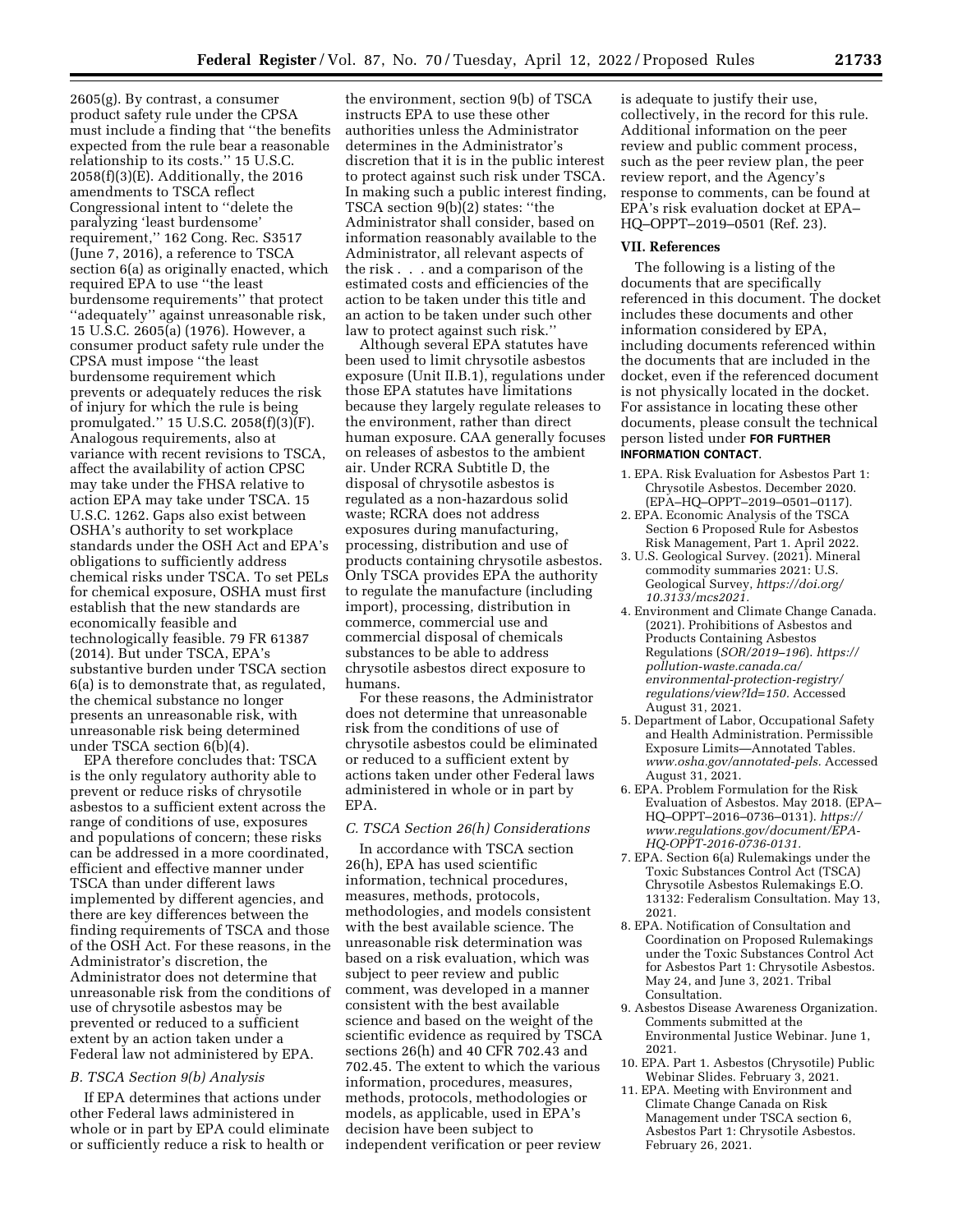2605(g). By contrast, a consumer product safety rule under the CPSA must include a finding that ''the benefits expected from the rule bear a reasonable relationship to its costs.'' 15 U.S.C. 2058(f)(3)(E). Additionally, the 2016 amendments to TSCA reflect Congressional intent to ''delete the paralyzing 'least burdensome' requirement,'' 162 Cong. Rec. S3517 (June 7, 2016), a reference to TSCA section 6(a) as originally enacted, which required EPA to use ''the least burdensome requirements'' that protect ''adequately'' against unreasonable risk, 15 U.S.C. 2605(a) (1976). However, a consumer product safety rule under the CPSA must impose ''the least burdensome requirement which prevents or adequately reduces the risk of injury for which the rule is being promulgated." 15 U.S.C. 2058 $(f)(3)$ <sup>[F]</sup>. Analogous requirements, also at variance with recent revisions to TSCA, affect the availability of action CPSC may take under the FHSA relative to action EPA may take under TSCA. 15 U.S.C. 1262. Gaps also exist between OSHA's authority to set workplace standards under the OSH Act and EPA's obligations to sufficiently address chemical risks under TSCA. To set PELs for chemical exposure, OSHA must first establish that the new standards are economically feasible and technologically feasible. 79 FR 61387 (2014). But under TSCA, EPA's substantive burden under TSCA section 6(a) is to demonstrate that, as regulated, the chemical substance no longer presents an unreasonable risk, with unreasonable risk being determined under TSCA section 6(b)(4).

EPA therefore concludes that: TSCA is the only regulatory authority able to prevent or reduce risks of chrysotile asbestos to a sufficient extent across the range of conditions of use, exposures and populations of concern; these risks can be addressed in a more coordinated, efficient and effective manner under TSCA than under different laws implemented by different agencies, and there are key differences between the finding requirements of TSCA and those of the OSH Act. For these reasons, in the Administrator's discretion, the Administrator does not determine that unreasonable risk from the conditions of use of chrysotile asbestos may be prevented or reduced to a sufficient extent by an action taken under a Federal law not administered by EPA.

### *B. TSCA Section 9(b) Analysis*

If EPA determines that actions under other Federal laws administered in whole or in part by EPA could eliminate or sufficiently reduce a risk to health or

the environment, section 9(b) of TSCA instructs EPA to use these other authorities unless the Administrator determines in the Administrator's discretion that it is in the public interest to protect against such risk under TSCA. In making such a public interest finding, TSCA section 9(b)(2) states: ''the Administrator shall consider, based on information reasonably available to the Administrator, all relevant aspects of the risk . . . and a comparison of the estimated costs and efficiencies of the action to be taken under this title and an action to be taken under such other law to protect against such risk.''

Although several EPA statutes have been used to limit chrysotile asbestos exposure (Unit II.B.1), regulations under those EPA statutes have limitations because they largely regulate releases to the environment, rather than direct human exposure. CAA generally focuses on releases of asbestos to the ambient air. Under RCRA Subtitle D, the disposal of chrysotile asbestos is regulated as a non-hazardous solid waste; RCRA does not address exposures during manufacturing, processing, distribution and use of products containing chrysotile asbestos. Only TSCA provides EPA the authority to regulate the manufacture (including import), processing, distribution in commerce, commercial use and commercial disposal of chemicals substances to be able to address chrysotile asbestos direct exposure to humans.

For these reasons, the Administrator does not determine that unreasonable risk from the conditions of use of chrysotile asbestos could be eliminated or reduced to a sufficient extent by actions taken under other Federal laws administered in whole or in part by EPA.

#### *C. TSCA Section 26(h) Considerations*

In accordance with TSCA section 26(h), EPA has used scientific information, technical procedures, measures, methods, protocols, methodologies, and models consistent with the best available science. The unreasonable risk determination was based on a risk evaluation, which was subject to peer review and public comment, was developed in a manner consistent with the best available science and based on the weight of the scientific evidence as required by TSCA sections 26(h) and 40 CFR 702.43 and 702.45. The extent to which the various information, procedures, measures, methods, protocols, methodologies or models, as applicable, used in EPA's decision have been subject to independent verification or peer review

is adequate to justify their use, collectively, in the record for this rule. Additional information on the peer review and public comment process, such as the peer review plan, the peer review report, and the Agency's response to comments, can be found at EPA's risk evaluation docket at EPA– HQ–OPPT–2019–0501 (Ref. 23).

#### **VII. References**

The following is a listing of the documents that are specifically referenced in this document. The docket includes these documents and other information considered by EPA, including documents referenced within the documents that are included in the docket, even if the referenced document is not physically located in the docket. For assistance in locating these other documents, please consult the technical person listed under **FOR FURTHER INFORMATION CONTACT**.

- 1. EPA. Risk Evaluation for Asbestos Part 1: Chrysotile Asbestos. December 2020. (EPA–HQ–OPPT–2019–0501–0117).
- 2. EPA. Economic Analysis of the TSCA Section 6 Proposed Rule for Asbestos Risk Management, Part 1. April 2022.
- 3. U.S. Geological Survey. (2021). Mineral commodity summaries 2021: U.S. Geological Survey, *[https://doi.org/](https://doi.org/10.3133/mcs2021)  [10.3133/mcs2021.](https://doi.org/10.3133/mcs2021)*
- 4. Environment and Climate Change Canada. (2021). Prohibitions of Asbestos and Products Containing Asbestos Regulations (*SOR/2019–196*). *[https://](https://pollution-waste.canada.ca/environmental-protection-registry/regulations/view?Id=150) [pollution-waste.canada.ca/](https://pollution-waste.canada.ca/environmental-protection-registry/regulations/view?Id=150) [environmental-protection-registry/](https://pollution-waste.canada.ca/environmental-protection-registry/regulations/view?Id=150)  [regulations/view?Id=150.](https://pollution-waste.canada.ca/environmental-protection-registry/regulations/view?Id=150)* Accessed August 31, 2021.
- 5. Department of Labor, Occupational Safety and Health Administration. Permissible Exposure Limits—Annotated Tables. *[www.osha.gov/annotated-pels.](http://www.osha.gov/annotated-pels)* Accessed August 31, 2021.
- 6. EPA. Problem Formulation for the Risk Evaluation of Asbestos. May 2018. (EPA– HQ–OPPT–2016–0736–0131). *[https://](https://www.regulations.gov/document/EPA-HQ-OPPT-2016-0736-0131) [www.regulations.gov/document/EPA-](https://www.regulations.gov/document/EPA-HQ-OPPT-2016-0736-0131)[HQ-OPPT-2016-0736-0131.](https://www.regulations.gov/document/EPA-HQ-OPPT-2016-0736-0131)*
- 7. EPA. Section 6(a) Rulemakings under the Toxic Substances Control Act (TSCA) Chrysotile Asbestos Rulemakings E.O. 13132: Federalism Consultation. May 13, 2021.
- 8. EPA. Notification of Consultation and Coordination on Proposed Rulemakings under the Toxic Substances Control Act for Asbestos Part 1: Chrysotile Asbestos. May 24, and June 3, 2021. Tribal Consultation.
- 9. Asbestos Disease Awareness Organization. Comments submitted at the Environmental Justice Webinar. June 1, 2021.
- 10. EPA. Part 1. Asbestos (Chrysotile) Public Webinar Slides. February 3, 2021.
- 11. EPA. Meeting with Environment and Climate Change Canada on Risk Management under TSCA section 6, Asbestos Part 1: Chrysotile Asbestos. February 26, 2021.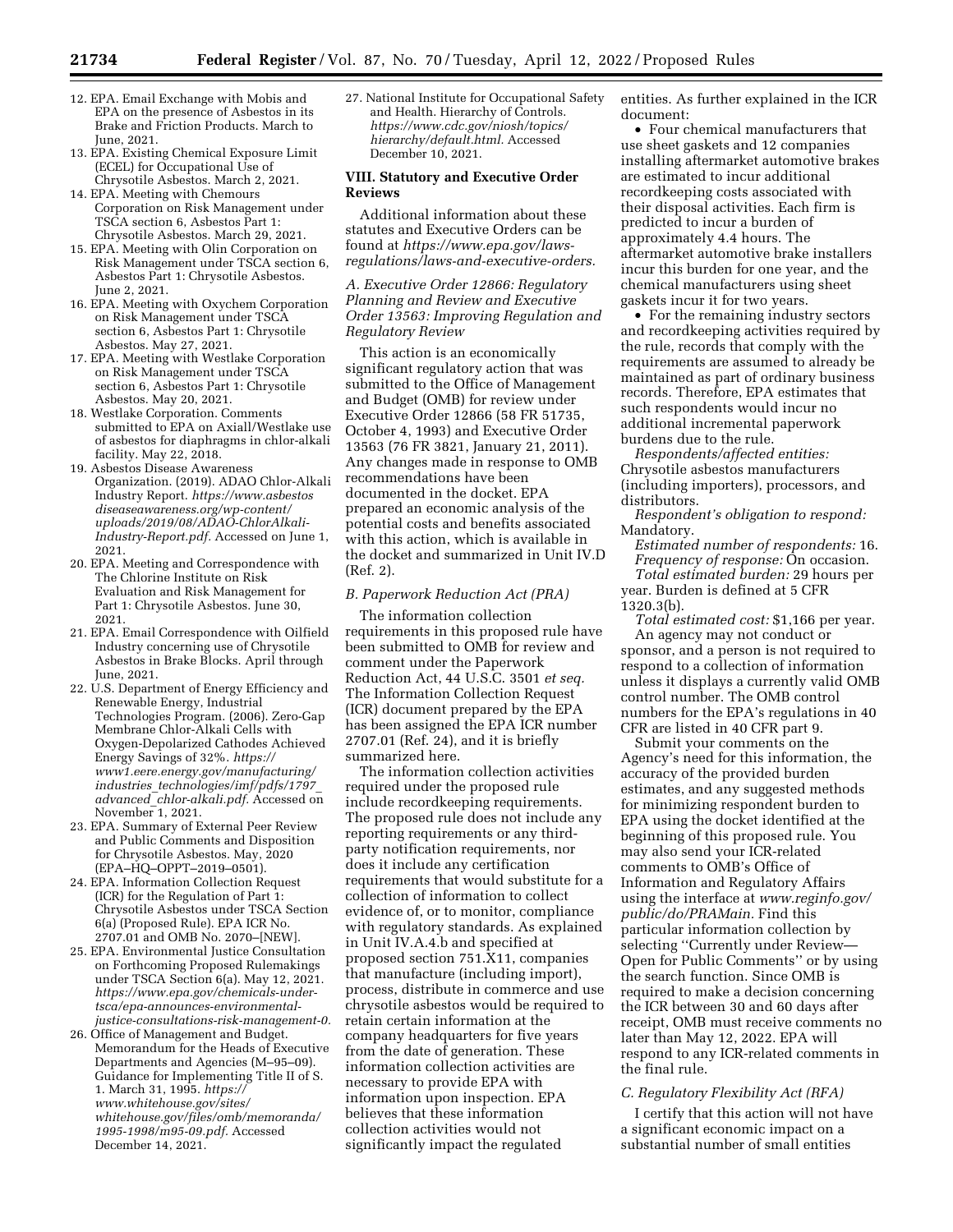- 12. EPA. Email Exchange with Mobis and EPA on the presence of Asbestos in its Brake and Friction Products. March to June, 2021.
- 13. EPA. Existing Chemical Exposure Limit (ECEL) for Occupational Use of Chrysotile Asbestos. March 2, 2021.
- 14. EPA. Meeting with Chemours Corporation on Risk Management under TSCA section 6, Asbestos Part 1: Chrysotile Asbestos. March 29, 2021.
- 15. EPA. Meeting with Olin Corporation on Risk Management under TSCA section 6, Asbestos Part 1: Chrysotile Asbestos. June 2, 2021.
- 16. EPA. Meeting with Oxychem Corporation on Risk Management under TSCA section 6, Asbestos Part 1: Chrysotile Asbestos. May 27, 2021.
- 17. EPA. Meeting with Westlake Corporation on Risk Management under TSCA section 6, Asbestos Part 1: Chrysotile Asbestos. May 20, 2021.
- 18. Westlake Corporation. Comments submitted to EPA on Axiall/Westlake use of asbestos for diaphragms in chlor-alkali facility. May 22, 2018.
- 19. Asbestos Disease Awareness Organization. (2019). ADAO Chlor-Alkali Industry Report. *[https://www.asbestos](https://www.asbestosdiseaseawareness.org/wp-content/uploads/2019/08/ADAO-ChlorAlkali-Industry-Report.pdf) [diseaseawareness.org/wp-content/](https://www.asbestosdiseaseawareness.org/wp-content/uploads/2019/08/ADAO-ChlorAlkali-Industry-Report.pdf) [uploads/2019/08/ADAO-ChlorAlkali-](https://www.asbestosdiseaseawareness.org/wp-content/uploads/2019/08/ADAO-ChlorAlkali-Industry-Report.pdf)[Industry-Report.pdf.](https://www.asbestosdiseaseawareness.org/wp-content/uploads/2019/08/ADAO-ChlorAlkali-Industry-Report.pdf)* Accessed on June 1, 2021.
- 20. EPA. Meeting and Correspondence with The Chlorine Institute on Risk Evaluation and Risk Management for Part 1: Chrysotile Asbestos. June 30, 2021.
- 21. EPA. Email Correspondence with Oilfield Industry concerning use of Chrysotile Asbestos in Brake Blocks. April through June, 2021.
- 22. U.S. Department of Energy Efficiency and Renewable Energy, Industrial Technologies Program. (2006). Zero-Gap Membrane Chlor-Alkali Cells with Oxygen-Depolarized Cathodes Achieved Energy Savings of 32%. *[https://](https://www1.eere.energy.gov/manufacturing/industries_technologies/imf/pdfs/1797_advanced_chlor-alkali.pdf) [www1.eere.energy.gov/manufacturing/](https://www1.eere.energy.gov/manufacturing/industries_technologies/imf/pdfs/1797_advanced_chlor-alkali.pdf)  industries*\_*[technologies/imf/pdfs/1797](https://www1.eere.energy.gov/manufacturing/industries_technologies/imf/pdfs/1797_advanced_chlor-alkali.pdf)*\_ *advanced*\_*[chlor-alkali.pdf.](https://www1.eere.energy.gov/manufacturing/industries_technologies/imf/pdfs/1797_advanced_chlor-alkali.pdf)* Accessed on November 1, 2021.
- 23. EPA. Summary of External Peer Review and Public Comments and Disposition for Chrysotile Asbestos. May, 2020 (EPA–HQ–OPPT–2019–0501).
- 24. EPA. Information Collection Request (ICR) for the Regulation of Part 1: Chrysotile Asbestos under TSCA Section 6(a) (Proposed Rule). EPA ICR No. 2707.01 and OMB No. 2070–[NEW].
- 25. EPA. Environmental Justice Consultation on Forthcoming Proposed Rulemakings under TSCA Section 6(a). May 12, 2021. *[https://www.epa.gov/chemicals-under](https://www.epa.gov/chemicals-under-tsca/epa-announces-environmental-justice-consultations-risk-management-0)[tsca/epa-announces-environmental](https://www.epa.gov/chemicals-under-tsca/epa-announces-environmental-justice-consultations-risk-management-0)[justice-consultations-risk-management-0.](https://www.epa.gov/chemicals-under-tsca/epa-announces-environmental-justice-consultations-risk-management-0)*
- 26. Office of Management and Budget. Memorandum for the Heads of Executive Departments and Agencies (M–95–09). Guidance for Implementing Title II of S. 1. March 31, 1995. *[https://](https://www.whitehouse.gov/sites/whitehouse.gov/files/omb/memoranda/1995-1998/m95-09.pdf) [www.whitehouse.gov/sites/](https://www.whitehouse.gov/sites/whitehouse.gov/files/omb/memoranda/1995-1998/m95-09.pdf)  [whitehouse.gov/files/omb/memoranda/](https://www.whitehouse.gov/sites/whitehouse.gov/files/omb/memoranda/1995-1998/m95-09.pdf)  [1995-1998/m95-09.pdf.](https://www.whitehouse.gov/sites/whitehouse.gov/files/omb/memoranda/1995-1998/m95-09.pdf)* Accessed December 14, 2021.

27. National Institute for Occupational Safety and Health. Hierarchy of Controls. *[https://www.cdc.gov/niosh/topics/](https://www.cdc.gov/niosh/topics/hierarchy/default.html)  [hierarchy/default.html.](https://www.cdc.gov/niosh/topics/hierarchy/default.html)* Accessed December 10, 2021.

### **VIII. Statutory and Executive Order Reviews**

Additional information about these statutes and Executive Orders can be found at *[https://www.epa.gov/laws](https://www.epa.gov/laws-regulations/laws-and-executive-orders)[regulations/laws-and-executive-orders.](https://www.epa.gov/laws-regulations/laws-and-executive-orders)* 

*A. Executive Order 12866: Regulatory Planning and Review and Executive Order 13563: Improving Regulation and Regulatory Review* 

This action is an economically significant regulatory action that was submitted to the Office of Management and Budget (OMB) for review under Executive Order 12866 (58 FR 51735, October 4, 1993) and Executive Order 13563 (76 FR 3821, January 21, 2011). Any changes made in response to OMB recommendations have been documented in the docket. EPA prepared an economic analysis of the potential costs and benefits associated with this action, which is available in the docket and summarized in Unit IV.D (Ref. 2).

#### *B. Paperwork Reduction Act (PRA)*

The information collection requirements in this proposed rule have been submitted to OMB for review and comment under the Paperwork Reduction Act, 44 U.S.C. 3501 *et seq.*  The Information Collection Request (ICR) document prepared by the EPA has been assigned the EPA ICR number 2707.01 (Ref. 24), and it is briefly summarized here.

The information collection activities required under the proposed rule include recordkeeping requirements. The proposed rule does not include any reporting requirements or any thirdparty notification requirements, nor does it include any certification requirements that would substitute for a collection of information to collect evidence of, or to monitor, compliance with regulatory standards. As explained in Unit IV.A.4.b and specified at proposed section 751.X11, companies that manufacture (including import), process, distribute in commerce and use chrysotile asbestos would be required to retain certain information at the company headquarters for five years from the date of generation. These information collection activities are necessary to provide EPA with information upon inspection. EPA believes that these information collection activities would not significantly impact the regulated

entities. As further explained in the ICR document:

• Four chemical manufacturers that use sheet gaskets and 12 companies installing aftermarket automotive brakes are estimated to incur additional recordkeeping costs associated with their disposal activities. Each firm is predicted to incur a burden of approximately 4.4 hours. The aftermarket automotive brake installers incur this burden for one year, and the chemical manufacturers using sheet gaskets incur it for two years.

• For the remaining industry sectors and recordkeeping activities required by the rule, records that comply with the requirements are assumed to already be maintained as part of ordinary business records. Therefore, EPA estimates that such respondents would incur no additional incremental paperwork burdens due to the rule.

*Respondents/affected entities:*  Chrysotile asbestos manufacturers (including importers), processors, and distributors.

*Respondent's obligation to respond:*  Mandatory.

*Estimated number of respondents:* 16. *Frequency of response:* On occasion.

*Total estimated burden:* 29 hours per year. Burden is defined at 5 CFR 1320.3(b).

*Total estimated cost:* \$1,166 per year. An agency may not conduct or sponsor, and a person is not required to respond to a collection of information unless it displays a currently valid OMB control number. The OMB control numbers for the EPA's regulations in 40 CFR are listed in 40 CFR part 9.

Submit your comments on the Agency's need for this information, the accuracy of the provided burden estimates, and any suggested methods for minimizing respondent burden to EPA using the docket identified at the beginning of this proposed rule. You may also send your ICR-related comments to OMB's Office of Information and Regulatory Affairs using the interface at *[www.reginfo.gov/](http://www.reginfo.gov/public/do/PRAMain)  [public/do/PRAMain.](http://www.reginfo.gov/public/do/PRAMain)* Find this particular information collection by selecting ''Currently under Review— Open for Public Comments'' or by using the search function. Since OMB is required to make a decision concerning the ICR between 30 and 60 days after receipt, OMB must receive comments no later than May 12, 2022. EPA will respond to any ICR-related comments in the final rule.

### *C. Regulatory Flexibility Act (RFA)*

I certify that this action will not have a significant economic impact on a substantial number of small entities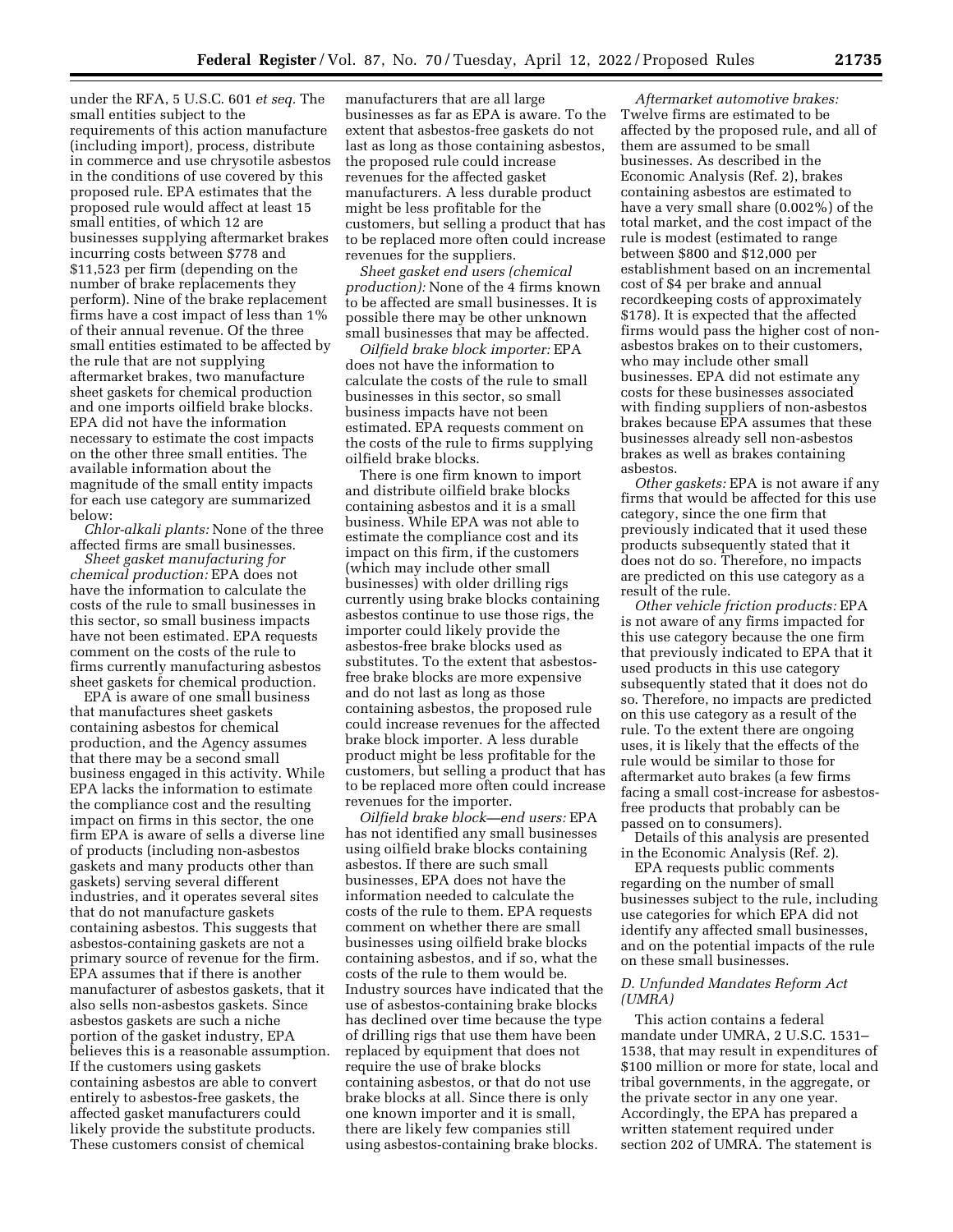under the RFA, 5 U.S.C. 601 *et seq.* The small entities subject to the requirements of this action manufacture (including import), process, distribute in commerce and use chrysotile asbestos in the conditions of use covered by this proposed rule. EPA estimates that the proposed rule would affect at least 15 small entities, of which 12 are businesses supplying aftermarket brakes incurring costs between \$778 and \$11,523 per firm (depending on the number of brake replacements they perform). Nine of the brake replacement firms have a cost impact of less than 1% of their annual revenue. Of the three small entities estimated to be affected by the rule that are not supplying aftermarket brakes, two manufacture sheet gaskets for chemical production and one imports oilfield brake blocks. EPA did not have the information necessary to estimate the cost impacts on the other three small entities. The available information about the magnitude of the small entity impacts for each use category are summarized below:

*Chlor-alkali plants:* None of the three affected firms are small businesses.

*Sheet gasket manufacturing for chemical production:* EPA does not have the information to calculate the costs of the rule to small businesses in this sector, so small business impacts have not been estimated. EPA requests comment on the costs of the rule to firms currently manufacturing asbestos sheet gaskets for chemical production.

EPA is aware of one small business that manufactures sheet gaskets containing asbestos for chemical production, and the Agency assumes that there may be a second small business engaged in this activity. While EPA lacks the information to estimate the compliance cost and the resulting impact on firms in this sector, the one firm EPA is aware of sells a diverse line of products (including non-asbestos gaskets and many products other than gaskets) serving several different industries, and it operates several sites that do not manufacture gaskets containing asbestos. This suggests that asbestos-containing gaskets are not a primary source of revenue for the firm. EPA assumes that if there is another manufacturer of asbestos gaskets, that it also sells non-asbestos gaskets. Since asbestos gaskets are such a niche portion of the gasket industry, EPA believes this is a reasonable assumption. If the customers using gaskets containing asbestos are able to convert entirely to asbestos-free gaskets, the affected gasket manufacturers could likely provide the substitute products. These customers consist of chemical

manufacturers that are all large businesses as far as EPA is aware. To the extent that asbestos-free gaskets do not last as long as those containing asbestos, the proposed rule could increase revenues for the affected gasket manufacturers. A less durable product might be less profitable for the customers, but selling a product that has to be replaced more often could increase revenues for the suppliers.

*Sheet gasket end users (chemical production):* None of the 4 firms known to be affected are small businesses. It is possible there may be other unknown small businesses that may be affected.

*Oilfield brake block importer:* EPA does not have the information to calculate the costs of the rule to small businesses in this sector, so small business impacts have not been estimated. EPA requests comment on the costs of the rule to firms supplying oilfield brake blocks.

There is one firm known to import and distribute oilfield brake blocks containing asbestos and it is a small business. While EPA was not able to estimate the compliance cost and its impact on this firm, if the customers (which may include other small businesses) with older drilling rigs currently using brake blocks containing asbestos continue to use those rigs, the importer could likely provide the asbestos-free brake blocks used as substitutes. To the extent that asbestosfree brake blocks are more expensive and do not last as long as those containing asbestos, the proposed rule could increase revenues for the affected brake block importer. A less durable product might be less profitable for the customers, but selling a product that has to be replaced more often could increase revenues for the importer.

*Oilfield brake block—end users:* EPA has not identified any small businesses using oilfield brake blocks containing asbestos. If there are such small businesses, EPA does not have the information needed to calculate the costs of the rule to them. EPA requests comment on whether there are small businesses using oilfield brake blocks containing asbestos, and if so, what the costs of the rule to them would be. Industry sources have indicated that the use of asbestos-containing brake blocks has declined over time because the type of drilling rigs that use them have been replaced by equipment that does not require the use of brake blocks containing asbestos, or that do not use brake blocks at all. Since there is only one known importer and it is small, there are likely few companies still using asbestos-containing brake blocks.

*Aftermarket automotive brakes:*  Twelve firms are estimated to be affected by the proposed rule, and all of them are assumed to be small businesses. As described in the Economic Analysis (Ref. 2), brakes containing asbestos are estimated to have a very small share (0.002%) of the total market, and the cost impact of the rule is modest (estimated to range between \$800 and \$12,000 per establishment based on an incremental cost of \$4 per brake and annual recordkeeping costs of approximately \$178). It is expected that the affected firms would pass the higher cost of nonasbestos brakes on to their customers, who may include other small businesses. EPA did not estimate any costs for these businesses associated with finding suppliers of non-asbestos brakes because EPA assumes that these businesses already sell non-asbestos brakes as well as brakes containing asbestos.

*Other gaskets:* EPA is not aware if any firms that would be affected for this use category, since the one firm that previously indicated that it used these products subsequently stated that it does not do so. Therefore, no impacts are predicted on this use category as a result of the rule.

*Other vehicle friction products:* EPA is not aware of any firms impacted for this use category because the one firm that previously indicated to EPA that it used products in this use category subsequently stated that it does not do so. Therefore, no impacts are predicted on this use category as a result of the rule. To the extent there are ongoing uses, it is likely that the effects of the rule would be similar to those for aftermarket auto brakes (a few firms facing a small cost-increase for asbestosfree products that probably can be passed on to consumers).

Details of this analysis are presented in the Economic Analysis (Ref. 2).

EPA requests public comments regarding on the number of small businesses subject to the rule, including use categories for which EPA did not identify any affected small businesses, and on the potential impacts of the rule on these small businesses.

### *D. Unfunded Mandates Reform Act (UMRA)*

This action contains a federal mandate under UMRA, 2 U.S.C. 1531– 1538, that may result in expenditures of \$100 million or more for state, local and tribal governments, in the aggregate, or the private sector in any one year. Accordingly, the EPA has prepared a written statement required under section 202 of UMRA. The statement is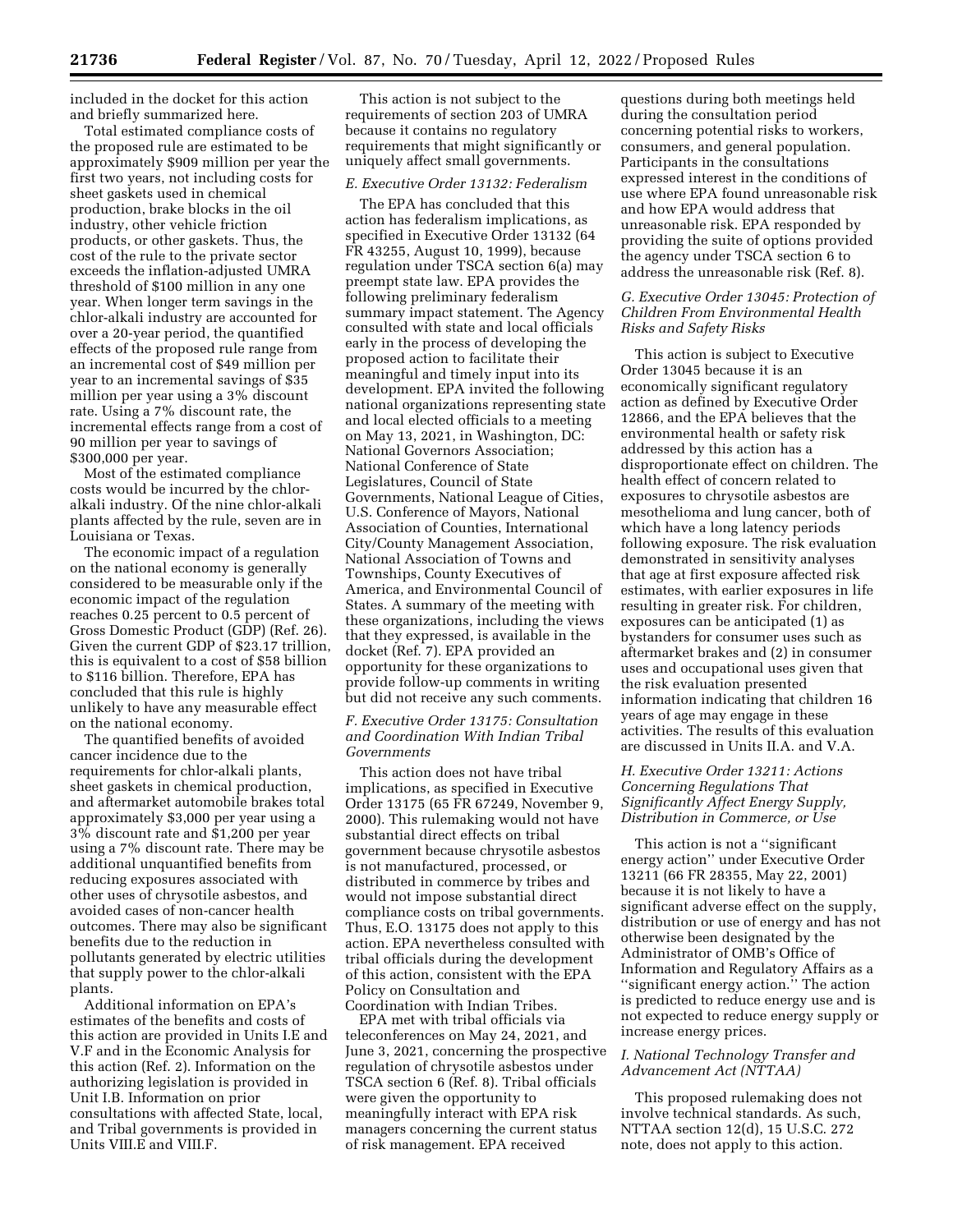included in the docket for this action and briefly summarized here.

Total estimated compliance costs of the proposed rule are estimated to be approximately \$909 million per year the first two years, not including costs for sheet gaskets used in chemical production, brake blocks in the oil industry, other vehicle friction products, or other gaskets. Thus, the cost of the rule to the private sector exceeds the inflation-adjusted UMRA threshold of \$100 million in any one year. When longer term savings in the chlor-alkali industry are accounted for over a 20-year period, the quantified effects of the proposed rule range from an incremental cost of \$49 million per year to an incremental savings of \$35 million per year using a 3% discount rate. Using a 7% discount rate, the incremental effects range from a cost of 90 million per year to savings of \$300,000 per year.

Most of the estimated compliance costs would be incurred by the chloralkali industry. Of the nine chlor-alkali plants affected by the rule, seven are in Louisiana or Texas.

The economic impact of a regulation on the national economy is generally considered to be measurable only if the economic impact of the regulation reaches 0.25 percent to 0.5 percent of Gross Domestic Product (GDP) (Ref. 26). Given the current GDP of \$23.17 trillion, this is equivalent to a cost of \$58 billion to \$116 billion. Therefore, EPA has concluded that this rule is highly unlikely to have any measurable effect on the national economy.

The quantified benefits of avoided cancer incidence due to the requirements for chlor-alkali plants, sheet gaskets in chemical production, and aftermarket automobile brakes total approximately \$3,000 per year using a 3% discount rate and \$1,200 per year using a 7% discount rate. There may be additional unquantified benefits from reducing exposures associated with other uses of chrysotile asbestos, and avoided cases of non-cancer health outcomes. There may also be significant benefits due to the reduction in pollutants generated by electric utilities that supply power to the chlor-alkali plants.

Additional information on EPA's estimates of the benefits and costs of this action are provided in Units I.E and V.F and in the Economic Analysis for this action (Ref. 2). Information on the authorizing legislation is provided in Unit I.B. Information on prior consultations with affected State, local, and Tribal governments is provided in Units VIII.E and VIII.F.

This action is not subject to the requirements of section 203 of UMRA because it contains no regulatory requirements that might significantly or uniquely affect small governments.

### *E. Executive Order 13132: Federalism*

The EPA has concluded that this action has federalism implications, as specified in Executive Order 13132 (64 FR 43255, August 10, 1999), because regulation under TSCA section 6(a) may preempt state law. EPA provides the following preliminary federalism summary impact statement. The Agency consulted with state and local officials early in the process of developing the proposed action to facilitate their meaningful and timely input into its development. EPA invited the following national organizations representing state and local elected officials to a meeting on May 13, 2021, in Washington, DC: National Governors Association; National Conference of State Legislatures, Council of State Governments, National League of Cities, U.S. Conference of Mayors, National Association of Counties, International City/County Management Association, National Association of Towns and Townships, County Executives of America, and Environmental Council of States. A summary of the meeting with these organizations, including the views that they expressed, is available in the docket (Ref. 7). EPA provided an opportunity for these organizations to provide follow-up comments in writing but did not receive any such comments.

### *F. Executive Order 13175: Consultation and Coordination With Indian Tribal Governments*

This action does not have tribal implications, as specified in Executive Order 13175 (65 FR 67249, November 9, 2000). This rulemaking would not have substantial direct effects on tribal government because chrysotile asbestos is not manufactured, processed, or distributed in commerce by tribes and would not impose substantial direct compliance costs on tribal governments. Thus, E.O. 13175 does not apply to this action. EPA nevertheless consulted with tribal officials during the development of this action, consistent with the EPA Policy on Consultation and Coordination with Indian Tribes.

EPA met with tribal officials via teleconferences on May 24, 2021, and June 3, 2021, concerning the prospective regulation of chrysotile asbestos under TSCA section 6 (Ref. 8). Tribal officials were given the opportunity to meaningfully interact with EPA risk managers concerning the current status of risk management. EPA received

questions during both meetings held during the consultation period concerning potential risks to workers, consumers, and general population. Participants in the consultations expressed interest in the conditions of use where EPA found unreasonable risk and how EPA would address that unreasonable risk. EPA responded by providing the suite of options provided the agency under TSCA section 6 to address the unreasonable risk (Ref. 8).

### *G. Executive Order 13045: Protection of Children From Environmental Health Risks and Safety Risks*

This action is subject to Executive Order 13045 because it is an economically significant regulatory action as defined by Executive Order 12866, and the EPA believes that the environmental health or safety risk addressed by this action has a disproportionate effect on children. The health effect of concern related to exposures to chrysotile asbestos are mesothelioma and lung cancer, both of which have a long latency periods following exposure. The risk evaluation demonstrated in sensitivity analyses that age at first exposure affected risk estimates, with earlier exposures in life resulting in greater risk. For children, exposures can be anticipated (1) as bystanders for consumer uses such as aftermarket brakes and (2) in consumer uses and occupational uses given that the risk evaluation presented information indicating that children 16 years of age may engage in these activities. The results of this evaluation are discussed in Units II.A. and V.A.

### *H. Executive Order 13211: Actions Concerning Regulations That Significantly Affect Energy Supply, Distribution in Commerce, or Use*

This action is not a ''significant energy action'' under Executive Order 13211 (66 FR 28355, May 22, 2001) because it is not likely to have a significant adverse effect on the supply, distribution or use of energy and has not otherwise been designated by the Administrator of OMB's Office of Information and Regulatory Affairs as a ''significant energy action.'' The action is predicted to reduce energy use and is not expected to reduce energy supply or increase energy prices.

### *I. National Technology Transfer and Advancement Act (NTTAA)*

This proposed rulemaking does not involve technical standards. As such, NTTAA section 12(d), 15 U.S.C. 272 note, does not apply to this action.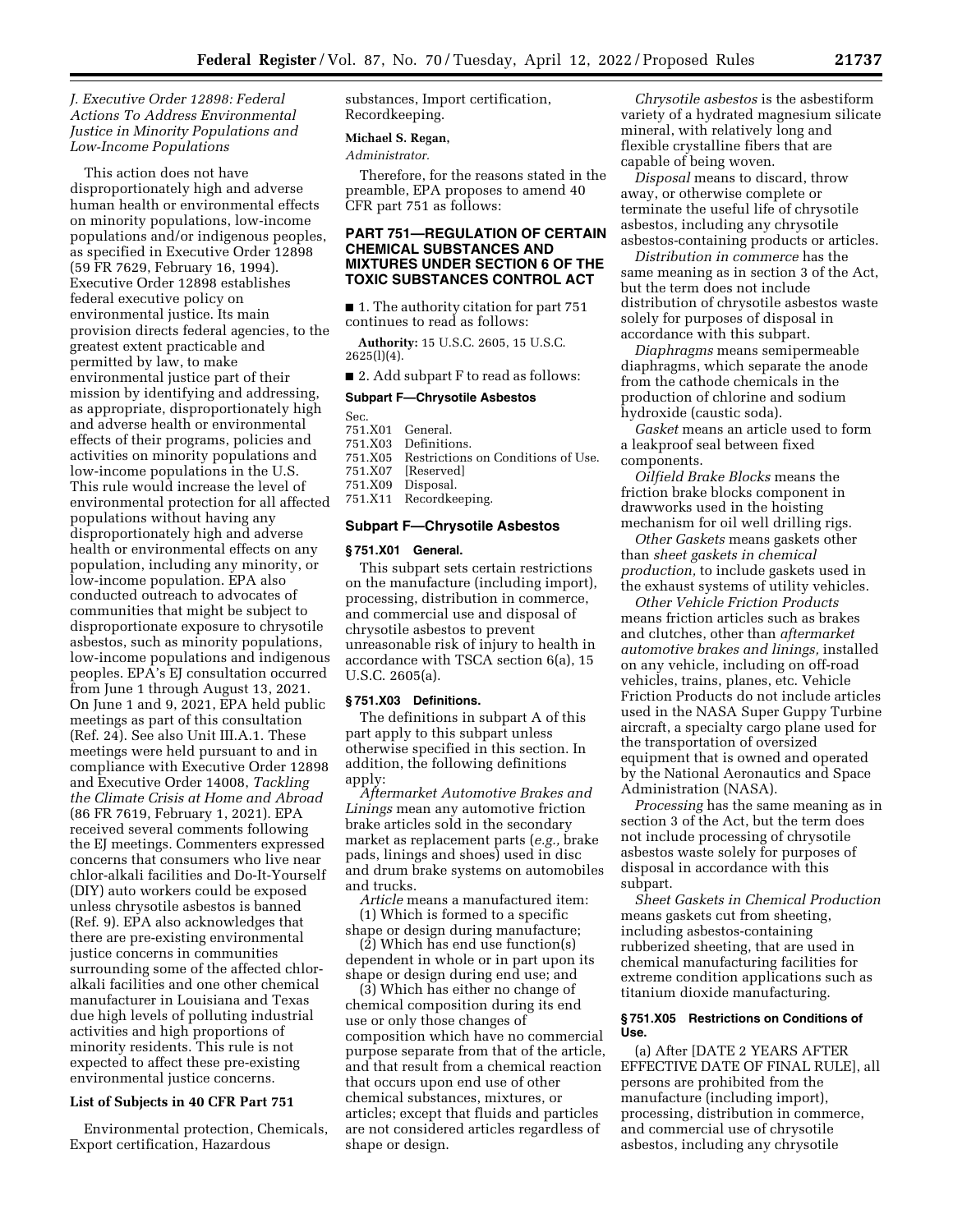# *J. Executive Order 12898: Federal Actions To Address Environmental Justice in Minority Populations and Low-Income Populations*

This action does not have disproportionately high and adverse human health or environmental effects on minority populations, low-income populations and/or indigenous peoples, as specified in Executive Order 12898 (59 FR 7629, February 16, 1994). Executive Order 12898 establishes federal executive policy on environmental justice. Its main provision directs federal agencies, to the greatest extent practicable and permitted by law, to make environmental justice part of their mission by identifying and addressing, as appropriate, disproportionately high and adverse health or environmental effects of their programs, policies and activities on minority populations and low-income populations in the U.S. This rule would increase the level of environmental protection for all affected populations without having any disproportionately high and adverse health or environmental effects on any population, including any minority, or low-income population. EPA also conducted outreach to advocates of communities that might be subject to disproportionate exposure to chrysotile asbestos, such as minority populations, low-income populations and indigenous peoples. EPA's EJ consultation occurred from June 1 through August 13, 2021. On June 1 and 9, 2021, EPA held public meetings as part of this consultation (Ref. 24). See also Unit III.A.1. These meetings were held pursuant to and in compliance with Executive Order 12898 and Executive Order 14008, *Tackling the Climate Crisis at Home and Abroad*  (86 FR 7619, February 1, 2021). EPA received several comments following the EJ meetings. Commenters expressed concerns that consumers who live near chlor-alkali facilities and Do-It-Yourself (DIY) auto workers could be exposed unless chrysotile asbestos is banned (Ref. 9). EPA also acknowledges that there are pre-existing environmental justice concerns in communities surrounding some of the affected chloralkali facilities and one other chemical manufacturer in Louisiana and Texas due high levels of polluting industrial activities and high proportions of minority residents. This rule is not expected to affect these pre-existing environmental justice concerns.

#### **List of Subjects in 40 CFR Part 751**

Environmental protection, Chemicals, Export certification, Hazardous

substances, Import certification, Recordkeeping.

## **Michael S. Regan,**

*Administrator.* 

Therefore, for the reasons stated in the preamble, EPA proposes to amend 40 CFR part 751 as follows:

### **PART 751—REGULATION OF CERTAIN CHEMICAL SUBSTANCES AND MIXTURES UNDER SECTION 6 OF THE TOXIC SUBSTANCES CONTROL ACT**

■ 1. The authority citation for part 751 continues to read as follows:

**Authority:** 15 U.S.C. 2605, 15 U.S.C. 2625(l)(4).

■ 2. Add subpart F to read as follows:

#### **Subpart F—Chrysotile Asbestos**

Sec.

- 751.X01 General. Definitions.
- 751.X05 Restrictions on Conditions of Use.
- 
- 751.X07 [Reserved]<br>751.X09 Disposal. Disposal.
- 751.X11 Recordkeeping.

#### **Subpart F—Chrysotile Asbestos**

#### **§ 751.X01 General.**

This subpart sets certain restrictions on the manufacture (including import), processing, distribution in commerce, and commercial use and disposal of chrysotile asbestos to prevent unreasonable risk of injury to health in accordance with TSCA section 6(a), 15 U.S.C. 2605(a).

#### **§ 751.X03 Definitions.**

The definitions in subpart A of this part apply to this subpart unless otherwise specified in this section. In addition, the following definitions apply:

*Aftermarket Automotive Brakes and Linings* mean any automotive friction brake articles sold in the secondary market as replacement parts (*e.g.,* brake pads, linings and shoes) used in disc and drum brake systems on automobiles and trucks.

*Article* means a manufactured item: (1) Which is formed to a specific

shape or design during manufacture; (2) Which has end use function(s)

dependent in whole or in part upon its shape or design during end use; and

(3) Which has either no change of chemical composition during its end use or only those changes of composition which have no commercial purpose separate from that of the article, and that result from a chemical reaction that occurs upon end use of other chemical substances, mixtures, or articles; except that fluids and particles are not considered articles regardless of shape or design.

*Chrysotile asbestos* is the asbestiform variety of a hydrated magnesium silicate mineral, with relatively long and flexible crystalline fibers that are capable of being woven.

*Disposal* means to discard, throw away, or otherwise complete or terminate the useful life of chrysotile asbestos, including any chrysotile asbestos-containing products or articles.

*Distribution in commerce* has the same meaning as in section 3 of the Act, but the term does not include distribution of chrysotile asbestos waste solely for purposes of disposal in accordance with this subpart.

*Diaphragms* means semipermeable diaphragms, which separate the anode from the cathode chemicals in the production of chlorine and sodium hydroxide (caustic soda).

*Gasket* means an article used to form a leakproof seal between fixed components.

*Oilfield Brake Blocks* means the friction brake blocks component in drawworks used in the hoisting mechanism for oil well drilling rigs.

*Other Gaskets* means gaskets other than *sheet gaskets in chemical production,* to include gaskets used in the exhaust systems of utility vehicles.

*Other Vehicle Friction Products*  means friction articles such as brakes and clutches, other than *aftermarket automotive brakes and linings,* installed on any vehicle, including on off-road vehicles, trains, planes, etc. Vehicle Friction Products do not include articles used in the NASA Super Guppy Turbine aircraft, a specialty cargo plane used for the transportation of oversized equipment that is owned and operated by the National Aeronautics and Space Administration (NASA).

*Processing* has the same meaning as in section 3 of the Act, but the term does not include processing of chrysotile asbestos waste solely for purposes of disposal in accordance with this subpart.

*Sheet Gaskets in Chemical Production*  means gaskets cut from sheeting, including asbestos-containing rubberized sheeting, that are used in chemical manufacturing facilities for extreme condition applications such as titanium dioxide manufacturing.

#### **§ 751.X05 Restrictions on Conditions of Use.**

(a) After [DATE 2 YEARS AFTER EFFECTIVE DATE OF FINAL RULE], all persons are prohibited from the manufacture (including import), processing, distribution in commerce, and commercial use of chrysotile asbestos, including any chrysotile